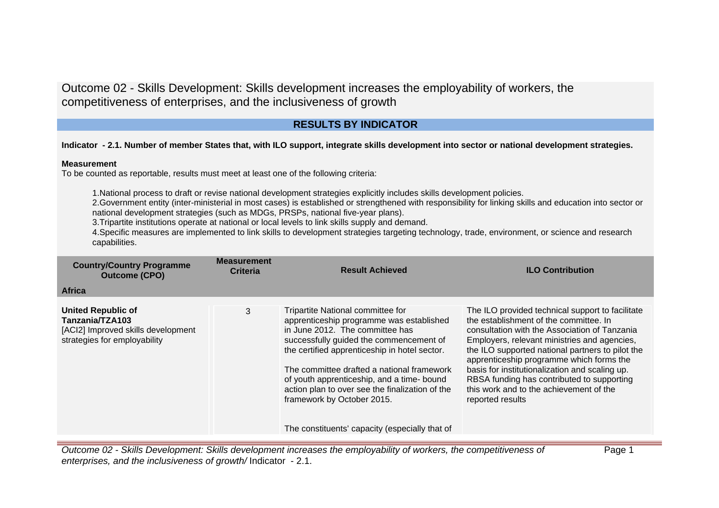# **RESULTS BY INDICATOR**

# **Indicator - 2.1. Number of member States that, with ILO support, integrate skills development into sector or national development strategies.**

# **Measurement**

To be counted as reportable, results must meet at least one of the following criteria:

1.National process to draft or revise national development strategies explicitly includes skills development policies.

2.Government entity (inter-ministerial in most cases) is established or strengthened with responsibility for linking skills and education into sector or national development strategies (such as MDGs, PRSPs, national five-year plans).

3.Tripartite institutions operate at national or local levels to link skills supply and demand.

4.Specific measures are implemented to link skills to development strategies targeting technology, trade, environment, or science and research capabilities.

| <b>Country/Country Programme</b><br><b>Outcome (CPO)</b>                                                           | <b>Measurement</b><br><b>Criteria</b> | <b>Result Achieved</b>                                                                                                                                                                                                                                                                                                                                                                                                                      | <b>ILO Contribution</b>                                                                                                                                                                                                                                                                                                                                                                                                                                    |
|--------------------------------------------------------------------------------------------------------------------|---------------------------------------|---------------------------------------------------------------------------------------------------------------------------------------------------------------------------------------------------------------------------------------------------------------------------------------------------------------------------------------------------------------------------------------------------------------------------------------------|------------------------------------------------------------------------------------------------------------------------------------------------------------------------------------------------------------------------------------------------------------------------------------------------------------------------------------------------------------------------------------------------------------------------------------------------------------|
| <b>Africa</b>                                                                                                      |                                       |                                                                                                                                                                                                                                                                                                                                                                                                                                             |                                                                                                                                                                                                                                                                                                                                                                                                                                                            |
| <b>United Republic of</b><br>Tanzania/TZA103<br>[ACI2] Improved skills development<br>strategies for employability | 3                                     | Tripartite National committee for<br>apprenticeship programme was established<br>in June 2012. The committee has<br>successfully guided the commencement of<br>the certified apprenticeship in hotel sector.<br>The committee drafted a national framework<br>of youth apprenticeship, and a time- bound<br>action plan to over see the finalization of the<br>framework by October 2015.<br>The constituents' capacity (especially that of | The ILO provided technical support to facilitate<br>the establishment of the committee. In<br>consultation with the Association of Tanzania<br>Employers, relevant ministries and agencies,<br>the ILO supported national partners to pilot the<br>apprenticeship programme which forms the<br>basis for institutionalization and scaling up.<br>RBSA funding has contributed to supporting<br>this work and to the achievement of the<br>reported results |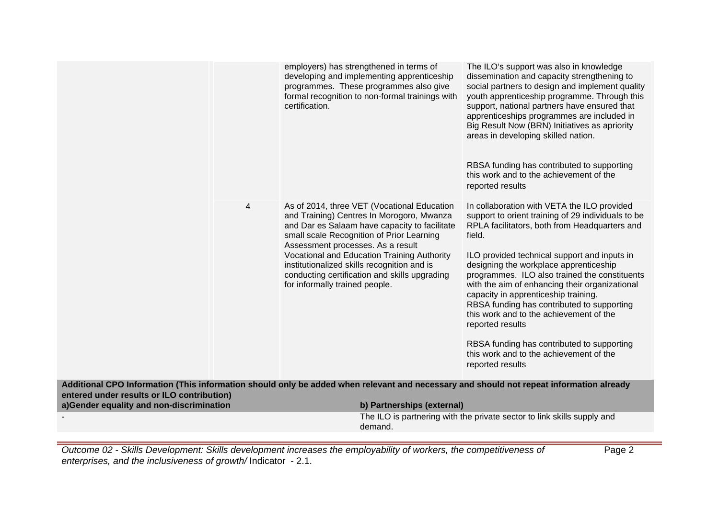|                                                                                                                                                                                                                                   | employers) has strengthened in terms of<br>developing and implementing apprenticeship<br>programmes. These programmes also give<br>formal recognition to non-formal trainings with<br>certification.                                                                                                                                                                                                         | The ILO's support was also in knowledge<br>dissemination and capacity strengthening to<br>social partners to design and implement quality<br>youth apprenticeship programme. Through this<br>support, national partners have ensured that<br>apprenticeships programmes are included in<br>Big Result Now (BRN) Initiatives as apriority<br>areas in developing skilled nation.<br>RBSA funding has contributed to supporting<br>this work and to the achievement of the<br>reported results                                                                                                                                |
|-----------------------------------------------------------------------------------------------------------------------------------------------------------------------------------------------------------------------------------|--------------------------------------------------------------------------------------------------------------------------------------------------------------------------------------------------------------------------------------------------------------------------------------------------------------------------------------------------------------------------------------------------------------|-----------------------------------------------------------------------------------------------------------------------------------------------------------------------------------------------------------------------------------------------------------------------------------------------------------------------------------------------------------------------------------------------------------------------------------------------------------------------------------------------------------------------------------------------------------------------------------------------------------------------------|
| 4                                                                                                                                                                                                                                 | As of 2014, three VET (Vocational Education<br>and Training) Centres In Morogoro, Mwanza<br>and Dar es Salaam have capacity to facilitate<br>small scale Recognition of Prior Learning<br>Assessment processes. As a result<br>Vocational and Education Training Authority<br>institutionalized skills recognition and is<br>conducting certification and skills upgrading<br>for informally trained people. | In collaboration with VETA the ILO provided<br>support to orient training of 29 individuals to be<br>RPLA facilitators, both from Headquarters and<br>field.<br>ILO provided technical support and inputs in<br>designing the workplace apprenticeship<br>programmes. ILO also trained the constituents<br>with the aim of enhancing their organizational<br>capacity in apprenticeship training.<br>RBSA funding has contributed to supporting<br>this work and to the achievement of the<br>reported results<br>RBSA funding has contributed to supporting<br>this work and to the achievement of the<br>reported results |
| Additional CPO Information (This information should only be added when relevant and necessary and should not repeat information already<br>entered under results or ILO contribution)<br>a)Gender equality and non-discrimination | b) Partnerships (external)                                                                                                                                                                                                                                                                                                                                                                                   |                                                                                                                                                                                                                                                                                                                                                                                                                                                                                                                                                                                                                             |
|                                                                                                                                                                                                                                   | demand.                                                                                                                                                                                                                                                                                                                                                                                                      | The ILO is partnering with the private sector to link skills supply and                                                                                                                                                                                                                                                                                                                                                                                                                                                                                                                                                     |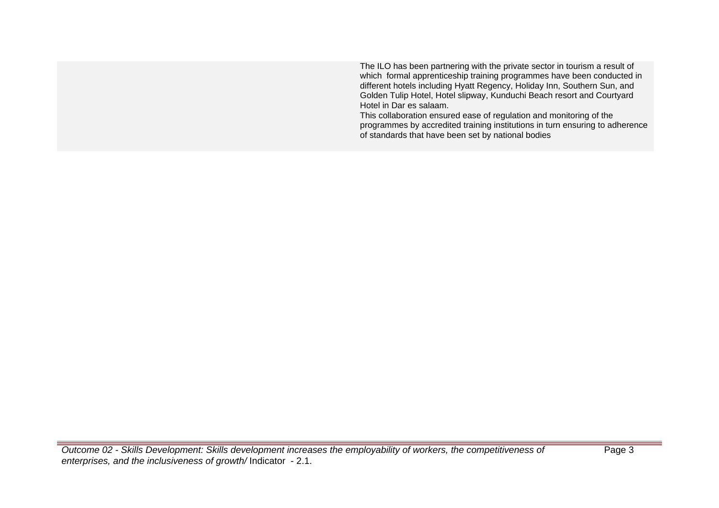The ILO has been partnering with the private sector in tourism a result of which formal apprenticeship training programmes have been conducted in different hotels including Hyatt Regency, Holiday Inn, Southern Sun, and Golden Tulip Hotel, Hotel slipway, Kunduchi Beach resort and Courtyard Hotel in Dar es salaam.

This collaboration ensured ease of regulation and monitoring of the programmes by accredited training institutions in turn ensuring to adherence of standards that have been set by national bodies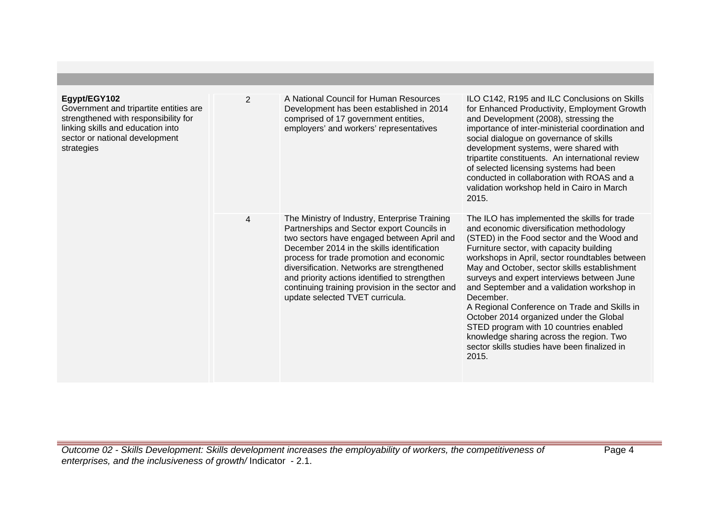| Egypt/EGY102<br>Government and tripartite entities are<br>strengthened with responsibility for<br>linking skills and education into<br>sector or national development<br>strategies | $\overline{2}$ | A National Council for Human Resources<br>Development has been established in 2014<br>comprised of 17 government entities,<br>employers' and workers' representatives                                                                                                                                                                                                                                                    | ILO C142, R195 and ILC Conclusions on Skills<br>for Enhanced Productivity, Employment Growth<br>and Development (2008), stressing the<br>importance of inter-ministerial coordination and<br>social dialogue on governance of skills<br>development systems, were shared with<br>tripartite constituents. An international review<br>of selected licensing systems had been<br>conducted in collaboration with ROAS and a<br>validation workshop held in Cairo in March<br>2015.                                                                                                                                                        |
|-------------------------------------------------------------------------------------------------------------------------------------------------------------------------------------|----------------|--------------------------------------------------------------------------------------------------------------------------------------------------------------------------------------------------------------------------------------------------------------------------------------------------------------------------------------------------------------------------------------------------------------------------|-----------------------------------------------------------------------------------------------------------------------------------------------------------------------------------------------------------------------------------------------------------------------------------------------------------------------------------------------------------------------------------------------------------------------------------------------------------------------------------------------------------------------------------------------------------------------------------------------------------------------------------------|
|                                                                                                                                                                                     | 4              | The Ministry of Industry, Enterprise Training<br>Partnerships and Sector export Councils in<br>two sectors have engaged between April and<br>December 2014 in the skills identification<br>process for trade promotion and economic<br>diversification. Networks are strengthened<br>and priority actions identified to strengthen<br>continuing training provision in the sector and<br>update selected TVET curricula. | The ILO has implemented the skills for trade<br>and economic diversification methodology<br>(STED) in the Food sector and the Wood and<br>Furniture sector, with capacity building<br>workshops in April, sector roundtables between<br>May and October, sector skills establishment<br>surveys and expert interviews between June<br>and September and a validation workshop in<br>December.<br>A Regional Conference on Trade and Skills in<br>October 2014 organized under the Global<br>STED program with 10 countries enabled<br>knowledge sharing across the region. Two<br>sector skills studies have been finalized in<br>2015. |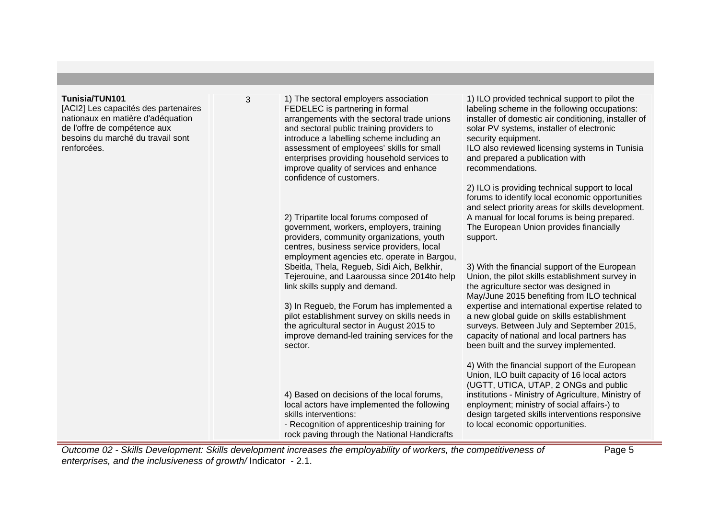## **Tunisia/TUN101**

[ACI2] Les capacités des partenaires nationaux en matière d'adéquation de l'offre de compétence aux besoins du marché du travail sont renforcées.

3 1) The sectoral employers association FEDELEC is partnering in formal arrangements with the sectoral trade unions and sectoral public training providers to introduce a labelling scheme including an assessment of employees' skills for small enterprises providing household services to improve quality of services and enhance confidence of customers.

> 2) Tripartite local forums composed of government, workers, employers, training providers, community organizations, youth centres, business service providers, local employment agencies etc. operate in Bargou, Sbeitla, Thela, Regueb, Sidi Aich, Belkhir, Tejerouine, and Laaroussa since 2014to help link skills supply and demand.

3) In Regueb, the Forum has implemented a pilot establishment survey on skills needs in the agricultural sector in August 2015 to improve demand-led training services for the sector.

4) Based on decisions of the local forums, local actors have implemented the following skills interventions:

- Recognition of apprenticeship training for rock paving through the National Handicrafts 1) ILO provided technical support to pilot the labeling scheme in the following occupations: installer of domestic air conditioning, installer of solar PV systems, installer of electronic security equipment.

ILO also reviewed licensing systems in Tunisia and prepared a publication with recommendations.

2) ILO is providing technical support to local forums to identify local economic opportunities and select priority areas for skills development. A manual for local forums is being prepared. The European Union provides financially support.

3) With the financial support of the European Union, the pilot skills establishment survey in the agriculture sector was designed in May/June 2015 benefiting from ILO technical expertise and international expertise related to a new global guide on skills establishment surveys. Between July and September 2015, capacity of national and local partners has been built and the survey implemented.

4) With the financial support of the European Union, ILO built capacity of 16 local actors (UGTT, UTICA, UTAP, 2 ONGs and public institutions - Ministry of Agriculture, Ministry of enployment; ministry of social affairs-) to design targeted skills interventions responsive to local economic opportunities.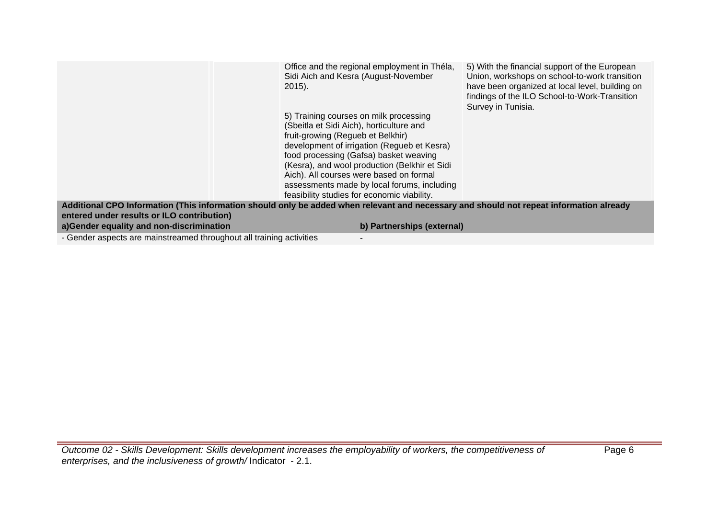|                                                                                                                                         | Office and the regional employment in Théla,<br>Sidi Aich and Kesra (August-November<br>$2015$ ).                                                                                                                                                                                                                                                                                                           | 5) With the financial support of the European<br>Union, workshops on school-to-work transition<br>have been organized at local level, building on<br>findings of the ILO School-to-Work-Transition<br>Survey in Tunisia. |
|-----------------------------------------------------------------------------------------------------------------------------------------|-------------------------------------------------------------------------------------------------------------------------------------------------------------------------------------------------------------------------------------------------------------------------------------------------------------------------------------------------------------------------------------------------------------|--------------------------------------------------------------------------------------------------------------------------------------------------------------------------------------------------------------------------|
|                                                                                                                                         | 5) Training courses on milk processing<br>(Sbeitla et Sidi Aich), horticulture and<br>fruit-growing (Regueb et Belkhir)<br>development of irrigation (Regueb et Kesra)<br>food processing (Gafsa) basket weaving<br>(Kesra), and wool production (Belkhir et Sidi)<br>Aich). All courses were based on formal<br>assessments made by local forums, including<br>feasibility studies for economic viability. |                                                                                                                                                                                                                          |
| Additional CPO Information (This information should only be added when relevant and necessary and should not repeat information already |                                                                                                                                                                                                                                                                                                                                                                                                             |                                                                                                                                                                                                                          |
| entered under results or ILO contribution)                                                                                              |                                                                                                                                                                                                                                                                                                                                                                                                             |                                                                                                                                                                                                                          |
| a)Gender equality and non-discrimination                                                                                                | b) Partnerships (external)                                                                                                                                                                                                                                                                                                                                                                                  |                                                                                                                                                                                                                          |
| - Gender aspects are mainstreamed throughout all training activities                                                                    |                                                                                                                                                                                                                                                                                                                                                                                                             |                                                                                                                                                                                                                          |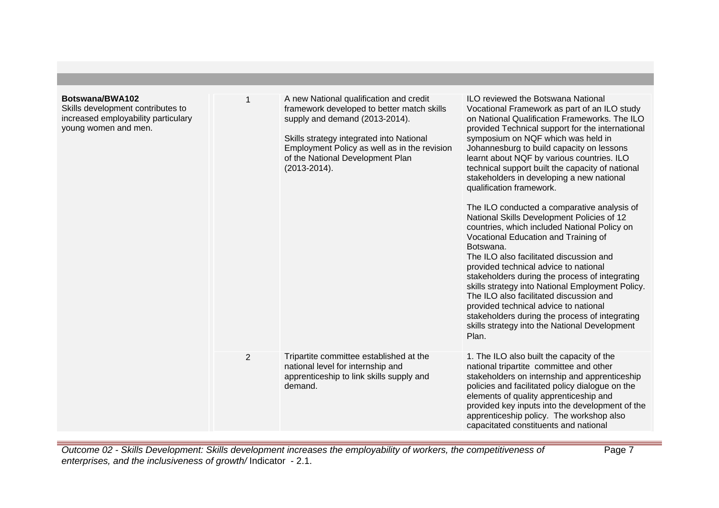| Botswana/BWA102<br>Skills development contributes to<br>increased employability particulary<br>young women and men. | 1              | A new National qualification and credit<br>framework developed to better match skills<br>supply and demand (2013-2014).<br>Skills strategy integrated into National<br>Employment Policy as well as in the revision<br>of the National Development Plan<br>$(2013 - 2014).$ | <b>ILO reviewed the Botswana National</b><br>Vocational Framework as part of an ILO study<br>on National Qualification Frameworks. The ILO<br>provided Technical support for the international<br>symposium on NQF which was held in<br>Johannesburg to build capacity on lessons<br>learnt about NQF by various countries. ILO<br>technical support built the capacity of national<br>stakeholders in developing a new national<br>qualification framework.<br>The ILO conducted a comparative analysis of<br>National Skills Development Policies of 12<br>countries, which included National Policy on<br>Vocational Education and Training of<br>Botswana.<br>The ILO also facilitated discussion and<br>provided technical advice to national<br>stakeholders during the process of integrating<br>skills strategy into National Employment Policy.<br>The ILO also facilitated discussion and<br>provided technical advice to national<br>stakeholders during the process of integrating<br>skills strategy into the National Development<br>Plan. |
|---------------------------------------------------------------------------------------------------------------------|----------------|-----------------------------------------------------------------------------------------------------------------------------------------------------------------------------------------------------------------------------------------------------------------------------|----------------------------------------------------------------------------------------------------------------------------------------------------------------------------------------------------------------------------------------------------------------------------------------------------------------------------------------------------------------------------------------------------------------------------------------------------------------------------------------------------------------------------------------------------------------------------------------------------------------------------------------------------------------------------------------------------------------------------------------------------------------------------------------------------------------------------------------------------------------------------------------------------------------------------------------------------------------------------------------------------------------------------------------------------------|
|                                                                                                                     | $\overline{2}$ | Tripartite committee established at the<br>national level for internship and<br>apprenticeship to link skills supply and<br>demand.                                                                                                                                         | 1. The ILO also built the capacity of the<br>national tripartite committee and other<br>stakeholders on internship and apprenticeship<br>policies and facilitated policy dialogue on the<br>elements of quality apprenticeship and<br>provided key inputs into the development of the<br>apprenticeship policy. The workshop also<br>capacitated constituents and national                                                                                                                                                                                                                                                                                                                                                                                                                                                                                                                                                                                                                                                                               |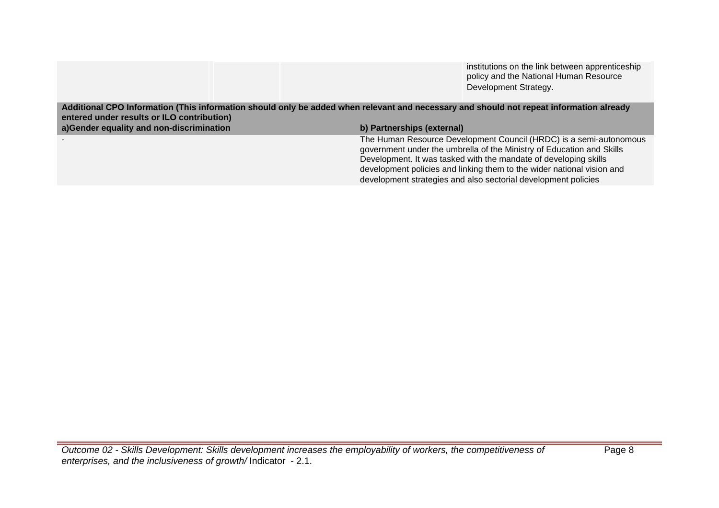institutions on the link between apprenticeship policy and the National Human Resource Development Strategy.

**Additional CPO Information (This information should only be added when relevant and necessary and should not repeat information already entered under results or ILO contribution)** a) Gender equality and non-discrimination **b**) Partnerships (external)

| ajuenuer equality and non-discrimination | <u>ULLE SIIIDS (EXIGITIAL)</u>                                         |
|------------------------------------------|------------------------------------------------------------------------|
|                                          | The Human Resource Development Council (HRDC) is a semi-autonomous     |
|                                          | government under the umbrella of the Ministry of Education and Skills  |
|                                          | Development. It was tasked with the mandate of developing skills       |
|                                          | development policies and linking them to the wider national vision and |
|                                          | development strategies and also sectorial development policies         |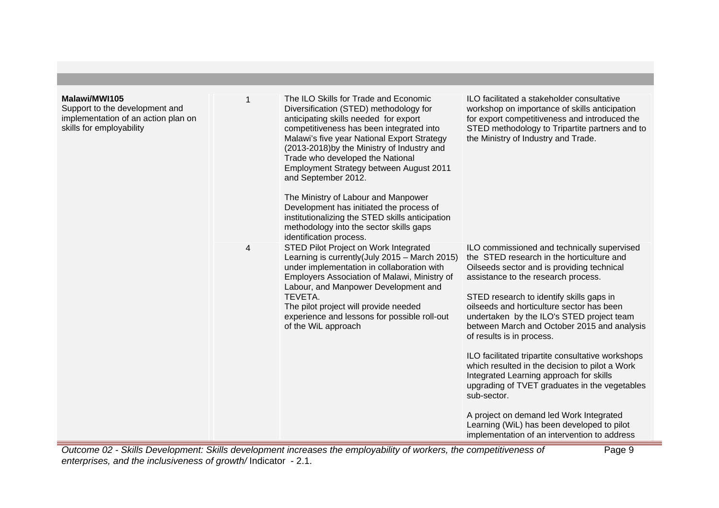| Malawi/MWI105<br>Support to the development and<br>implementation of an action plan on<br>skills for employability | 1 | The ILO Skills for Trade and Economic<br>Diversification (STED) methodology for<br>anticipating skills needed for export<br>competitiveness has been integrated into<br>Malawi's five year National Export Strategy<br>(2013-2018) by the Ministry of Industry and<br>Trade who developed the National<br>Employment Strategy between August 2011<br>and September 2012.<br>The Ministry of Labour and Manpower<br>Development has initiated the process of<br>institutionalizing the STED skills anticipation<br>methodology into the sector skills gaps<br>identification process. | ILO facilitated a stakeholder consultative<br>workshop on importance of skills anticipation<br>for export competitiveness and introduced the<br>STED methodology to Tripartite partners and to<br>the Ministry of Industry and Trade.                                                                                                                                                                                                                                                                                                                                                                                                                                                                                                                      |
|--------------------------------------------------------------------------------------------------------------------|---|--------------------------------------------------------------------------------------------------------------------------------------------------------------------------------------------------------------------------------------------------------------------------------------------------------------------------------------------------------------------------------------------------------------------------------------------------------------------------------------------------------------------------------------------------------------------------------------|------------------------------------------------------------------------------------------------------------------------------------------------------------------------------------------------------------------------------------------------------------------------------------------------------------------------------------------------------------------------------------------------------------------------------------------------------------------------------------------------------------------------------------------------------------------------------------------------------------------------------------------------------------------------------------------------------------------------------------------------------------|
|                                                                                                                    | 4 | <b>STED Pilot Project on Work Integrated</b><br>Learning is currently(July 2015 - March 2015)<br>under implementation in collaboration with<br>Employers Association of Malawi, Ministry of<br>Labour, and Manpower Development and<br>TEVETA.<br>The pilot project will provide needed<br>experience and lessons for possible roll-out<br>of the WiL approach                                                                                                                                                                                                                       | ILO commissioned and technically supervised<br>the STED research in the horticulture and<br>Oilseeds sector and is providing technical<br>assistance to the research process.<br>STED research to identify skills gaps in<br>oilseeds and horticulture sector has been<br>undertaken by the ILO's STED project team<br>between March and October 2015 and analysis<br>of results is in process.<br>ILO facilitated tripartite consultative workshops<br>which resulted in the decision to pilot a Work<br>Integrated Learning approach for skills<br>upgrading of TVET graduates in the vegetables<br>sub-sector.<br>A project on demand led Work Integrated<br>Learning (WiL) has been developed to pilot<br>implementation of an intervention to address |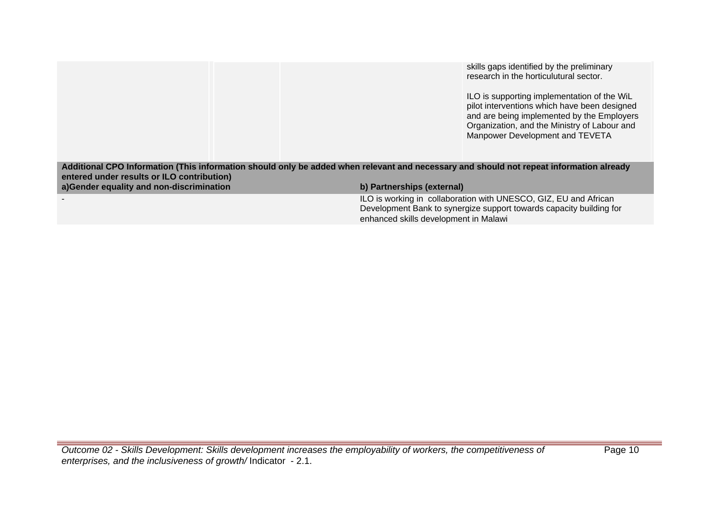skills gaps identified by the preliminary research in the horticulutural sector.

ILO is supporting implementation of the WiL pilot interventions which have been designed and are being implemented by the Employers Organization, and the Ministry of Labour and Manpower Development and TEVETA

**Additional CPO Information (This information should only be added when relevant and necessary and should not repeat information already entered under results or ILO contribution)**

**a)Gender equality and non-discrimination b) Partnerships (external)**

- ILO is working in collaboration with UNESCO, GIZ, EU and African Development Bank to synergize support towards capacity building for enhanced skills development in Malawi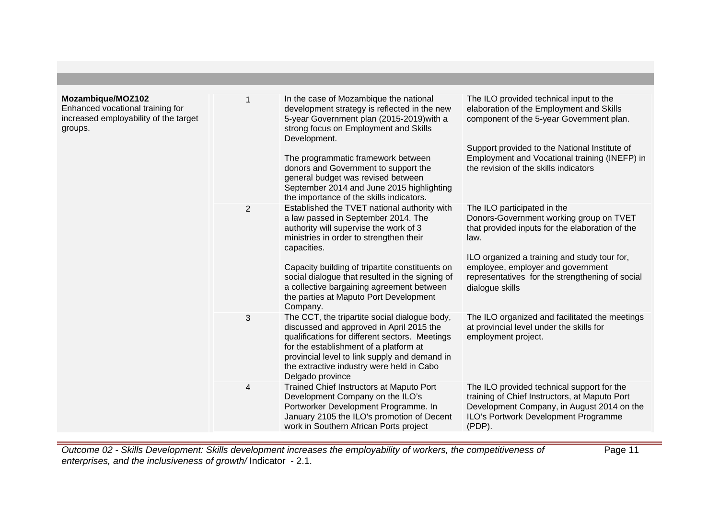| Mozambique/MOZ102<br>Enhanced vocational training for<br>increased employability of the target<br>groups. |                | In the case of Mozambique the national<br>development strategy is reflected in the new<br>5-year Government plan (2015-2019) with a<br>strong focus on Employment and Skills<br>Development.<br>The programmatic framework between<br>donors and Government to support the<br>general budget was revised between<br>September 2014 and June 2015 highlighting<br>the importance of the skills indicators. | The ILO provided technical input to the<br>elaboration of the Employment and Skills<br>component of the 5-year Government plan.<br>Support provided to the National Institute of<br>Employment and Vocational training (INEFP) in<br>the revision of the skills indicators                   |
|-----------------------------------------------------------------------------------------------------------|----------------|-----------------------------------------------------------------------------------------------------------------------------------------------------------------------------------------------------------------------------------------------------------------------------------------------------------------------------------------------------------------------------------------------------------|----------------------------------------------------------------------------------------------------------------------------------------------------------------------------------------------------------------------------------------------------------------------------------------------|
|                                                                                                           | $\overline{2}$ | Established the TVET national authority with<br>a law passed in September 2014. The<br>authority will supervise the work of 3<br>ministries in order to strengthen their<br>capacities.<br>Capacity building of tripartite constituents on<br>social dialogue that resulted in the signing of<br>a collective bargaining agreement between<br>the parties at Maputo Port Development<br>Company.          | The ILO participated in the<br>Donors-Government working group on TVET<br>that provided inputs for the elaboration of the<br>law.<br>ILO organized a training and study tour for,<br>employee, employer and government<br>representatives for the strengthening of social<br>dialogue skills |
|                                                                                                           | 3              | The CCT, the tripartite social dialogue body,<br>discussed and approved in April 2015 the<br>qualifications for different sectors. Meetings<br>for the establishment of a platform at<br>provincial level to link supply and demand in<br>the extractive industry were held in Cabo<br>Delgado province                                                                                                   | The ILO organized and facilitated the meetings<br>at provincial level under the skills for<br>employment project.                                                                                                                                                                            |
|                                                                                                           | 4              | Trained Chief Instructors at Maputo Port<br>Development Company on the ILO's<br>Portworker Development Programme. In<br>January 2105 the ILO's promotion of Decent<br>work in Southern African Ports project                                                                                                                                                                                              | The ILO provided technical support for the<br>training of Chief Instructors, at Maputo Port<br>Development Company, in August 2014 on the<br>ILO's Portwork Development Programme<br>(PDP).                                                                                                  |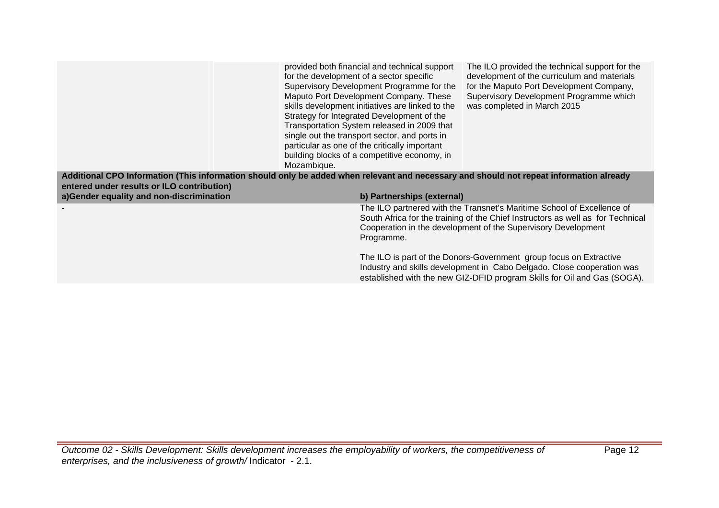|                                                                                                                                                                                       | provided both financial and technical support<br>for the development of a sector specific<br>Supervisory Development Programme for the<br>Maputo Port Development Company. These<br>skills development initiatives are linked to the<br>Strategy for Integrated Development of the<br>Transportation System released in 2009 that<br>single out the transport sector, and ports in<br>particular as one of the critically important<br>building blocks of a competitive economy, in<br>Mozambique. | The ILO provided the technical support for the<br>development of the curriculum and materials<br>for the Maputo Port Development Company,<br>Supervisory Development Programme which<br>was completed in March 2015        |
|---------------------------------------------------------------------------------------------------------------------------------------------------------------------------------------|----------------------------------------------------------------------------------------------------------------------------------------------------------------------------------------------------------------------------------------------------------------------------------------------------------------------------------------------------------------------------------------------------------------------------------------------------------------------------------------------------|----------------------------------------------------------------------------------------------------------------------------------------------------------------------------------------------------------------------------|
| Additional CPO Information (This information should only be added when relevant and necessary and should not repeat information already<br>entered under results or ILO contribution) |                                                                                                                                                                                                                                                                                                                                                                                                                                                                                                    |                                                                                                                                                                                                                            |
| a)Gender equality and non-discrimination                                                                                                                                              | b) Partnerships (external)                                                                                                                                                                                                                                                                                                                                                                                                                                                                         |                                                                                                                                                                                                                            |
|                                                                                                                                                                                       | Programme.                                                                                                                                                                                                                                                                                                                                                                                                                                                                                         | The ILO partnered with the Transnet's Maritime School of Excellence of<br>South Africa for the training of the Chief Instructors as well as for Technical<br>Cooperation in the development of the Supervisory Development |

The ILO is part of the Donors-Government group focus on Extractive Industry and skills development in Cabo Delgado. Close cooperation was established with the new GIZ-DFID program Skills for Oil and Gas (SOGA).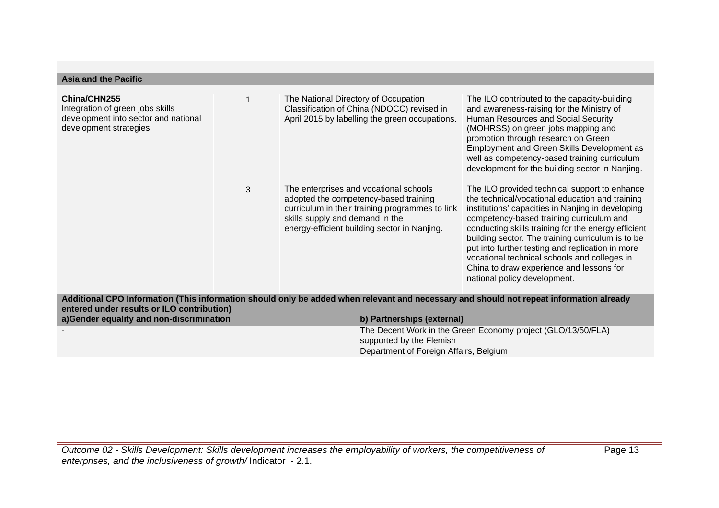| <b>Asia and the Pacific</b> |  |  |
|-----------------------------|--|--|
|-----------------------------|--|--|

| China/CHN255<br>Integration of green jobs skills<br>development into sector and national<br>development strategies |   | The National Directory of Occupation<br>Classification of China (NDOCC) revised in<br>April 2015 by labelling the green occupations.                                                                                  | The ILO contributed to the capacity-building<br>and awareness-raising for the Ministry of<br>Human Resources and Social Security<br>(MOHRSS) on green jobs mapping and<br>promotion through research on Green<br>Employment and Green Skills Development as<br>well as competency-based training curriculum<br>development for the building sector in Nanjing.                                                                                                                                |
|--------------------------------------------------------------------------------------------------------------------|---|-----------------------------------------------------------------------------------------------------------------------------------------------------------------------------------------------------------------------|-----------------------------------------------------------------------------------------------------------------------------------------------------------------------------------------------------------------------------------------------------------------------------------------------------------------------------------------------------------------------------------------------------------------------------------------------------------------------------------------------|
|                                                                                                                    | 3 | The enterprises and vocational schools<br>adopted the competency-based training<br>curriculum in their training programmes to link<br>skills supply and demand in the<br>energy-efficient building sector in Nanjing. | The ILO provided technical support to enhance<br>the technical/vocational education and training<br>institutions' capacities in Nanjing in developing<br>competency-based training curriculum and<br>conducting skills training for the energy efficient<br>building sector. The training curriculum is to be<br>put into further testing and replication in more<br>vocational technical schools and colleges in<br>China to draw experience and lessons for<br>national policy development. |
| entered under results or ILO contribution)                                                                         |   | Additional CPO Information (This information should only be added when relevant and necessary and should not repeat information already                                                                               |                                                                                                                                                                                                                                                                                                                                                                                                                                                                                               |

| a) Gender equality and non-discrimination | b) Partnerships (external)                                   |
|-------------------------------------------|--------------------------------------------------------------|
|                                           | The Decent Work in the Green Economy project (GLO/13/50/FLA) |
|                                           | supported by the Flemish                                     |
|                                           | Department of Foreign Affairs, Belgium                       |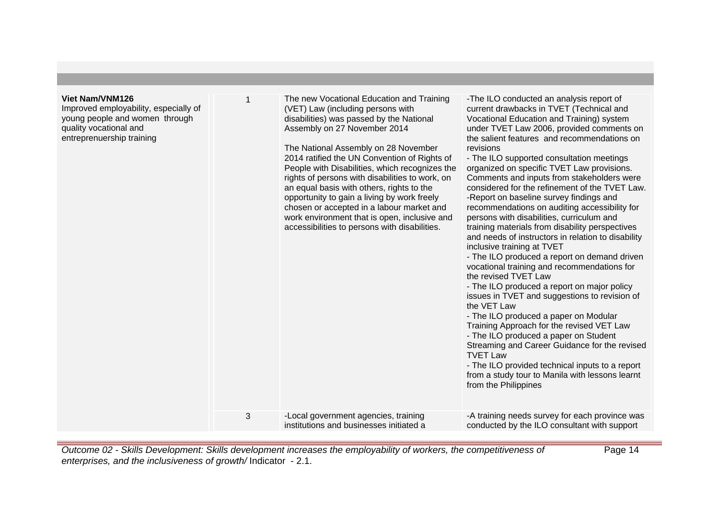Improved employability, especially of young people and women through quality vocational and entreprenuership training

The new Vocational Education and Training (VET) Law (including persons with disabilities) was passed by the National Assembly on 27 November 2014

The National Assembly on 28 November 2014 ratified the UN Convention of Rights of People with Disabilities, which recognizes the rights of persons with disabilities to work, on an equal basis with others, rights to the opportunity to gain a living by work freely chosen or accepted in a labour market and work environment that is open, inclusive and accessibilities to persons with disabilities.

-The ILO conducted an analysis report of current drawbacks in TVET (Technical and Vocational Education and Training) system under TVET Law 2006, provided comments on the salient features and recommendations on revisions

- The ILO supported consultation meetings organized on specific TVET Law provisions. Comments and inputs from stakeholders were considered for the refinement of the TVET Law. -Report on baseline survey findings and recommendations on auditing accessibility for persons with disabilities, curriculum and training materials from disability perspectives and needs of instructors in relation to disability inclusive training at TVET - The ILO produced a report on demand driven vocational training and recommendations for the revised TVET Law - The ILO produced a report on major policy issues in TVET and suggestions to revision of the VET Law - The ILO produced a paper on Modular Training Approach for the revised VET Law - The ILO produced a paper on Student Streaming and Career Guidance for the revised TVET Law - The ILO provided technical inputs to a report from a study tour to Manila with lessons learnt from the Philippines

3 -Local government agencies, training institutions and businesses initiated a

-A training needs survey for each province was conducted by the ILO consultant with support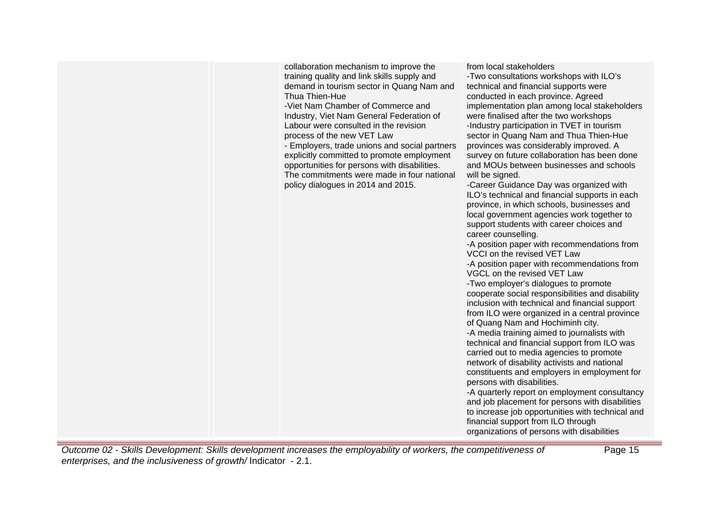collaboration mechanism to improve the training quality and link skills supply and demand in tourism sector in Quang Nam and Thua Thien-Hue

-Viet Nam Chamber of Commerce and Industry, Viet Nam General Federation of Labour were consulted in the revision process of the new VET Law

- Employers, trade unions and social partners explicitly committed to promote employment opportunities for persons with disabilities. The commitments were made in four national policy dialogues in 2014 and 2015.

from local stakeholders

-Two consultations workshops with ILO's technical and financial supports were conducted in each province. Agreed implementation plan among local stakeholders were finalised after the two workshops -Industry participation in TVET in tourism sector in Quang Nam and Thua Thien-Hue provinces was considerably improved. A survey on future collaboration has been done and MOUs between businesses and schools will be signed.

-Career Guidance Day was organized with ILO's technical and financial supports in each province, in which schools, businesses and local government agencies work together to support students with career choices and career counselling.

-A position paper with recommendations from VCCI on the revised VET Law

-A position paper with recommendations from VGCL on the revised VET Law

-Two employer's dialogues to promote cooperate social responsibilities and disability inclusion with technical and financial support from ILO were organized in a central province of Quang Nam and Hochiminh city.

-A media training aimed to journalists with technical and financial support from ILO was carried out to media agencies to promote network of disability activists and national constituents and employers in employment for persons with disabilities.

-A quarterly report on employment consultancy and job placement for persons with disabilities to increase job opportunities with technical and financial support from ILO through organizations of persons with disabilities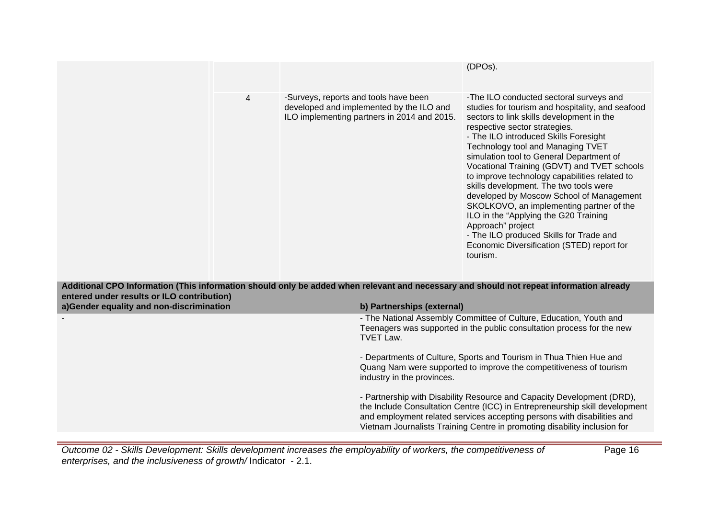|                                            |                |                                                                                                                                         | (DPOs).                                                                                                                                                                                                                                                                                                                                                                                                                                                                                                                                                                                                                                                                                                  |  |
|--------------------------------------------|----------------|-----------------------------------------------------------------------------------------------------------------------------------------|----------------------------------------------------------------------------------------------------------------------------------------------------------------------------------------------------------------------------------------------------------------------------------------------------------------------------------------------------------------------------------------------------------------------------------------------------------------------------------------------------------------------------------------------------------------------------------------------------------------------------------------------------------------------------------------------------------|--|
|                                            | $\overline{4}$ | -Surveys, reports and tools have been<br>developed and implemented by the ILO and<br>ILO implementing partners in 2014 and 2015.        | -The ILO conducted sectoral surveys and<br>studies for tourism and hospitality, and seafood<br>sectors to link skills development in the<br>respective sector strategies.<br>- The ILO introduced Skills Foresight<br>Technology tool and Managing TVET<br>simulation tool to General Department of<br>Vocational Training (GDVT) and TVET schools<br>to improve technology capabilities related to<br>skills development. The two tools were<br>developed by Moscow School of Management<br>SKOLKOVO, an implementing partner of the<br>ILO in the "Applying the G20 Training<br>Approach" project<br>- The ILO produced Skills for Trade and<br>Economic Diversification (STED) report for<br>tourism. |  |
| entered under results or ILO contribution) |                | Additional CPO Information (This information should only be added when relevant and necessary and should not repeat information already |                                                                                                                                                                                                                                                                                                                                                                                                                                                                                                                                                                                                                                                                                                          |  |
| a)Gender equality and non-discrimination   |                |                                                                                                                                         | b) Partnerships (external)                                                                                                                                                                                                                                                                                                                                                                                                                                                                                                                                                                                                                                                                               |  |
|                                            |                | <b>TVET Law.</b>                                                                                                                        | - The National Assembly Committee of Culture, Education, Youth and<br>Teenagers was supported in the public consultation process for the new                                                                                                                                                                                                                                                                                                                                                                                                                                                                                                                                                             |  |
|                                            |                | industry in the provinces.                                                                                                              | - Departments of Culture, Sports and Tourism in Thua Thien Hue and<br>Quang Nam were supported to improve the competitiveness of tourism                                                                                                                                                                                                                                                                                                                                                                                                                                                                                                                                                                 |  |

Outcome 02 - Skills Development: Skills development increases the employability of workers, the competitiveness of enterprises, and the inclusiveness of growth/ Indicator - 2.1. Vietnam Journalists Training Centre in promoting disability inclusion for

Page 16

- Partnership with Disability Resource and Capacity Development (DRD), the Include Consultation Centre (ICC) in Entrepreneurship skill development and employment related services accepting persons with disabilities and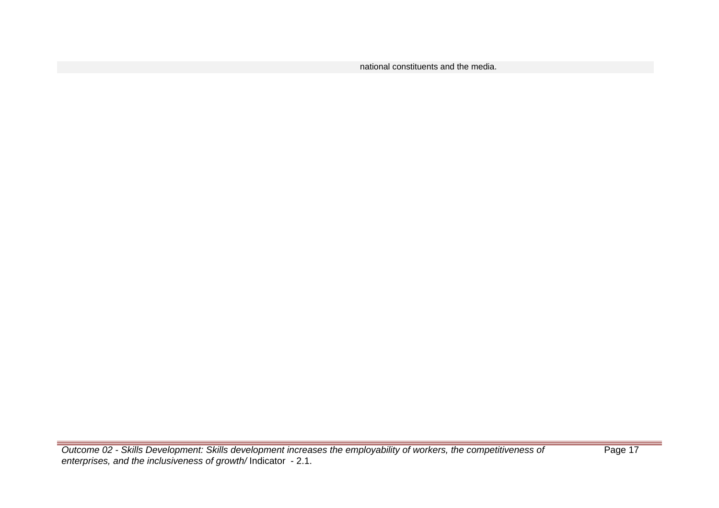national constituents and the media.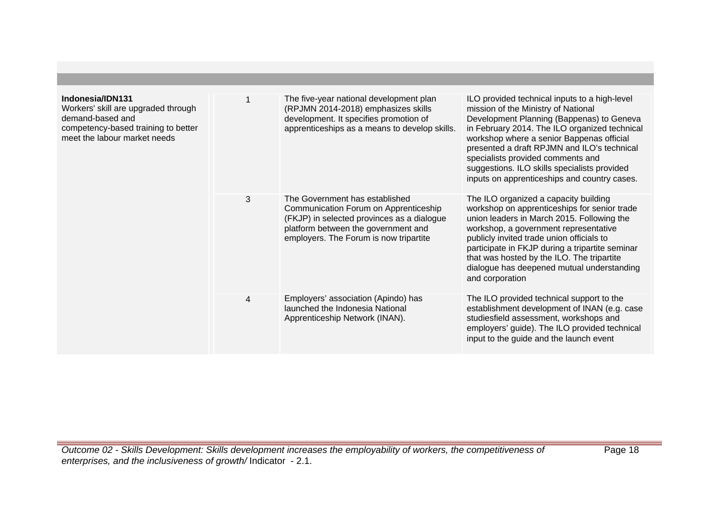| Indonesia/IDN131<br>Workers' skill are upgraded through<br>demand-based and<br>competency-based training to better<br>meet the labour market needs |   | The five-year national development plan<br>(RPJMN 2014-2018) emphasizes skills<br>development. It specifies promotion of<br>apprenticeships as a means to develop skills.                              | ILO provided technical inputs to a high-level<br>mission of the Ministry of National<br>Development Planning (Bappenas) to Geneva<br>in February 2014. The ILO organized technical<br>workshop where a senior Bappenas official<br>presented a draft RPJMN and ILO's technical<br>specialists provided comments and<br>suggestions. ILO skills specialists provided<br>inputs on apprenticeships and country cases. |
|----------------------------------------------------------------------------------------------------------------------------------------------------|---|--------------------------------------------------------------------------------------------------------------------------------------------------------------------------------------------------------|---------------------------------------------------------------------------------------------------------------------------------------------------------------------------------------------------------------------------------------------------------------------------------------------------------------------------------------------------------------------------------------------------------------------|
|                                                                                                                                                    | 3 | The Government has established<br>Communication Forum on Apprenticeship<br>(FKJP) in selected provinces as a dialogue<br>platform between the government and<br>employers. The Forum is now tripartite | The ILO organized a capacity building<br>workshop on apprenticeships for senior trade<br>union leaders in March 2015. Following the<br>workshop, a government representative<br>publicly invited trade union officials to<br>participate in FKJP during a tripartite seminar<br>that was hosted by the ILO. The tripartite<br>dialogue has deepened mutual understanding<br>and corporation                         |
|                                                                                                                                                    | 4 | Employers' association (Apindo) has<br>launched the Indonesia National<br>Apprenticeship Network (INAN).                                                                                               | The ILO provided technical support to the<br>establishment development of INAN (e.g. case<br>studiesfield assessment, workshops and<br>employers' guide). The ILO provided technical<br>input to the guide and the launch event                                                                                                                                                                                     |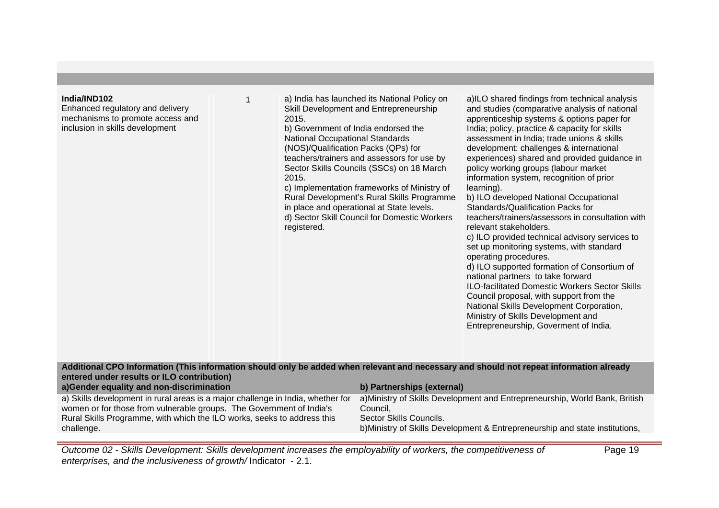### **India/IND102**

Enhanced regulatory and delivery mechanisms to promote access and inclusion in skills development

a) India has launched its National Policy on Skill Development and Entrepreneurship 2015.

b) Government of India endorsed the National Occupational Standards (NOS)/Qualification Packs (QPs) for teachers/trainers and assessors for use by Sector Skills Councils (SSCs) on 18 March 2015.

c) Implementation frameworks of Ministry of Rural Development's Rural Skills Programme in place and operational at State levels. d) Sector Skill Council for Domestic Workers registered.

a)ILO shared findings from technical analysis and studies (comparative analysis of national apprenticeship systems & options paper for India; policy, practice & capacity for skills assessment in India; trade unions & skills development: challenges & international experiences) shared and provided guidance in policy working groups (labour market information system, recognition of prior learning).

b) ILO developed National Occupational Standards/Qualification Packs for teachers/trainers/assessors in consultation with relevant stakeholders.

c) ILO provided technical advisory services to set up monitoring systems, with standard operating procedures.

d) ILO supported formation of Consortium of national partners to take forward ILO-facilitated Domestic Workers Sector Skills Council proposal, with support from the National Skills Development Corporation, Ministry of Skills Development and Entrepreneurship, Goverment of India.

| Additional CPO Information (This information should only be added when relevant and necessary and should not repeat information already |
|-----------------------------------------------------------------------------------------------------------------------------------------|
| entered under results or ILO contribution)                                                                                              |

| a)Gender equality and non-discrimination                                        | b) Partnerships (external)                                                   |
|---------------------------------------------------------------------------------|------------------------------------------------------------------------------|
| a) Skills development in rural areas is a major challenge in India, whether for | a) Ministry of Skills Development and Entrepreneurship, World Bank, British  |
| women or for those from vulnerable groups. The Government of India's            | Council.                                                                     |
| Rural Skills Programme, with which the ILO works, seeks to address this         | Sector Skills Councils.                                                      |
| challenge.                                                                      | b) Ministry of Skills Development & Entrepreneurship and state institutions, |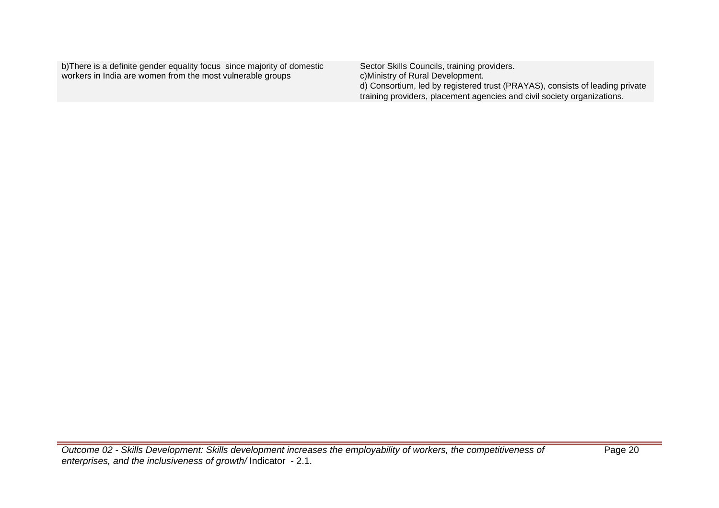b)There is a definite gender equality focus since majority of domestic workers in India are women from the most vulnerable groups

Sector Skills Councils, training providers. c)Ministry of Rural Development. d) Consortium, led by registered trust (PRAYAS), consists of leading private training providers, placement agencies and civil society organizations.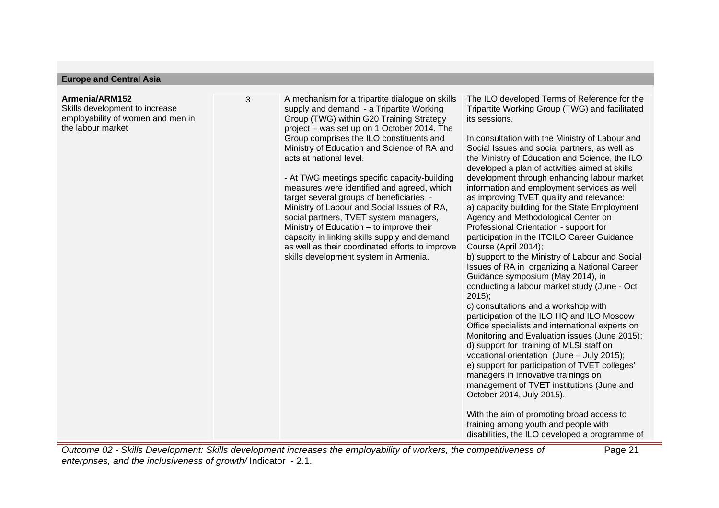### **Europe and Central Asia**

### **Armenia/ARM152**

Skills development to increase employability of women and men in the labour market

3 A mechanism for a tripartite dialogue on skills supply and demand - a Tripartite Working Group (TWG) within G20 Training Strategy project – was set up on 1 October 2014. The Group comprises the ILO constituents and Ministry of Education and Science of RA and acts at national level.

> - At TWG meetings specific capacity-building measures were identified and agreed, which target several groups of beneficiaries -Ministry of Labour and Social Issues of RA, social partners, TVET system managers, Ministry of Education – to improve their capacity in linking skills supply and demand as well as their coordinated efforts to improve skills development system in Armenia.

The ILO developed Terms of Reference for the Tripartite Working Group (TWG) and facilitated its sessions.

In consultation with the Ministry of Labour and Social Issues and social partners, as well as the Ministry of Education and Science, the ILO developed a plan of activities aimed at skills development through enhancing labour market information and employment services as well as improving TVET quality and relevance: a) capacity building for the State Employment Agency and Methodological Center on Professional Orientation - support for participation in the ITCILO Career Guidance Course (April 2014); b) support to the Ministry of Labour and Social Issues of RA in organizing a National Career Guidance symposium (May 2014), in conducting a labour market study (June - Oct 2015); c) consultations and a workshop with participation of the ILO HQ and ILO Moscow Office specialists and international experts on Monitoring and Evaluation issues (June 2015); d) support for training of MLSI staff on vocational orientation (June – July 2015); e) support for participation of TVET colleges' managers in innovative trainings on management of TVET institutions (June and October 2014, July 2015).

With the aim of promoting broad access to training among youth and people with disabilities, the ILO developed a programme of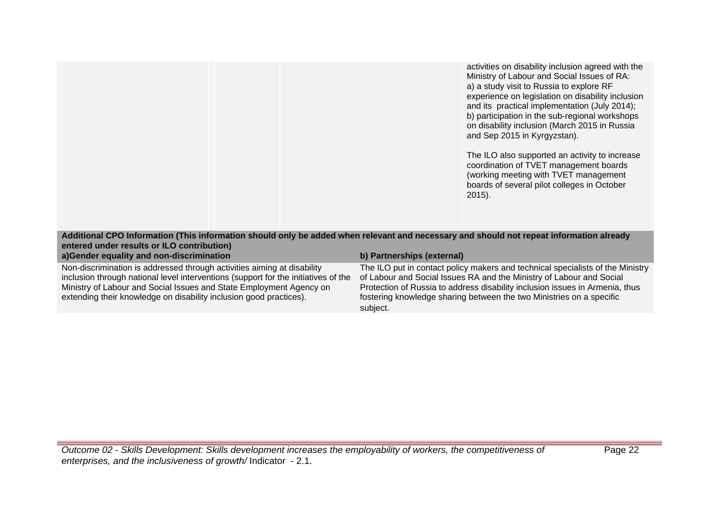activities on disability inclusion agreed with the Ministry of Labour and Social Issues of RA: a) a study visit to Russia to explore RF experience on legislation on disability inclusion and its practical implementation (July 2014); b) participation in the sub-regional workshops on disability inclusion (March 2015 in Russia and Sep 2015 in Kyrgyzstan).

The ILO also supported an activity to increase coordination of TVET management boards (working meeting with TVET management boards of several pilot colleges in October 2015).

**Additional CPO Information (This information should only be added when relevant and necessary and should not repeat information already entered under results or ILO contribution)**

**a)Gender equality and non-discrimination b) Partnerships (external)**

Non-discrimination is addressed through activities aiming at disability inclusion through national level interventions (support for the initiatives of the Ministry of Labour and Social Issues and State Employment Agency on extending their knowledge on disability inclusion good practices).

The ILO put in contact policy makers and technical specialists of the Ministry of Labour and Social Issues RA and the Ministry of Labour and Social Protection of Russia to address disability inclusion issues in Armenia, thus fostering knowledge sharing between the two Ministries on a specific subject.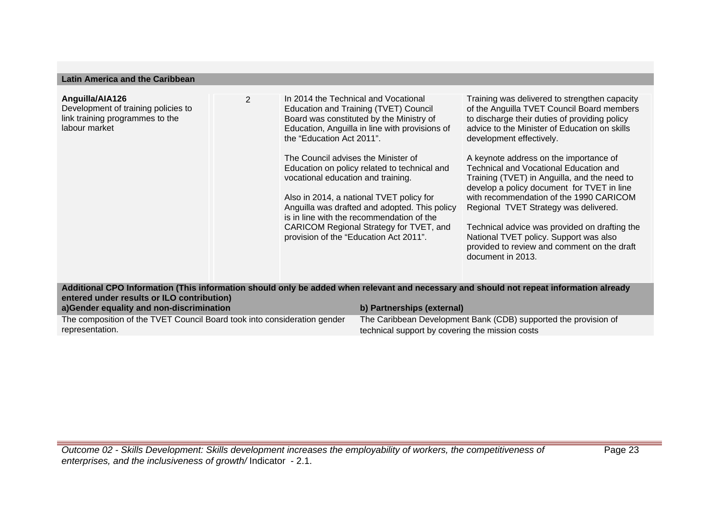# **Latin America and the Caribbean**

| Anguilla/AIA126<br>Development of training policies to<br>link training programmes to the<br>labour market | 2 | In 2014 the Technical and Vocational<br>Education and Training (TVET) Council<br>Board was constituted by the Ministry of<br>Education, Anguilla in line with provisions of<br>the "Education Act 2011".<br>The Council advises the Minister of<br>Education on policy related to technical and<br>vocational education and training.<br>Also in 2014, a national TVET policy for<br>Anguilla was drafted and adopted. This policy<br>is in line with the recommendation of the<br>CARICOM Regional Strategy for TVET, and<br>provision of the "Education Act 2011". | Training was delivered to strengthen capacity<br>of the Anguilla TVET Council Board members<br>to discharge their duties of providing policy<br>advice to the Minister of Education on skills<br>development effectively.<br>A keynote address on the importance of<br>Technical and Vocational Education and<br>Training (TVET) in Anguilla, and the need to<br>develop a policy document for TVET in line<br>with recommendation of the 1990 CARICOM<br>Regional TVET Strategy was delivered.<br>Technical advice was provided on drafting the<br>National TVET policy. Support was also<br>provided to review and comment on the draft<br>document in 2013. |
|------------------------------------------------------------------------------------------------------------|---|----------------------------------------------------------------------------------------------------------------------------------------------------------------------------------------------------------------------------------------------------------------------------------------------------------------------------------------------------------------------------------------------------------------------------------------------------------------------------------------------------------------------------------------------------------------------|----------------------------------------------------------------------------------------------------------------------------------------------------------------------------------------------------------------------------------------------------------------------------------------------------------------------------------------------------------------------------------------------------------------------------------------------------------------------------------------------------------------------------------------------------------------------------------------------------------------------------------------------------------------|
| entered under results or ILO contribution)<br>a)Gender equality and non-discrimination                     |   | Additional CPO Information (This information should only be added when relevant and necessary and should not repeat information already<br>b) Partnerships (external)                                                                                                                                                                                                                                                                                                                                                                                                |                                                                                                                                                                                                                                                                                                                                                                                                                                                                                                                                                                                                                                                                |

The composition of the TVET Council Board took into consideration gender representation.

The Caribbean Development Bank (CDB) supported the provision of technical support by covering the mission costs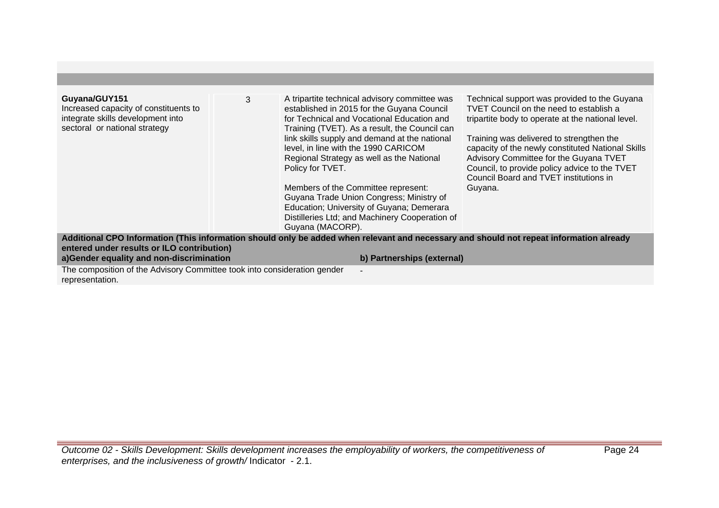| Guyana/GUY151<br>Increased capacity of constituents to<br>integrate skills development into<br>sectoral or national strategy | 3 | A tripartite technical advisory committee was<br>established in 2015 for the Guyana Council<br>for Technical and Vocational Education and<br>Training (TVET). As a result, the Council can<br>link skills supply and demand at the national<br>level, in line with the 1990 CARICOM<br>Regional Strategy as well as the National<br>Policy for TVET. | Technical support was provided to the Guyana<br>TVET Council on the need to establish a<br>tripartite body to operate at the national level.<br>Training was delivered to strengthen the<br>capacity of the newly constituted National Skills<br>Advisory Committee for the Guyana TVET<br>Council, to provide policy advice to the TVET<br>Council Board and TVET institutions in |
|------------------------------------------------------------------------------------------------------------------------------|---|------------------------------------------------------------------------------------------------------------------------------------------------------------------------------------------------------------------------------------------------------------------------------------------------------------------------------------------------------|------------------------------------------------------------------------------------------------------------------------------------------------------------------------------------------------------------------------------------------------------------------------------------------------------------------------------------------------------------------------------------|
|                                                                                                                              |   | Members of the Committee represent:                                                                                                                                                                                                                                                                                                                  | Guyana.                                                                                                                                                                                                                                                                                                                                                                            |
|                                                                                                                              |   | Guyana Trade Union Congress; Ministry of                                                                                                                                                                                                                                                                                                             |                                                                                                                                                                                                                                                                                                                                                                                    |
|                                                                                                                              |   | Education; University of Guyana; Demerara                                                                                                                                                                                                                                                                                                            |                                                                                                                                                                                                                                                                                                                                                                                    |
|                                                                                                                              |   | Distilleries Ltd; and Machinery Cooperation of                                                                                                                                                                                                                                                                                                       |                                                                                                                                                                                                                                                                                                                                                                                    |
|                                                                                                                              |   | Guyana (MACORP).                                                                                                                                                                                                                                                                                                                                     |                                                                                                                                                                                                                                                                                                                                                                                    |
|                                                                                                                              |   | Additional CPO Information (This information should only be added when relevant and necessary and should not repeat information already                                                                                                                                                                                                              |                                                                                                                                                                                                                                                                                                                                                                                    |
| entered under results or ILO contribution)                                                                                   |   |                                                                                                                                                                                                                                                                                                                                                      |                                                                                                                                                                                                                                                                                                                                                                                    |
| a)Gender equality and non-discrimination                                                                                     |   | b) Partnerships (external)                                                                                                                                                                                                                                                                                                                           |                                                                                                                                                                                                                                                                                                                                                                                    |

-

The composition of the Advisory Committee took into consideration gender representation.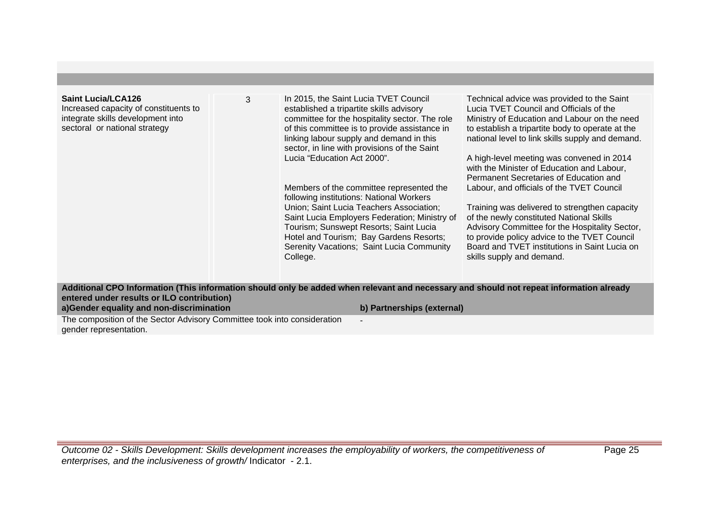### **Saint Lucia/LCA126** Increased capacity of constituents to integrate skills development into sectoral or national strategy 3 In 2015, the Saint Lucia TVET Council established a tripartite skills advisory committee for the hospitality sector. The role of this committee is to provide assistance in linking labour supply and demand in this sector, in line with provisions of the Saint Lucia "Education Act 2000". Members of the committee represented the following institutions: National Workers Union; Saint Lucia Teachers Association; Saint Lucia Employers Federation; Ministry of Tourism; Sunswept Resorts; Saint Lucia Hotel and Tourism; Bay Gardens Resorts; Serenity Vacations; Saint Lucia Community College. Technical advice was provided to the Saint Lucia TVET Council and Officials of the Ministry of Education and Labour on the need to establish a tripartite body to operate at the national level to link skills supply and demand. A high-level meeting was convened in 2014 with the Minister of Education and Labour, Permanent Secretaries of Education and Labour, and officials of the TVET Council Training was delivered to strengthen capacity of the newly constituted National Skills Advisory Committee for the Hospitality Sector, to provide policy advice to the TVET Council Board and TVET institutions in Saint Lucia on skills supply and demand.

**Additional CPO Information (This information should only be added when relevant and necessary and should not repeat information already entered under results or ILO contribution) a)Gender equality and non-discrimination b) Partnerships (external)** -

The composition of the Sector Advisory Committee took into consideration gender representation.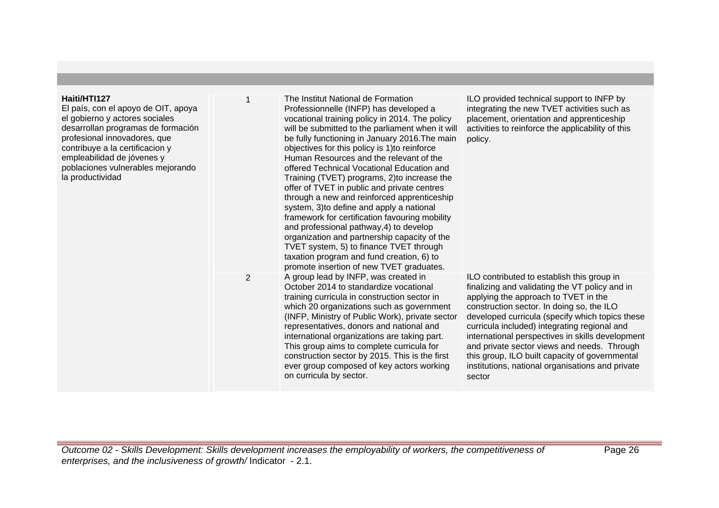# **Haiti/HTI127**

El país, con el apoyo de OIT, apoya el gobierno y actores sociales desarrollan programas de formación profesional innovadores, que contribuye a la certificacion y empleabilidad de jóvenes y poblaciones vulnerables mejorando la productividad

1 The Institut National de Formation Professionnelle (INFP) has developed a vocational training policy in 2014. The policy will be submitted to the parliament when it will be fully functioning in January 2016.The main objectives for this policy is 1)to reinforce Human Resources and the relevant of the offered Technical Vocational Education and Training (TVET) programs, 2)to increase the offer of TVET in public and private centres through a new and reinforced apprenticeship system, 3)to define and apply a national framework for certification favouring mobility and professional pathway,4) to develop organization and partnership capacity of the TVET system, 5) to finance TVET through taxation program and fund creation, 6) to promote insertion of new TVET graduates. ILO provided technical support to INFP by integrating the new TVET activities such as placement, orientation and apprenticeship activities to reinforce the applicability of this policy. 2 A group lead by INFP, was created in October 2014 to standardize vocational training curricula in construction sector in which 20 organizations such as government (INFP, Ministry of Public Work), private sector representatives, donors and national and international organizations are taking part. This group aims to complete curricula for construction sector by 2015. This is the first ever group composed of key actors working on curricula by sector. ILO contributed to establish this group in finalizing and validating the VT policy and in applying the approach to TVET in the construction sector. In doing so, the ILO developed curricula (specify which topics these curricula included) integrating regional and international perspectives in skills development and private sector views and needs. Through this group, ILO built capacity of governmental institutions, national organisations and private sector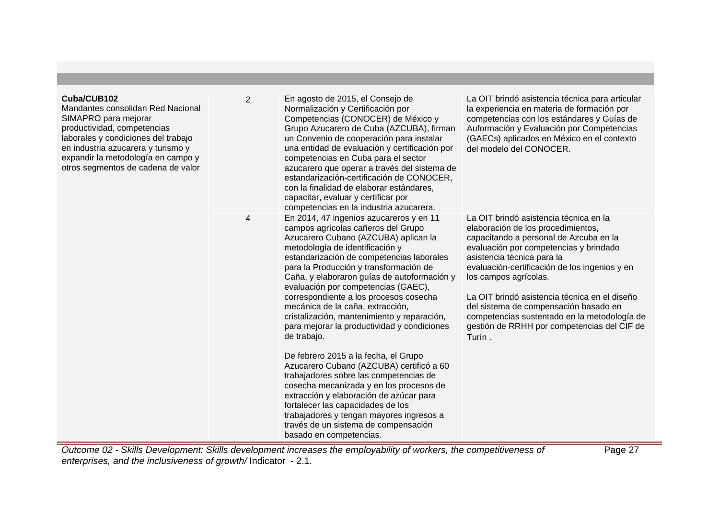| Cuba/CUB102<br>Mandantes consolidan Red Nacional<br>SIMAPRO para mejorar<br>productividad, competencias<br>laborales y condiciones del trabajo<br>en industria azucarera y turismo y<br>expandir la metodología en campo y<br>otros segmentos de cadena de valor | $\overline{2}$ | En agosto de 2015, el Consejo de<br>Normalización y Certificación por<br>Competencias (CONOCER) de México y<br>Grupo Azucarero de Cuba (AZCUBA), firman<br>un Convenio de cooperación para instalar<br>una entidad de evaluación y certificación por<br>competencias en Cuba para el sector<br>azucarero que operar a través del sistema de<br>estandarización-certificación de CONOCER,<br>con la finalidad de elaborar estándares,<br>capacitar, evaluar y certificar por<br>competencias en la industria azucarera.                                                                                                                                                                                                                                                                                                                                                                                   | La OIT brindó asistencia técnica para articular<br>la experiencia en materia de formación por<br>competencias con los estándares y Guías de<br>Auformación y Evaluación por Competencias<br>(GAECs) aplicados en México en el contexto<br>del modelo del CONOCER.                                                                                                                                                                                                           |
|------------------------------------------------------------------------------------------------------------------------------------------------------------------------------------------------------------------------------------------------------------------|----------------|----------------------------------------------------------------------------------------------------------------------------------------------------------------------------------------------------------------------------------------------------------------------------------------------------------------------------------------------------------------------------------------------------------------------------------------------------------------------------------------------------------------------------------------------------------------------------------------------------------------------------------------------------------------------------------------------------------------------------------------------------------------------------------------------------------------------------------------------------------------------------------------------------------|-----------------------------------------------------------------------------------------------------------------------------------------------------------------------------------------------------------------------------------------------------------------------------------------------------------------------------------------------------------------------------------------------------------------------------------------------------------------------------|
|                                                                                                                                                                                                                                                                  | 4              | En 2014, 47 ingenios azucareros y en 11<br>campos agrícolas cañeros del Grupo<br>Azucarero Cubano (AZCUBA) aplican la<br>metodología de identificación y<br>estandarización de competencias laborales<br>para la Producción y transformación de<br>Caña, y elaboraron guías de autoformación y<br>evaluación por competencias (GAEC),<br>correspondiente a los procesos cosecha<br>mecánica de la caña, extracción,<br>cristalización, mantenimiento y reparación,<br>para mejorar la productividad y condiciones<br>de trabajo.<br>De febrero 2015 a la fecha, el Grupo<br>Azucarero Cubano (AZCUBA) certificó a 60<br>trabajadores sobre las competencias de<br>cosecha mecanizada y en los procesos de<br>extracción y elaboración de azúcar para<br>fortalecer las capacidades de los<br>trabajadores y tengan mayores ingresos a<br>través de un sistema de compensación<br>basado en competencias. | La OIT brindó asistencia técnica en la<br>elaboración de los procedimientos,<br>capacitando a personal de Azcuba en la<br>evaluación por competencias y brindado<br>asistencia técnica para la<br>evaluación-certificación de los ingenios y en<br>los campos agrícolas.<br>La OIT brindó asistencia técnica en el diseño<br>del sistema de compensación basado en<br>competencias sustentado en la metodología de<br>gestión de RRHH por competencias del CIF de<br>Turín. |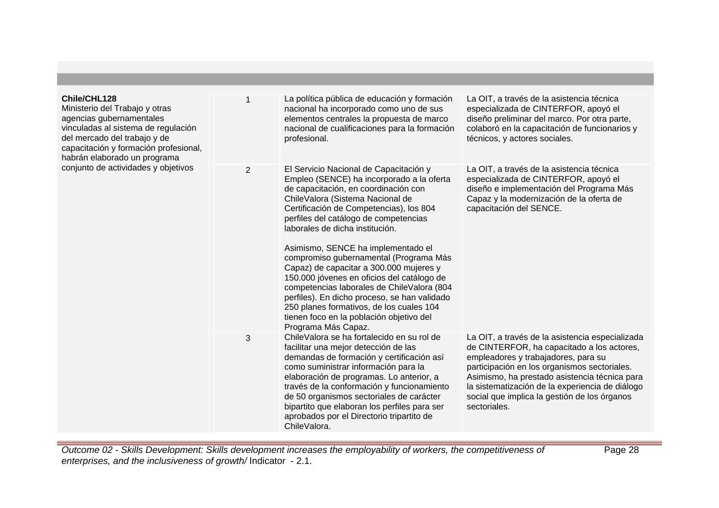| Chile/CHL128<br>Ministerio del Trabajo y otras<br>agencias gubernamentales<br>vinculadas al sistema de regulación<br>del mercado del trabajo y de<br>capacitación y formación profesional,<br>habrán elaborado un programa<br>conjunto de actividades y objetivos |                | La política pública de educación y formación<br>nacional ha incorporado como uno de sus<br>elementos centrales la propuesta de marco<br>nacional de cualificaciones para la formación<br>profesional.                                                                                                                                                                                                                                                                                                                                                                                                                                                                        | La OIT, a través de la asistencia técnica<br>especializada de CINTERFOR, apoyó el<br>diseño preliminar del marco. Por otra parte,<br>colaboró en la capacitación de funcionarios y<br>técnicos, y actores sociales.                                                                                                                                      |
|-------------------------------------------------------------------------------------------------------------------------------------------------------------------------------------------------------------------------------------------------------------------|----------------|------------------------------------------------------------------------------------------------------------------------------------------------------------------------------------------------------------------------------------------------------------------------------------------------------------------------------------------------------------------------------------------------------------------------------------------------------------------------------------------------------------------------------------------------------------------------------------------------------------------------------------------------------------------------------|----------------------------------------------------------------------------------------------------------------------------------------------------------------------------------------------------------------------------------------------------------------------------------------------------------------------------------------------------------|
|                                                                                                                                                                                                                                                                   | $\overline{2}$ | El Servicio Nacional de Capacitación y<br>Empleo (SENCE) ha incorporado a la oferta<br>de capacitación, en coordinación con<br>ChileValora (Sistema Nacional de<br>Certificación de Competencias), los 804<br>perfiles del catálogo de competencias<br>laborales de dicha institución.<br>Asimismo, SENCE ha implementado el<br>compromiso gubernamental (Programa Más<br>Capaz) de capacitar a 300.000 mujeres y<br>150.000 jóvenes en oficios del catálogo de<br>competencias laborales de ChileValora (804<br>perfiles). En dicho proceso, se han validado<br>250 planes formativos, de los cuales 104<br>tienen foco en la población objetivo del<br>Programa Más Capaz. | La OIT, a través de la asistencia técnica<br>especializada de CINTERFOR, apoyó el<br>diseño e implementación del Programa Más<br>Capaz y la modernización de la oferta de<br>capacitación del SENCE.                                                                                                                                                     |
|                                                                                                                                                                                                                                                                   | 3              | Chile Valora se ha fortalecido en su rol de<br>facilitar una mejor detección de las<br>demandas de formación y certificación así<br>como suministrar información para la<br>elaboración de programas. Lo anterior, a<br>través de la conformación y funcionamiento<br>de 50 organismos sectoriales de carácter<br>bipartito que elaboran los perfiles para ser<br>aprobados por el Directorio tripartito de<br>ChileValora.                                                                                                                                                                                                                                                  | La OIT, a través de la asistencia especializada<br>de CINTERFOR, ha capacitado a los actores,<br>empleadores y trabajadores, para su<br>participación en los organismos sectoriales.<br>Asimismo, ha prestado asistencia técnica para<br>la sistematización de la experiencia de diálogo<br>social que implica la gestión de los órganos<br>sectoriales. |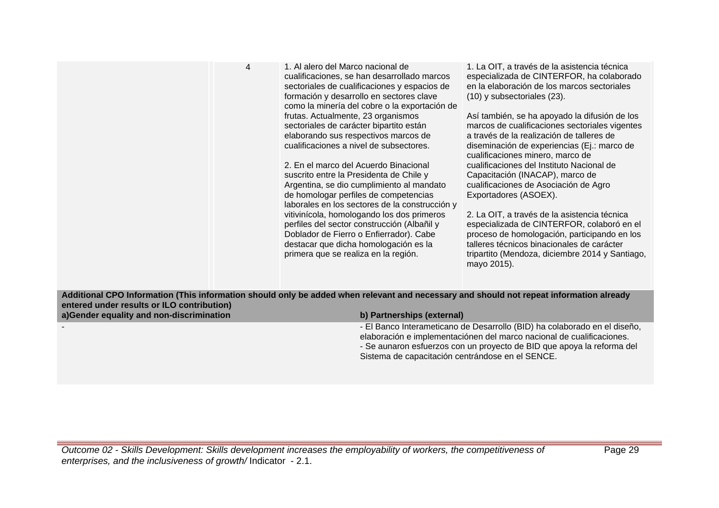|                                                                                        | 1. Al alero del Marco nacional de<br>4<br>cualificaciones, se han desarrollado marcos<br>sectoriales de cualificaciones y espacios de<br>formación y desarrollo en sectores clave<br>como la minería del cobre o la exportación de<br>frutas. Actualmente, 23 organismos<br>sectoriales de carácter bipartito están<br>elaborando sus respectivos marcos de<br>cualificaciones a nivel de subsectores.<br>2. En el marco del Acuerdo Binacional<br>suscrito entre la Presidenta de Chile y<br>Argentina, se dio cumplimiento al mandato<br>de homologar perfiles de competencias<br>laborales en los sectores de la construcción y<br>vitivinícola, homologando los dos primeros<br>perfiles del sector construcción (Albañil y<br>Doblador de Fierro o Enfierrador). Cabe<br>destacar que dicha homologación es la<br>primera que se realiza en la región. | 1. La OIT, a través de la asistencia técnica<br>especializada de CINTERFOR, ha colaborado<br>en la elaboración de los marcos sectoriales<br>(10) y subsectoriales (23).<br>Así también, se ha apoyado la difusión de los<br>marcos de cualificaciones sectoriales vigentes<br>a través de la realización de talleres de<br>diseminación de experiencias (Ej.: marco de<br>cualificaciones minero, marco de<br>cualificaciones del Instituto Nacional de<br>Capacitación (INACAP), marco de<br>cualificaciones de Asociación de Agro<br>Exportadores (ASOEX).<br>2. La OIT, a través de la asistencia técnica<br>especializada de CINTERFOR, colaboró en el<br>proceso de homologación, participando en los<br>talleres técnicos binacionales de carácter<br>tripartito (Mendoza, diciembre 2014 y Santiago,<br>mayo 2015). |
|----------------------------------------------------------------------------------------|-------------------------------------------------------------------------------------------------------------------------------------------------------------------------------------------------------------------------------------------------------------------------------------------------------------------------------------------------------------------------------------------------------------------------------------------------------------------------------------------------------------------------------------------------------------------------------------------------------------------------------------------------------------------------------------------------------------------------------------------------------------------------------------------------------------------------------------------------------------|----------------------------------------------------------------------------------------------------------------------------------------------------------------------------------------------------------------------------------------------------------------------------------------------------------------------------------------------------------------------------------------------------------------------------------------------------------------------------------------------------------------------------------------------------------------------------------------------------------------------------------------------------------------------------------------------------------------------------------------------------------------------------------------------------------------------------|
| entered under results or ILO contribution)<br>a)Gender equality and non-discrimination | Additional CPO Information (This information should only be added when relevant and necessary and should not repeat information already<br>b) Partnerships (external)                                                                                                                                                                                                                                                                                                                                                                                                                                                                                                                                                                                                                                                                                       |                                                                                                                                                                                                                                                                                                                                                                                                                                                                                                                                                                                                                                                                                                                                                                                                                            |

- El Banco Interameticano de Desarrollo (BID) ha colaborado en el diseño, elaboración e implementaciónen del marco nacional de cualificaciones. - Se aunaron esfuerzos con un proyecto de BID que apoya la reforma del Sistema de capacitación centrándose en el SENCE.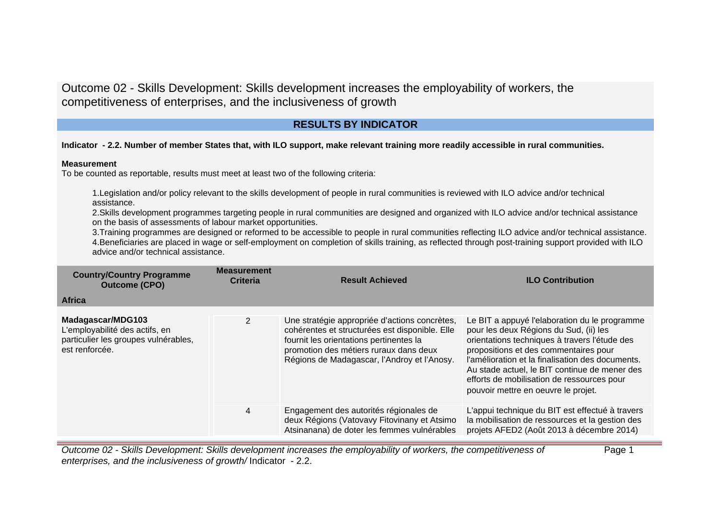# **RESULTS BY INDICATOR**

# **Indicator - 2.2. Number of member States that, with ILO support, make relevant training more readily accessible in rural communities.**

### **Measurement**

To be counted as reportable, results must meet at least two of the following criteria:

1.Legislation and/or policy relevant to the skills development of people in rural communities is reviewed with ILO advice and/or technical assistance.

2.Skills development programmes targeting people in rural communities are designed and organized with ILO advice and/or technical assistance on the basis of assessments of labour market opportunities.

3.Training programmes are designed or reformed to be accessible to people in rural communities reflecting ILO advice and/or technical assistance. 4.Beneficiaries are placed in wage or self-employment on completion of skills training, as reflected through post-training support provided with ILO advice and/or technical assistance.

| <b>Country/Country Programme</b><br><b>Outcome (CPO)</b>                                                      | <b>Measurement</b><br><b>Criteria</b> | <b>Result Achieved</b>                                                                                                                                                                                                              | <b>ILO Contribution</b>                                                                                                                                                                                                                                                                                                                                                     |
|---------------------------------------------------------------------------------------------------------------|---------------------------------------|-------------------------------------------------------------------------------------------------------------------------------------------------------------------------------------------------------------------------------------|-----------------------------------------------------------------------------------------------------------------------------------------------------------------------------------------------------------------------------------------------------------------------------------------------------------------------------------------------------------------------------|
| <b>Africa</b>                                                                                                 |                                       |                                                                                                                                                                                                                                     |                                                                                                                                                                                                                                                                                                                                                                             |
| Madagascar/MDG103<br>L'employabilité des actifs, en<br>particulier les groupes vulnérables,<br>est renforcée. | $\overline{2}$                        | Une stratégie appropriée d'actions concrètes,<br>cohérentes et structurées est disponible. Elle<br>fournit les orientations pertinentes la<br>promotion des métiers ruraux dans deux<br>Régions de Madagascar, l'Androy et l'Anosy. | Le BIT a appuyé l'elaboration du le programme<br>pour les deux Régions du Sud, (ii) les<br>orientations techniques à travers l'étude des<br>propositions et des commentaires pour<br>l'amélioration et la finalisation des documents.<br>Au stade actuel, le BIT continue de mener des<br>efforts de mobilisation de ressources pour<br>pouvoir mettre en oeuvre le projet. |
|                                                                                                               | $\overline{4}$                        | Engagement des autorités régionales de<br>deux Régions (Vatovavy Fitovinany et Atsimo<br>Atsinanana) de doter les femmes vulnérables                                                                                                | L'appui technique du BIT est effectué à travers<br>la mobilisation de ressources et la gestion des<br>projets AFED2 (Août 2013 à décembre 2014)                                                                                                                                                                                                                             |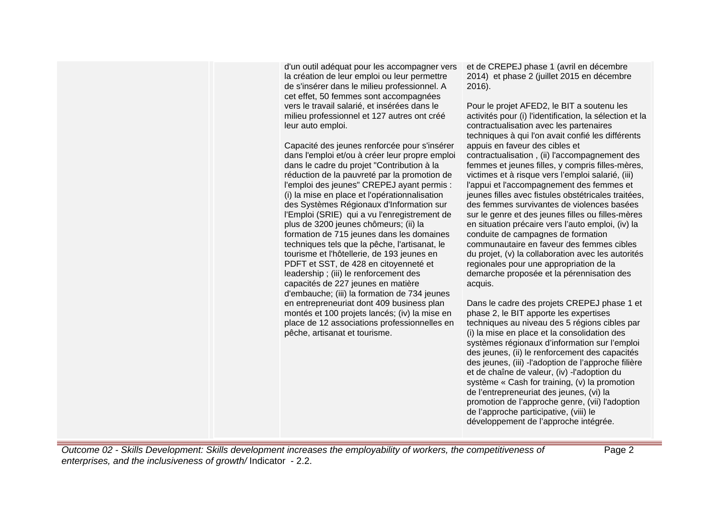d'un outil adéquat pour les accompagner vers la création de leur emploi ou leur permettre de s'insérer dans le milieu professionnel. A cet effet, 50 femmes sont accompagnées vers le travail salarié, et insérées dans le milieu professionnel et 127 autres ont créé leur auto emploi.

Capacité des jeunes renforcée pour s'insérer dans l'emploi et/ou à créer leur propre emploi dans le cadre du projet "Contribution à la réduction de la pauvreté par la promotion de l'emploi des jeunes" CREPEJ ayant permis : (i) la mise en place et l'opérationnalisation des Systèmes Régionaux d'Information sur l'Emploi (SRIE) qui a vu l'enregistrement de plus de 3200 jeunes chômeurs; (ii) la formation de 715 jeunes dans les domaines techniques tels que la pêche, l'artisanat, le tourisme et l'hôtellerie, de 193 jeunes en PDFT et SST, de 428 en citoyenneté et leadership ; (iii) le renforcement des capacités de 227 jeunes en matière d'embauche; (iii) la formation de 734 jeunes en entrepreneuriat dont 409 business plan montés et 100 projets lancés; (iv) la mise en place de 12 associations professionnelles en pêche, artisanat et tourisme.

et de CREPEJ phase 1 (avril en décembre 2014) et phase 2 (juillet 2015 en décembre 2016).

Pour le projet AFED2, le BIT a soutenu les activités pour (i) l'identification, la sélection et la contractualisation avec les partenaires techniques à qui l'on avait confié les différents appuis en faveur des cibles et contractualisation , (ii) l'accompagnement des femmes et jeunes filles, y compris filles-mères, victimes et à risque vers l'emploi salarié, (iii) l'appui et l'accompagnement des femmes et jeunes filles avec fistules obstétricales traitées, des femmes survivantes de violences basées sur le genre et des jeunes filles ou filles-mères en situation précaire vers l'auto emploi, (iv) la conduite de campagnes de formation communautaire en faveur des femmes cibles du projet, (v) la collaboration avec les autorités regionales pour une appropriation de la demarche proposée et la pérennisation des acquis.

Dans le cadre des projets CREPEJ phase 1 et phase 2, le BIT apporte les expertises techniques au niveau des 5 régions cibles par (i) la mise en place et la consolidation des systèmes régionaux d'information sur l'emploi des jeunes, (ii) le renforcement des capacités des jeunes, (iii) -l'adoption de l'approche filière et de chaîne de valeur, (iv) -l'adoption du système « Cash for training, (v) la promotion de l'entrepreneuriat des jeunes, (vi) la promotion de l'approche genre, (vii) l'adoption de l'approche participative, (viii) le développement de l'approche intégrée.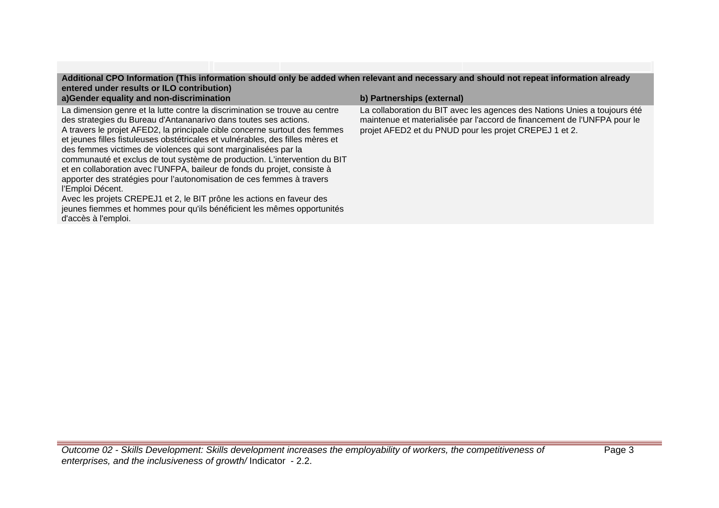|                                            | Additional CPO Information (This information should only be added when relevant and necessary and should not repeat information already |  |
|--------------------------------------------|-----------------------------------------------------------------------------------------------------------------------------------------|--|
| entered under results or ILO contribution) |                                                                                                                                         |  |

La dimension genre et la lutte contre la discrimination se trouve au centre des strategies du Bureau d'Antananarivo dans toutes ses actions. A travers le projet AFED2, la principale cible concerne surtout des femmes et jeunes filles fistuleuses obstétricales et vulnérables, des filles mères et des femmes victimes de violences qui sont marginalisées par la communauté et exclus de tout système de production. L'intervention du BIT et en collaboration avec l'UNFPA, baileur de fonds du projet, consiste à apporter des stratégies pour l'autonomisation de ces femmes à travers l'Emploi Décent.

Avec les projets CREPEJ1 et 2, le BIT prône les actions en faveur des jeunes fiemmes et hommes pour qu'ils bénéficient les mêmes opportunités d'accès à l'emploi.

# **b) Partnerships (external)**

La collaboration du BIT avec les agences des Nations Unies a toujours été maintenue et materialisée par l'accord de financement de l'UNFPA pour le projet AFED2 et du PNUD pour les projet CREPEJ 1 et 2.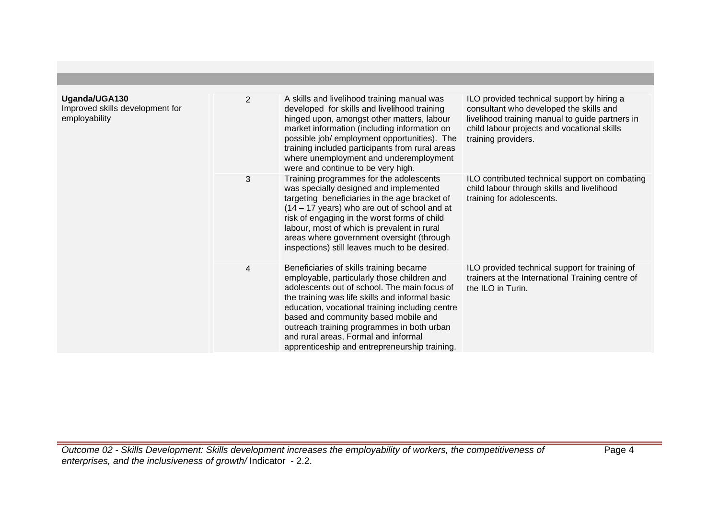| Uganda/UGA130<br>Improved skills development for<br>employability | 2 | A skills and livelihood training manual was<br>developed for skills and livelihood training<br>hinged upon, amongst other matters, labour<br>market information (including information on<br>possible job/ employment opportunities). The<br>training included participants from rural areas<br>where unemployment and underemployment<br>were and continue to be very high.                                                | ILO provided technical support by hiring a<br>consultant who developed the skills and<br>livelihood training manual to guide partners in<br>child labour projects and vocational skills<br>training providers. |
|-------------------------------------------------------------------|---|-----------------------------------------------------------------------------------------------------------------------------------------------------------------------------------------------------------------------------------------------------------------------------------------------------------------------------------------------------------------------------------------------------------------------------|----------------------------------------------------------------------------------------------------------------------------------------------------------------------------------------------------------------|
|                                                                   | 3 | Training programmes for the adolescents<br>was specially designed and implemented<br>targeting beneficiaries in the age bracket of<br>$(14 - 17$ years) who are out of school and at<br>risk of engaging in the worst forms of child<br>labour, most of which is prevalent in rural<br>areas where government oversight (through<br>inspections) still leaves much to be desired.                                           | ILO contributed technical support on combating<br>child labour through skills and livelihood<br>training for adolescents.                                                                                      |
|                                                                   | 4 | Beneficiaries of skills training became<br>employable, particularly those children and<br>adolescents out of school. The main focus of<br>the training was life skills and informal basic<br>education, vocational training including centre<br>based and community based mobile and<br>outreach training programmes in both urban<br>and rural areas, Formal and informal<br>apprenticeship and entrepreneurship training. | ILO provided technical support for training of<br>trainers at the International Training centre of<br>the ILO in Turin.                                                                                        |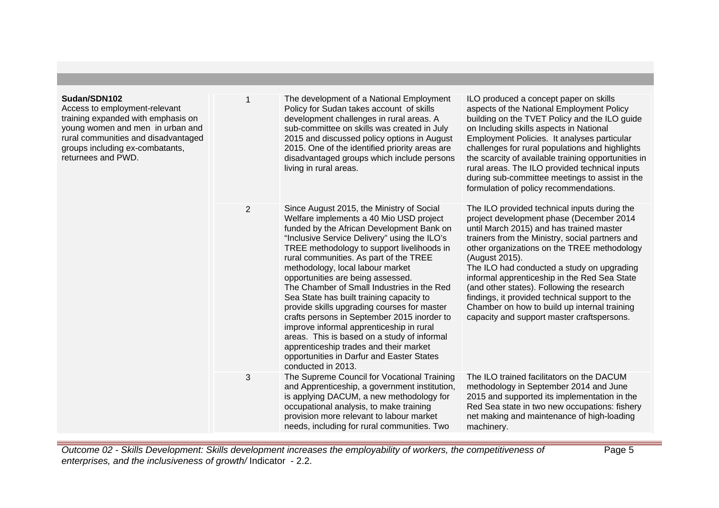| Sudan/SDN102<br>Access to employment-relevant<br>training expanded with emphasis on<br>young women and men in urban and<br>rural communities and disadvantaged<br>groups including ex-combatants,<br>returnees and PWD. | 1              | The development of a National Employment<br>Policy for Sudan takes account of skills<br>development challenges in rural areas. A<br>sub-committee on skills was created in July<br>2015 and discussed policy options in August<br>2015. One of the identified priority areas are<br>disadvantaged groups which include persons<br>living in rural areas.                                                                                                                                                                                                                                                                                                                                                                                           | ILO produced a concept paper on skills<br>aspects of the National Employment Policy<br>building on the TVET Policy and the ILO guide<br>on Including skills aspects in National<br>Employment Policies. It analyses particular<br>challenges for rural populations and highlights<br>the scarcity of available training opportunities in<br>rural areas. The ILO provided technical inputs<br>during sub-committee meetings to assist in the<br>formulation of policy recommendations.                                                               |
|-------------------------------------------------------------------------------------------------------------------------------------------------------------------------------------------------------------------------|----------------|----------------------------------------------------------------------------------------------------------------------------------------------------------------------------------------------------------------------------------------------------------------------------------------------------------------------------------------------------------------------------------------------------------------------------------------------------------------------------------------------------------------------------------------------------------------------------------------------------------------------------------------------------------------------------------------------------------------------------------------------------|------------------------------------------------------------------------------------------------------------------------------------------------------------------------------------------------------------------------------------------------------------------------------------------------------------------------------------------------------------------------------------------------------------------------------------------------------------------------------------------------------------------------------------------------------|
|                                                                                                                                                                                                                         | $\overline{2}$ | Since August 2015, the Ministry of Social<br>Welfare implements a 40 Mio USD project<br>funded by the African Development Bank on<br>"Inclusive Service Delivery" using the ILO's<br>TREE methodology to support livelihoods in<br>rural communities. As part of the TREE<br>methodology, local labour market<br>opportunities are being assessed.<br>The Chamber of Small Industries in the Red<br>Sea State has built training capacity to<br>provide skills upgrading courses for master<br>crafts persons in September 2015 inorder to<br>improve informal apprenticeship in rural<br>areas. This is based on a study of informal<br>apprenticeship trades and their market<br>opportunities in Darfur and Easter States<br>conducted in 2013. | The ILO provided technical inputs during the<br>project development phase (December 2014<br>until March 2015) and has trained master<br>trainers from the Ministry, social partners and<br>other organizations on the TREE methodology<br>(August 2015).<br>The ILO had conducted a study on upgrading<br>informal apprenticeship in the Red Sea State<br>(and other states). Following the research<br>findings, it provided technical support to the<br>Chamber on how to build up internal training<br>capacity and support master craftspersons. |
|                                                                                                                                                                                                                         | 3              | The Supreme Council for Vocational Training<br>and Apprenticeship, a government institution,<br>is applying DACUM, a new methodology for<br>occupational analysis, to make training<br>provision more relevant to labour market<br>needs, including for rural communities. Two                                                                                                                                                                                                                                                                                                                                                                                                                                                                     | The ILO trained facilitators on the DACUM<br>methodology in September 2014 and June<br>2015 and supported its implementation in the<br>Red Sea state in two new occupations: fishery<br>net making and maintenance of high-loading<br>machinery.                                                                                                                                                                                                                                                                                                     |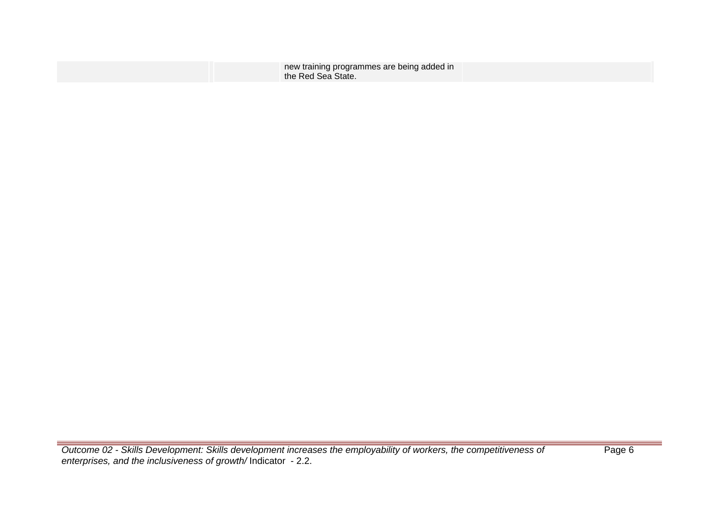| new training programmes are being added in |  |
|--------------------------------------------|--|
| the Red Sea State.                         |  |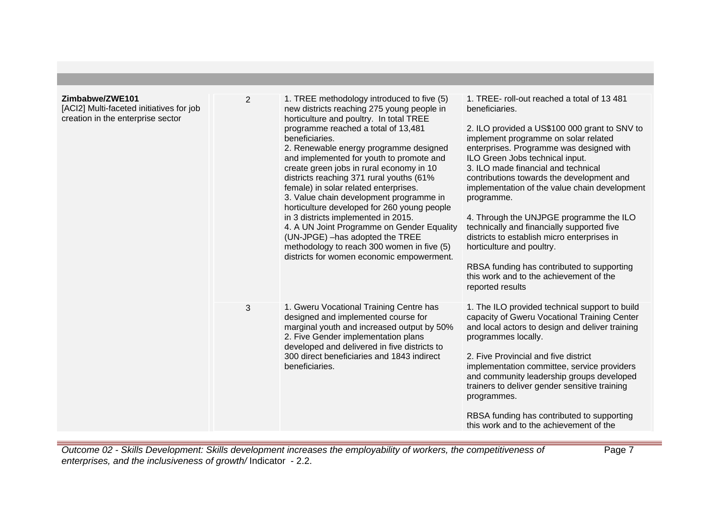| Zimbabwe/ZWE101<br>[ACl2] Multi-faceted initiatives for job<br>creation in the enterprise sector | $\overline{2}$ | 1. TREE methodology introduced to five (5)<br>new districts reaching 275 young people in<br>horticulture and poultry. In total TREE<br>programme reached a total of 13,481<br>beneficiaries.<br>2. Renewable energy programme designed<br>and implemented for youth to promote and<br>create green jobs in rural economy in 10<br>districts reaching 371 rural youths (61%<br>female) in solar related enterprises.<br>3. Value chain development programme in<br>horticulture developed for 260 young people<br>in 3 districts implemented in 2015.<br>4. A UN Joint Programme on Gender Equality<br>(UN-JPGE) -has adopted the TREE<br>methodology to reach 300 women in five (5)<br>districts for women economic empowerment. | 1. TREE-roll-out reached a total of 13 481<br>beneficiaries.<br>2. ILO provided a US\$100 000 grant to SNV to<br>implement programme on solar related<br>enterprises. Programme was designed with<br>ILO Green Jobs technical input.<br>3. ILO made financial and technical<br>contributions towards the development and<br>implementation of the value chain development<br>programme.<br>4. Through the UNJPGE programme the ILO<br>technically and financially supported five<br>districts to establish micro enterprises in<br>horticulture and poultry.<br>RBSA funding has contributed to supporting<br>this work and to the achievement of the<br>reported results |
|--------------------------------------------------------------------------------------------------|----------------|----------------------------------------------------------------------------------------------------------------------------------------------------------------------------------------------------------------------------------------------------------------------------------------------------------------------------------------------------------------------------------------------------------------------------------------------------------------------------------------------------------------------------------------------------------------------------------------------------------------------------------------------------------------------------------------------------------------------------------|---------------------------------------------------------------------------------------------------------------------------------------------------------------------------------------------------------------------------------------------------------------------------------------------------------------------------------------------------------------------------------------------------------------------------------------------------------------------------------------------------------------------------------------------------------------------------------------------------------------------------------------------------------------------------|
|                                                                                                  | 3              | 1. Gweru Vocational Training Centre has<br>designed and implemented course for<br>marginal youth and increased output by 50%<br>2. Five Gender implementation plans<br>developed and delivered in five districts to<br>300 direct beneficiaries and 1843 indirect<br>beneficiaries.                                                                                                                                                                                                                                                                                                                                                                                                                                              | 1. The ILO provided technical support to build<br>capacity of Gweru Vocational Training Center<br>and local actors to design and deliver training<br>programmes locally.<br>2. Five Provincial and five district<br>implementation committee, service providers<br>and community leadership groups developed<br>trainers to deliver gender sensitive training<br>programmes.<br>RBSA funding has contributed to supporting<br>this work and to the achievement of the                                                                                                                                                                                                     |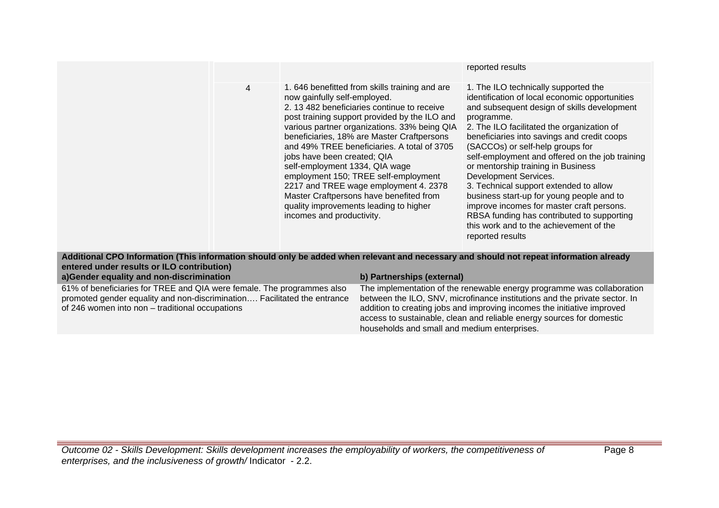|                                                                                                                 |                |                                                                                                                                                                                                                                                                                                                                                                                                                                                                                                                                                                                               | reported results                                                                                                                                                                                                                                                                                                                                                                                                                                                                                                                                                                                                                                        |
|-----------------------------------------------------------------------------------------------------------------|----------------|-----------------------------------------------------------------------------------------------------------------------------------------------------------------------------------------------------------------------------------------------------------------------------------------------------------------------------------------------------------------------------------------------------------------------------------------------------------------------------------------------------------------------------------------------------------------------------------------------|---------------------------------------------------------------------------------------------------------------------------------------------------------------------------------------------------------------------------------------------------------------------------------------------------------------------------------------------------------------------------------------------------------------------------------------------------------------------------------------------------------------------------------------------------------------------------------------------------------------------------------------------------------|
|                                                                                                                 | $\overline{4}$ | 1.646 benefitted from skills training and are<br>now gainfully self-employed.<br>2.13 482 beneficiaries continue to receive<br>post training support provided by the ILO and<br>various partner organizations. 33% being QIA<br>beneficiaries, 18% are Master Craftpersons<br>and 49% TREE beneficiaries. A total of 3705<br>jobs have been created; QIA<br>self-employment 1334, QIA wage<br>employment 150; TREE self-employment<br>2217 and TREE wage employment 4. 2378<br>Master Craftpersons have benefited from<br>quality improvements leading to higher<br>incomes and productivity. | 1. The ILO technically supported the<br>identification of local economic opportunities<br>and subsequent design of skills development<br>programme.<br>2. The ILO facilitated the organization of<br>beneficiaries into savings and credit coops<br>(SACCOs) or self-help groups for<br>self-employment and offered on the job training<br>or mentorship training in Business<br>Development Services.<br>3. Technical support extended to allow<br>business start-up for young people and to<br>improve incomes for master craft persons.<br>RBSA funding has contributed to supporting<br>this work and to the achievement of the<br>reported results |
| A different <b>ABA</b> left would be fitted afterward on the sold public and deduction with construction during |                |                                                                                                                                                                                                                                                                                                                                                                                                                                                                                                                                                                                               |                                                                                                                                                                                                                                                                                                                                                                                                                                                                                                                                                                                                                                                         |

**Additional CPO Information (This information should only be added when relevant and necessary and should not repeat information already entered under results or ILO contribution)**

| a) Gender equality and non-discrimination                                | b) Partnerships (external)                                                 |
|--------------------------------------------------------------------------|----------------------------------------------------------------------------|
| 61% of beneficiaries for TREE and QIA were female. The programmes also   | The implementation of the renewable energy programme was collaboration     |
| promoted gender equality and non-discrimination Facilitated the entrance | between the ILO, SNV, microfinance institutions and the private sector. In |
| of 246 women into non – traditional occupations                          | addition to creating jobs and improving incomes the initiative improved    |
|                                                                          | access to sustainable, clean and reliable energy sources for domestic      |
|                                                                          | households and small and medium enterprises.                               |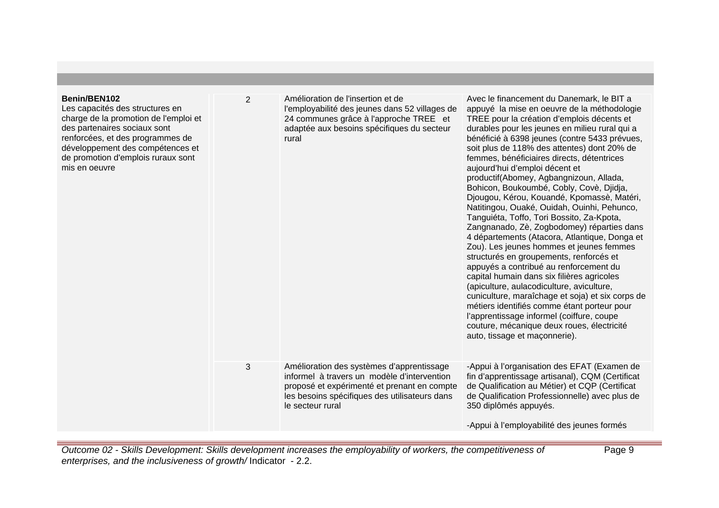| Benin/BEN102<br>Les capacités des structures en<br>charge de la promotion de l'emploi et<br>des partenaires sociaux sont<br>renforcées, et des programmes de<br>développement des compétences et<br>de promotion d'emplois ruraux sont<br>mis en oeuvre | 2 | Amélioration de l'insertion et de<br>l'employabilité des jeunes dans 52 villages de<br>24 communes grâce à l'approche TREE et<br>adaptée aux besoins spécifiques du secteur<br>rural                         | Avec le financement du Danemark, le BIT a<br>appuyé la mise en oeuvre de la méthodologie<br>TREE pour la création d'emplois décents et<br>durables pour les jeunes en milieu rural qui a<br>bénéficié à 6398 jeunes (contre 5433 prévues,<br>soit plus de 118% des attentes) dont 20% de<br>femmes, bénéficiaires directs, détentrices<br>aujourd'hui d'emploi décent et<br>productif(Abomey, Agbangnizoun, Allada,<br>Bohicon, Boukoumbé, Cobly, Covè, Djidja,<br>Djougou, Kérou, Kouandé, Kpomassè, Matéri,<br>Natitingou, Ouaké, Ouidah, Ouinhi, Pehunco,<br>Tanguiéta, Toffo, Tori Bossito, Za-Kpota,<br>Zangnanado, Zè, Zogbodomey) réparties dans<br>4 départements (Atacora, Atlantique, Donga et<br>Zou). Les jeunes hommes et jeunes femmes<br>structurés en groupements, renforcés et<br>appuyés a contribué au renforcement du<br>capital humain dans six filières agricoles<br>(apiculture, aulacodiculture, aviculture,<br>cuniculture, maraîchage et soja) et six corps de<br>métiers identifiés comme étant porteur pour<br>l'apprentissage informel (coiffure, coupe<br>couture, mécanique deux roues, électricité<br>auto, tissage et maçonnerie). |
|---------------------------------------------------------------------------------------------------------------------------------------------------------------------------------------------------------------------------------------------------------|---|--------------------------------------------------------------------------------------------------------------------------------------------------------------------------------------------------------------|---------------------------------------------------------------------------------------------------------------------------------------------------------------------------------------------------------------------------------------------------------------------------------------------------------------------------------------------------------------------------------------------------------------------------------------------------------------------------------------------------------------------------------------------------------------------------------------------------------------------------------------------------------------------------------------------------------------------------------------------------------------------------------------------------------------------------------------------------------------------------------------------------------------------------------------------------------------------------------------------------------------------------------------------------------------------------------------------------------------------------------------------------------------------|
|                                                                                                                                                                                                                                                         | 3 | Amélioration des systèmes d'apprentissage<br>informel à travers un modèle d'intervention<br>proposé et expérimenté et prenant en compte<br>les besoins spécifiques des utilisateurs dans<br>le secteur rural | -Appui à l'organisation des EFAT (Examen de<br>fin d'apprentissage artisanal), CQM (Certificat<br>de Qualification au Métier) et CQP (Certificat<br>de Qualification Professionnelle) avec plus de<br>350 diplômés appuyés.<br>-Appui à l'employabilité des jeunes formés                                                                                                                                                                                                                                                                                                                                                                                                                                                                                                                                                                                                                                                                                                                                                                                                                                                                                           |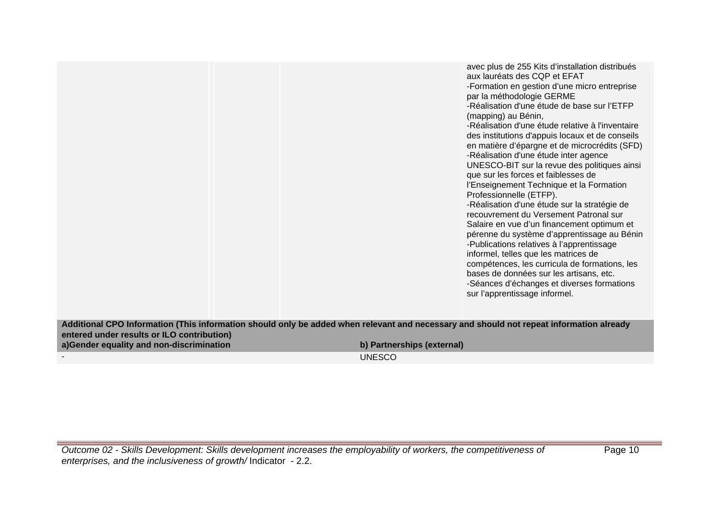avec plus de 255 Kits d'installation distribués aux lauréats des CQP et EFAT -Formation en gestion d'une micro entreprise par la méthodologie GERME -Réalisation d'une étude de base sur l'ETFP (mapping) au Bénin, -Réalisation d'une étude relative à l'inventaire des institutions d'appuis locaux et de conseils en matière d'épargne et de microcrédits (SFD) -Réalisation d'une étude inter agence UNESCO-BIT sur la revue des politiques ainsi que sur les forces et faiblesses de l'Enseignement Technique et la Formation Professionnelle (ETFP). -Réalisation d'une étude sur la stratégie de recouvrement du Versement Patronal sur Salaire en vue d'un financement optimum et pérenne du système d'apprentissage au Bénin -Publications relatives à l'apprentissage informel, telles que les matrices de compétences, les curricula de formations, les bases de données sur les artisans, etc. -Séances d'échanges et diverses formations sur l'apprentissage informel.

**Additional CPO Information (This information should only be added when relevant and necessary and should not repeat information already entered under results or ILO contribution) a)Gender equality and non-discrimination b) Partnerships (external)**

- UNESCO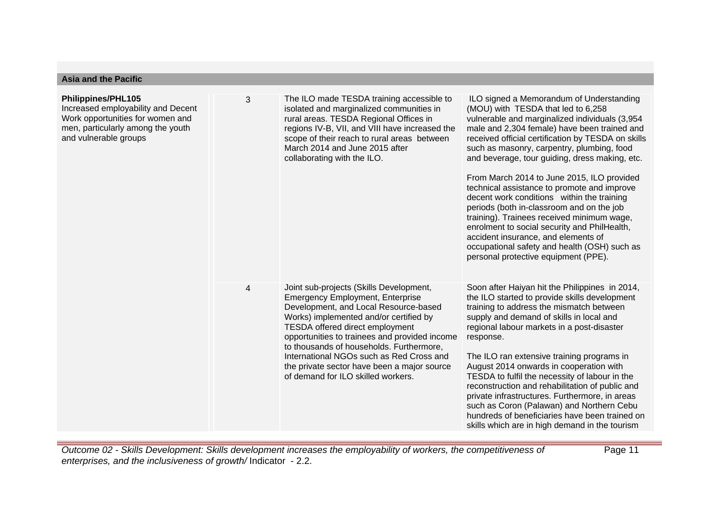| ASIA AIIU LIIE FAUIIL                                                                                                                                      |   |                                                                                                                                                                                                                                                                                                                                                                                                                                        |                                                                                                                                                                                                                                                                                                                                                                                                                                                                                                                                                                                                                                                                                                                                                             |
|------------------------------------------------------------------------------------------------------------------------------------------------------------|---|----------------------------------------------------------------------------------------------------------------------------------------------------------------------------------------------------------------------------------------------------------------------------------------------------------------------------------------------------------------------------------------------------------------------------------------|-------------------------------------------------------------------------------------------------------------------------------------------------------------------------------------------------------------------------------------------------------------------------------------------------------------------------------------------------------------------------------------------------------------------------------------------------------------------------------------------------------------------------------------------------------------------------------------------------------------------------------------------------------------------------------------------------------------------------------------------------------------|
| Philippines/PHL105<br>Increased employability and Decent<br>Work opportunities for women and<br>men, particularly among the youth<br>and vulnerable groups | 3 | The ILO made TESDA training accessible to<br>isolated and marginalized communities in<br>rural areas. TESDA Regional Offices in<br>regions IV-B, VII, and VIII have increased the<br>scope of their reach to rural areas between<br>March 2014 and June 2015 after<br>collaborating with the ILO.                                                                                                                                      | ILO signed a Memorandum of Understanding<br>(MOU) with TESDA that led to 6,258<br>vulnerable and marginalized individuals (3,954<br>male and 2,304 female) have been trained and<br>received official certification by TESDA on skills<br>such as masonry, carpentry, plumbing, food<br>and beverage, tour guiding, dress making, etc.<br>From March 2014 to June 2015, ILO provided<br>technical assistance to promote and improve<br>decent work conditions within the training<br>periods (both in-classroom and on the job<br>training). Trainees received minimum wage,<br>enrolment to social security and PhilHealth,<br>accident insurance, and elements of<br>occupational safety and health (OSH) such as<br>personal protective equipment (PPE). |
|                                                                                                                                                            | 4 | Joint sub-projects (Skills Development,<br><b>Emergency Employment, Enterprise</b><br>Development, and Local Resource-based<br>Works) implemented and/or certified by<br>TESDA offered direct employment<br>opportunities to trainees and provided income<br>to thousands of households. Furthermore,<br>International NGOs such as Red Cross and<br>the private sector have been a major source<br>of demand for ILO skilled workers. | Soon after Haiyan hit the Philippines in 2014,<br>the ILO started to provide skills development<br>training to address the mismatch between<br>supply and demand of skills in local and<br>regional labour markets in a post-disaster<br>response.<br>The ILO ran extensive training programs in<br>August 2014 onwards in cooperation with<br>TESDA to fulfil the necessity of labour in the<br>reconstruction and rehabilitation of public and<br>private infrastructures. Furthermore, in areas<br>such as Coron (Palawan) and Northern Cebu<br>hundreds of beneficiaries have been trained on<br>skills which are in high demand in the tourism                                                                                                         |

**Asia and the Pacific**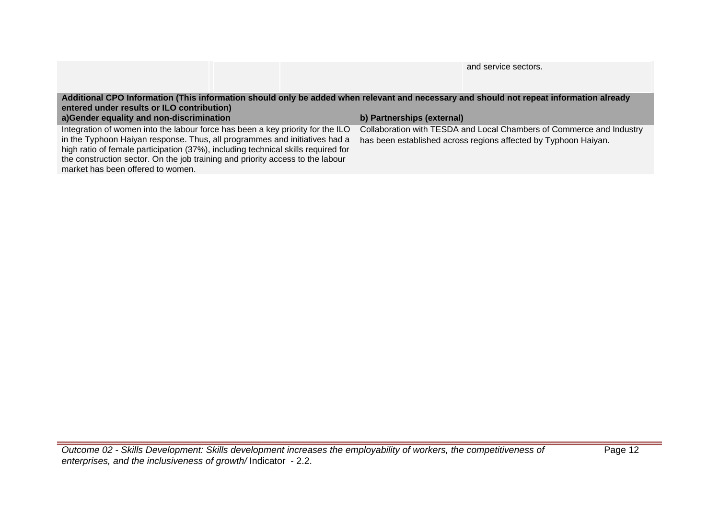|                                                                                                                                                                                                                                                   | and service sectors.                                                                                                                    |
|---------------------------------------------------------------------------------------------------------------------------------------------------------------------------------------------------------------------------------------------------|-----------------------------------------------------------------------------------------------------------------------------------------|
|                                                                                                                                                                                                                                                   |                                                                                                                                         |
| entered under results or ILO contribution)                                                                                                                                                                                                        | Additional CPO Information (This information should only be added when relevant and necessary and should not repeat information already |
| a)Gender equality and non-discrimination                                                                                                                                                                                                          | b) Partnerships (external)                                                                                                              |
| Integration of women into the labour force has been a key priority for the ILO<br>in the Typhoon Haiyan response. Thus, all programmes and initiatives had a<br>high ratio of female participation (37%), including technical skills required for | Collaboration with TESDA and Local Chambers of Commerce and Industry<br>has been established across regions affected by Typhoon Haiyan. |
| the construction sector. On the job training and priority access to the labour<br>market has been offered to women.                                                                                                                               |                                                                                                                                         |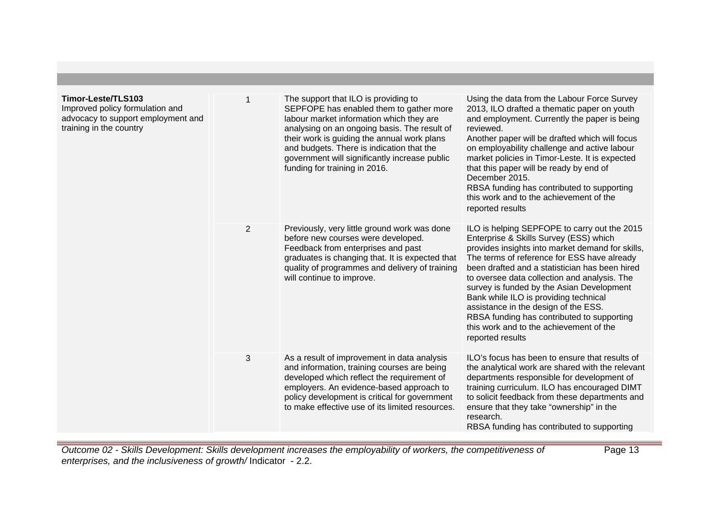| Timor-Leste/TLS103<br>Improved policy formulation and<br>advocacy to support employment and<br>training in the country |                | The support that ILO is providing to<br>SEPFOPE has enabled them to gather more<br>labour market information which they are<br>analysing on an ongoing basis. The result of<br>their work is guiding the annual work plans<br>and budgets. There is indication that the<br>government will significantly increase public<br>funding for training in 2016. | Using the data from the Labour Force Survey<br>2013, ILO drafted a thematic paper on youth<br>and employment. Currently the paper is being<br>reviewed.<br>Another paper will be drafted which will focus<br>on employability challenge and active labour<br>market policies in Timor-Leste. It is expected<br>that this paper will be ready by end of<br>December 2015.<br>RBSA funding has contributed to supporting<br>this work and to the achievement of the<br>reported results                                                  |
|------------------------------------------------------------------------------------------------------------------------|----------------|-----------------------------------------------------------------------------------------------------------------------------------------------------------------------------------------------------------------------------------------------------------------------------------------------------------------------------------------------------------|----------------------------------------------------------------------------------------------------------------------------------------------------------------------------------------------------------------------------------------------------------------------------------------------------------------------------------------------------------------------------------------------------------------------------------------------------------------------------------------------------------------------------------------|
|                                                                                                                        | $\overline{2}$ | Previously, very little ground work was done<br>before new courses were developed.<br>Feedback from enterprises and past<br>graduates is changing that. It is expected that<br>quality of programmes and delivery of training<br>will continue to improve.                                                                                                | ILO is helping SEPFOPE to carry out the 2015<br>Enterprise & Skills Survey (ESS) which<br>provides insights into market demand for skills,<br>The terms of reference for ESS have already<br>been drafted and a statistician has been hired<br>to oversee data collection and analysis. The<br>survey is funded by the Asian Development<br>Bank while ILO is providing technical<br>assistance in the design of the ESS.<br>RBSA funding has contributed to supporting<br>this work and to the achievement of the<br>reported results |
|                                                                                                                        | 3              | As a result of improvement in data analysis<br>and information, training courses are being<br>developed which reflect the requirement of<br>employers. An evidence-based approach to<br>policy development is critical for government<br>to make effective use of its limited resources.                                                                  | ILO's focus has been to ensure that results of<br>the analytical work are shared with the relevant<br>departments responsible for development of<br>training curriculum. ILO has encouraged DIMT<br>to solicit feedback from these departments and<br>ensure that they take "ownership" in the<br>research.<br>RBSA funding has contributed to supporting                                                                                                                                                                              |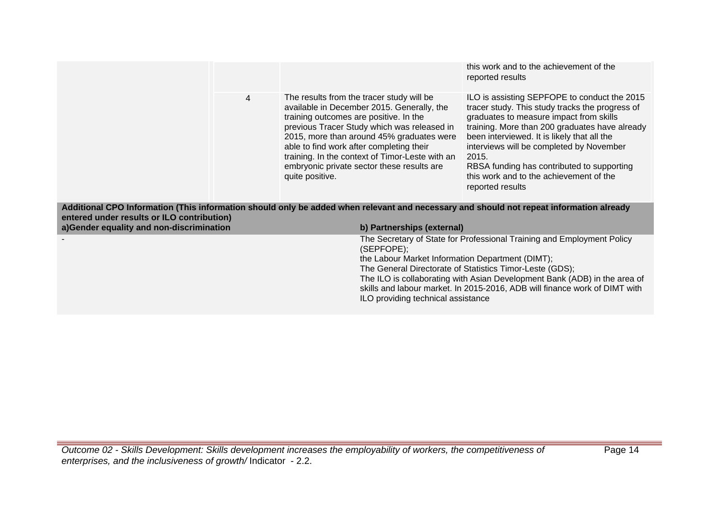|                                                                                        |                                                                                                                                                                                                                                                                                                                                                                                                                                                                                                                                          | this work and to the achievement of the<br>reported results                                                                                                                                                                                                                                                                                                                                                   |
|----------------------------------------------------------------------------------------|------------------------------------------------------------------------------------------------------------------------------------------------------------------------------------------------------------------------------------------------------------------------------------------------------------------------------------------------------------------------------------------------------------------------------------------------------------------------------------------------------------------------------------------|---------------------------------------------------------------------------------------------------------------------------------------------------------------------------------------------------------------------------------------------------------------------------------------------------------------------------------------------------------------------------------------------------------------|
| 4                                                                                      | The results from the tracer study will be<br>available in December 2015. Generally, the<br>training outcomes are positive. In the<br>previous Tracer Study which was released in<br>2015, more than around 45% graduates were<br>able to find work after completing their<br>training. In the context of Timor-Leste with an<br>embryonic private sector these results are<br>quite positive.<br>Additional CPO Information (This information should only be added when relevant and necessary and should not repeat information already | ILO is assisting SEPFOPE to conduct the 2015<br>tracer study. This study tracks the progress of<br>graduates to measure impact from skills<br>training. More than 200 graduates have already<br>been interviewed. It is likely that all the<br>interviews will be completed by November<br>2015.<br>RBSA funding has contributed to supporting<br>this work and to the achievement of the<br>reported results |
| entered under results or ILO contribution)<br>a)Gender equality and non-discrimination | b) Partnerships (external)                                                                                                                                                                                                                                                                                                                                                                                                                                                                                                               |                                                                                                                                                                                                                                                                                                                                                                                                               |
|                                                                                        |                                                                                                                                                                                                                                                                                                                                                                                                                                                                                                                                          |                                                                                                                                                                                                                                                                                                                                                                                                               |
|                                                                                        | (SEPFOPE);                                                                                                                                                                                                                                                                                                                                                                                                                                                                                                                               | The Secretary of State for Professional Training and Employment Policy                                                                                                                                                                                                                                                                                                                                        |
|                                                                                        | the Labour Market Information Department (DIMT);                                                                                                                                                                                                                                                                                                                                                                                                                                                                                         |                                                                                                                                                                                                                                                                                                                                                                                                               |
|                                                                                        |                                                                                                                                                                                                                                                                                                                                                                                                                                                                                                                                          | The General Directorate of Statistics Timor-Leste (GDS);                                                                                                                                                                                                                                                                                                                                                      |
|                                                                                        |                                                                                                                                                                                                                                                                                                                                                                                                                                                                                                                                          | The ILO is collaborating with Asian Development Bank (ADB) in the area of                                                                                                                                                                                                                                                                                                                                     |
|                                                                                        |                                                                                                                                                                                                                                                                                                                                                                                                                                                                                                                                          | skills and labour market. In 2015-2016, ADB will finance work of DIMT with                                                                                                                                                                                                                                                                                                                                    |
|                                                                                        | ILO providing technical assistance                                                                                                                                                                                                                                                                                                                                                                                                                                                                                                       |                                                                                                                                                                                                                                                                                                                                                                                                               |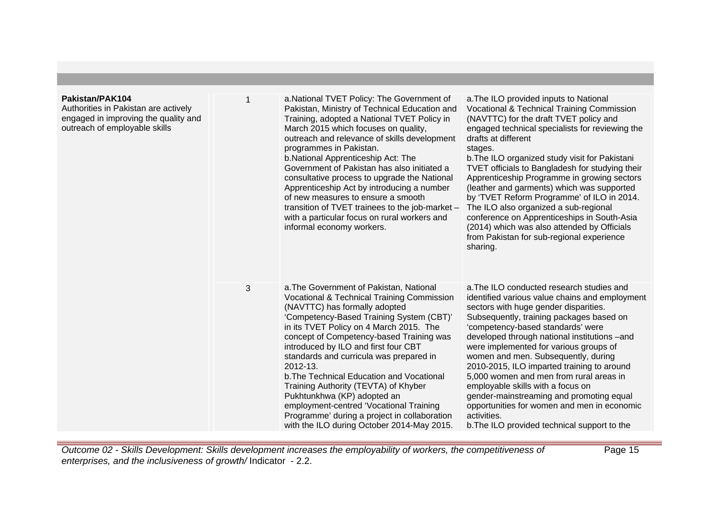| Pakistan/PAK104<br>Authorities in Pakistan are actively<br>engaged in improving the quality and<br>outreach of employable skills |   | a. National TVET Policy: The Government of<br>Pakistan, Ministry of Technical Education and<br>Training, adopted a National TVET Policy in<br>March 2015 which focuses on quality,<br>outreach and relevance of skills development<br>programmes in Pakistan.<br>b. National Apprenticeship Act: The<br>Government of Pakistan has also initiated a<br>consultative process to upgrade the National<br>Apprenticeship Act by introducing a number<br>of new measures to ensure a smooth<br>transition of TVET trainees to the job-market -<br>with a particular focus on rural workers and<br>informal economy workers.          | a. The ILO provided inputs to National<br>Vocational & Technical Training Commission<br>(NAVTTC) for the draft TVET policy and<br>engaged technical specialists for reviewing the<br>drafts at different<br>stages.<br>b. The ILO organized study visit for Pakistani<br>TVET officials to Bangladesh for studying their<br>Apprenticeship Programme in growing sectors<br>(leather and garments) which was supported<br>by 'TVET Reform Programme' of ILO in 2014.<br>The ILO also organized a sub-regional<br>conference on Apprenticeships in South-Asia<br>(2014) which was also attended by Officials<br>from Pakistan for sub-regional experience<br>sharing. |
|----------------------------------------------------------------------------------------------------------------------------------|---|----------------------------------------------------------------------------------------------------------------------------------------------------------------------------------------------------------------------------------------------------------------------------------------------------------------------------------------------------------------------------------------------------------------------------------------------------------------------------------------------------------------------------------------------------------------------------------------------------------------------------------|---------------------------------------------------------------------------------------------------------------------------------------------------------------------------------------------------------------------------------------------------------------------------------------------------------------------------------------------------------------------------------------------------------------------------------------------------------------------------------------------------------------------------------------------------------------------------------------------------------------------------------------------------------------------|
|                                                                                                                                  | 3 | a. The Government of Pakistan, National<br><b>Vocational &amp; Technical Training Commission</b><br>(NAVTTC) has formally adopted<br>'Competency-Based Training System (CBT)'<br>in its TVET Policy on 4 March 2015. The<br>concept of Competency-based Training was<br>introduced by ILO and first four CBT<br>standards and curricula was prepared in<br>2012-13.<br>b. The Technical Education and Vocational<br>Training Authority (TEVTA) of Khyber<br>Pukhtunkhwa (KP) adopted an<br>employment-centred 'Vocational Training<br>Programme' during a project in collaboration<br>with the ILO during October 2014-May 2015. | a. The ILO conducted research studies and<br>identified various value chains and employment<br>sectors with huge gender disparities.<br>Subsequently, training packages based on<br>'competency-based standards' were<br>developed through national institutions -and<br>were implemented for various groups of<br>women and men. Subsequently, during<br>2010-2015, ILO imparted training to around<br>5,000 women and men from rural areas in<br>employable skills with a focus on<br>gender-mainstreaming and promoting equal<br>opportunities for women and men in economic<br>activities.<br>b. The ILO provided technical support to the                      |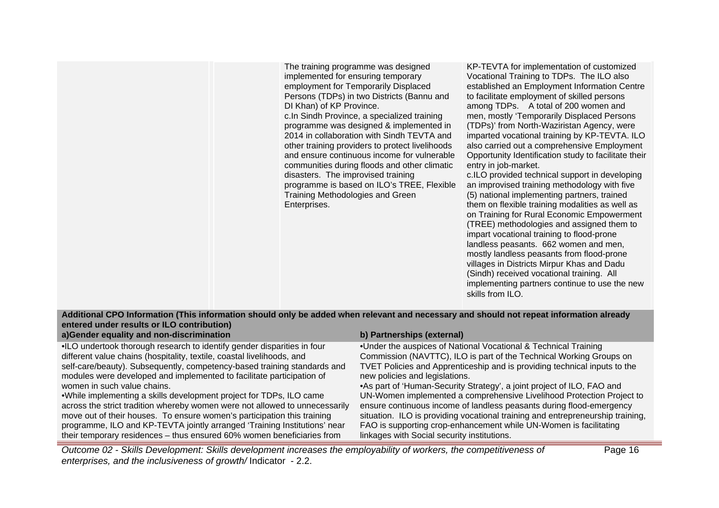The training programme was designed implemented for ensuring temporary employment for Temporarily Displaced Persons (TDPs) in two Districts (Bannu and DI Khan) of KP Province. c. In Sindh Province, a specialized training programme was designed & implemented in 2014 in collaboration with Sindh TEVTA and other training providers to protect livelihoods and ensure continuous income for vulnerable communities during floods and other climatic disasters. The improvised training programme is based on ILO's TREE, Flexible Training Methodologies and Green Enterprises. KP-TEVTA for implementation of customized Vocational Training to TDPs. The ILO also established an Employment Information Centre to facilitate employment of skilled persons among TDPs. A total of 200 women and men, mostly 'Temporarily Displaced Persons (TDPs)' from North-Waziristan Agency, were imparted vocational training by KP-TEVTA. ILO also carried out a comprehensive Employment Opportunity Identification study to facilitate their entry in job-market. c. ILO provided technical support in developing an improvised training methodology with five (5) national implementing partners, trained them on flexible training modalities as well as on Training for Rural Economic Empowerment (TREE) methodologies and assigned them to impart vocational training to flood-prone landless peasants. 662 women and men, mostly landless peasants from flood-prone villages in Districts Mirpur Khas and Dadu (Sindh) received vocational training. All implementing partners continue to use the new skills from ILO. **Additional CPO Information (This information should only be added when relevant and necessary and should not repeat information already** 

**entered under results or ILO contribution) a)Gender equality and non-discrimination b) Partnerships (external)** • ILO undertook thorough research to identify gender disparities in four different value chains (hospitality, textile, coastal livelihoods, and self-care/beauty). Subsequently, competency-based training standards and modules were developed and implemented to facilitate participation of women in such value chains. • While implementing a skills development project for TDPs, ILO came across the strict tradition whereby women were not allowed to unnecessarily move out of their houses. To ensure women's participation this training programme, ILO and KP-TEVTA jointly arranged 'Training Institutions' near their temporary residences – thus ensured 60% women beneficiaries from • Under the auspices of National Vocational & Technical Training Commission (NAVTTC), ILO is part of the Technical Working Groups on TVET Policies and Apprenticeship and is providing technical inputs to the new policies and legislations. • As part of 'Human-Security Strategy', a joint project of ILO, FAO and UN-Women implemented a comprehensive Livelihood Protection Project to ensure continuous income of landless peasants during flood-emergency situation. ILO is providing vocational training and entrepreneurship training, FAO is supporting crop-enhancement while UN-Women is facilitating linkages with Social security institutions.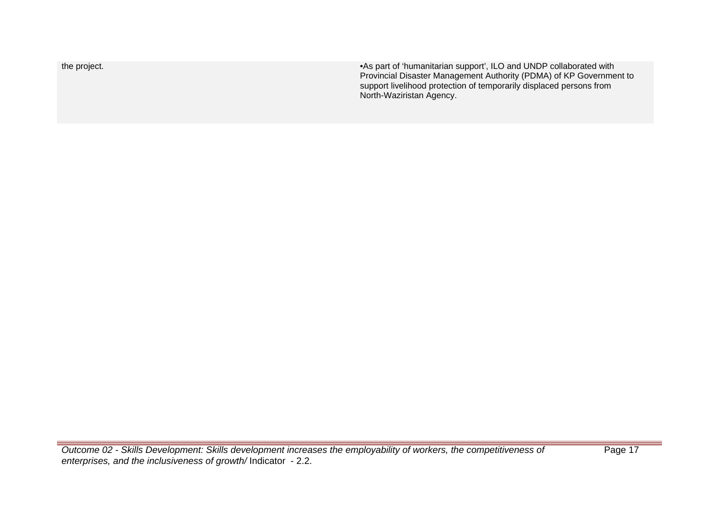the project. • As part of 'humanitarian support', ILO and UNDP collaborated with Provincial Disaster Management Authority (PDMA) of KP Government to support livelihood protection of temporarily displaced persons from North-Waziristan Agency.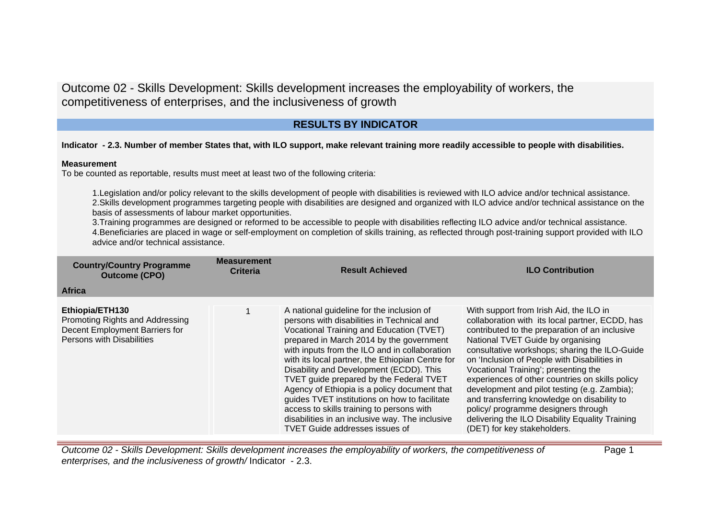# **RESULTS BY INDICATOR**

# **Indicator - 2.3. Number of member States that, with ILO support, make relevant training more readily accessible to people with disabilities.**

## **Measurement**

To be counted as reportable, results must meet at least two of the following criteria:

1.Legislation and/or policy relevant to the skills development of people with disabilities is reviewed with ILO advice and/or technical assistance. 2.Skills development programmes targeting people with disabilities are designed and organized with ILO advice and/or technical assistance on the basis of assessments of labour market opportunities.

3.Training programmes are designed or reformed to be accessible to people with disabilities reflecting ILO advice and/or technical assistance. 4.Beneficiaries are placed in wage or self-employment on completion of skills training, as reflected through post-training support provided with ILO advice and/or technical assistance.

| <b>Country/Country Programme</b><br><b>Outcome (CPO)</b>                                                          | <b>Measurement</b><br><b>Criteria</b> | <b>Result Achieved</b>                                                                                                                                                                                                                                                                                                                                                                                                                                                                                                                                                                                               | <b>ILO Contribution</b>                                                                                                                                                                                                                                                                                                                                                                                                                                                                                                                                                                               |
|-------------------------------------------------------------------------------------------------------------------|---------------------------------------|----------------------------------------------------------------------------------------------------------------------------------------------------------------------------------------------------------------------------------------------------------------------------------------------------------------------------------------------------------------------------------------------------------------------------------------------------------------------------------------------------------------------------------------------------------------------------------------------------------------------|-------------------------------------------------------------------------------------------------------------------------------------------------------------------------------------------------------------------------------------------------------------------------------------------------------------------------------------------------------------------------------------------------------------------------------------------------------------------------------------------------------------------------------------------------------------------------------------------------------|
| <b>Africa</b>                                                                                                     |                                       |                                                                                                                                                                                                                                                                                                                                                                                                                                                                                                                                                                                                                      |                                                                                                                                                                                                                                                                                                                                                                                                                                                                                                                                                                                                       |
| Ethiopia/ETH130<br>Promoting Rights and Addressing<br>Decent Employment Barriers for<br>Persons with Disabilities |                                       | A national guideline for the inclusion of<br>persons with disabilities in Technical and<br>Vocational Training and Education (TVET)<br>prepared in March 2014 by the government<br>with inputs from the ILO and in collaboration<br>with its local partner, the Ethiopian Centre for<br>Disability and Development (ECDD). This<br>TVET guide prepared by the Federal TVET<br>Agency of Ethiopia is a policy document that<br>guides TVET institutions on how to facilitate<br>access to skills training to persons with<br>disabilities in an inclusive way. The inclusive<br><b>TVET Guide addresses issues of</b> | With support from Irish Aid, the ILO in<br>collaboration with its local partner, ECDD, has<br>contributed to the preparation of an inclusive<br>National TVET Guide by organising<br>consultative workshops; sharing the ILO-Guide<br>on 'Inclusion of People with Disabilities in<br>Vocational Training'; presenting the<br>experiences of other countries on skills policy<br>development and pilot testing (e.g. Zambia);<br>and transferring knowledge on disability to<br>policy/ programme designers through<br>delivering the ILO Disability Equality Training<br>(DET) for key stakeholders. |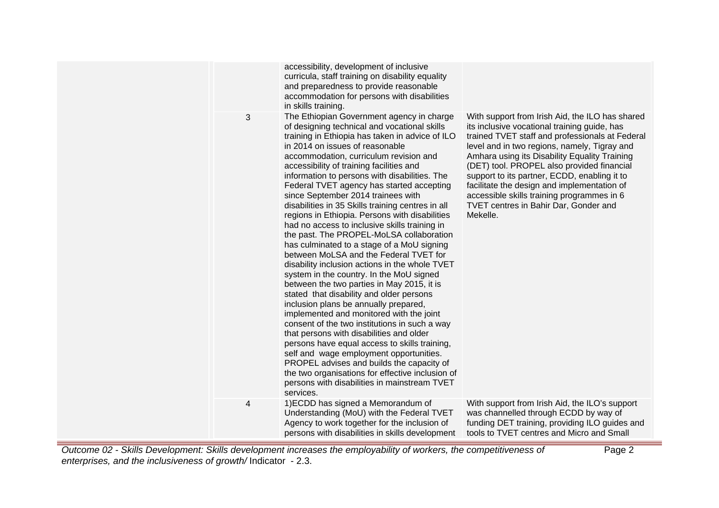| 3                       | accessibility, development of inclusive<br>curricula, staff training on disability equality<br>and preparedness to provide reasonable<br>accommodation for persons with disabilities<br>in skills training.<br>The Ethiopian Government agency in charge                                                                                                                                                                                                                                                                                                                                                                                                                                                                                                                                                                                                                                                                                                                                                                                                                                                                                                                                                                                                                                     | With support from Irish Aid, the ILO has shared                                                                                                                                                                                                                                                                                                                                                                                                  |
|-------------------------|----------------------------------------------------------------------------------------------------------------------------------------------------------------------------------------------------------------------------------------------------------------------------------------------------------------------------------------------------------------------------------------------------------------------------------------------------------------------------------------------------------------------------------------------------------------------------------------------------------------------------------------------------------------------------------------------------------------------------------------------------------------------------------------------------------------------------------------------------------------------------------------------------------------------------------------------------------------------------------------------------------------------------------------------------------------------------------------------------------------------------------------------------------------------------------------------------------------------------------------------------------------------------------------------|--------------------------------------------------------------------------------------------------------------------------------------------------------------------------------------------------------------------------------------------------------------------------------------------------------------------------------------------------------------------------------------------------------------------------------------------------|
|                         | of designing technical and vocational skills<br>training in Ethiopia has taken in advice of ILO<br>in 2014 on issues of reasonable<br>accommodation, curriculum revision and<br>accessibility of training facilities and<br>information to persons with disabilities. The<br>Federal TVET agency has started accepting<br>since September 2014 trainees with<br>disabilities in 35 Skills training centres in all<br>regions in Ethiopia. Persons with disabilities<br>had no access to inclusive skills training in<br>the past. The PROPEL-MoLSA collaboration<br>has culminated to a stage of a MoU signing<br>between MoLSA and the Federal TVET for<br>disability inclusion actions in the whole TVET<br>system in the country. In the MoU signed<br>between the two parties in May 2015, it is<br>stated that disability and older persons<br>inclusion plans be annually prepared,<br>implemented and monitored with the joint<br>consent of the two institutions in such a way<br>that persons with disabilities and older<br>persons have equal access to skills training,<br>self and wage employment opportunities.<br>PROPEL advises and builds the capacity of<br>the two organisations for effective inclusion of<br>persons with disabilities in mainstream TVET<br>services. | its inclusive vocational training guide, has<br>trained TVET staff and professionals at Federal<br>level and in two regions, namely, Tigray and<br>Amhara using its Disability Equality Training<br>(DET) tool. PROPEL also provided financial<br>support to its partner, ECDD, enabling it to<br>facilitate the design and implementation of<br>accessible skills training programmes in 6<br>TVET centres in Bahir Dar, Gonder and<br>Mekelle. |
| $\overline{\mathbf{4}}$ | 1) ECDD has signed a Memorandum of<br>Understanding (MoU) with the Federal TVET<br>Agency to work together for the inclusion of<br>persons with disabilities in skills development                                                                                                                                                                                                                                                                                                                                                                                                                                                                                                                                                                                                                                                                                                                                                                                                                                                                                                                                                                                                                                                                                                           | With support from Irish Aid, the ILO's support<br>was channelled through ECDD by way of<br>funding DET training, providing ILO guides and<br>tools to TVET centres and Micro and Small                                                                                                                                                                                                                                                           |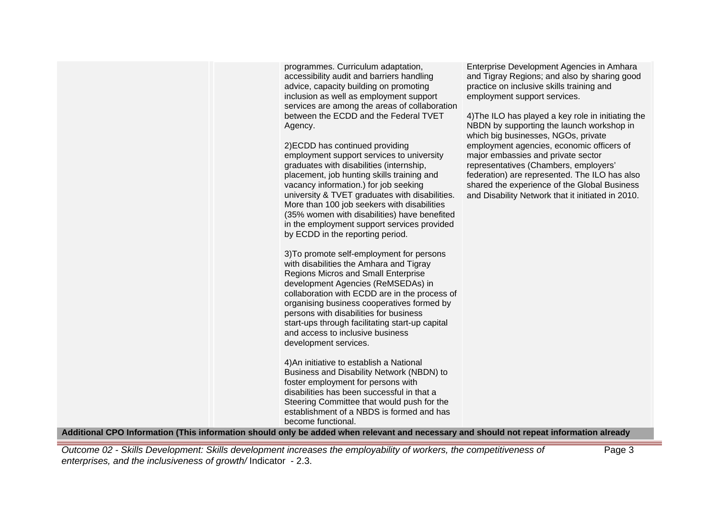programmes. Curriculum adaptation, accessibility audit and barriers handling advice, capacity building on promoting inclusion as well as employment support services are among the areas of collaboration between the ECDD and the Federal TVET Agency.

2)ECDD has continued providing employment support services to university graduates with disabilities (internship, placement, job hunting skills training and vacancy information.) for job seeking university & TVET graduates with disabilities. More than 100 job seekers with disabilities (35% women with disabilities) have benefited in the employment support services provided by ECDD in the reporting period.

3)To promote self-employment for persons with disabilities the Amhara and Tigray Regions Micros and Small Enterprise development Agencies (ReMSEDAs) in collaboration with ECDD are in the process of organising business cooperatives formed by persons with disabilities for business start-ups through facilitating start-up capital and access to inclusive business development services.

4)An initiative to establish a National Business and Disability Network (NBDN) to foster employment for persons with disabilities has been successful in that a Steering Committee that would push for the establishment of a NBDS is formed and has become functional.

Enterprise Development Agencies in Amhara and Tigray Regions; and also by sharing good practice on inclusive skills training and employment support services.

4)The ILO has played a key role in initiating the NBDN by supporting the launch workshop in which big businesses, NGOs, private employment agencies, economic officers of major embassies and private sector representatives (Chambers, employers' federation) are represented. The ILO has also shared the experience of the Global Business and Disability Network that it initiated in 2010.

**Additional CPO Information (This information should only be added when relevant and necessary and should not repeat information already** 

Outcome 02 - Skills Development: Skills development increases the employability of workers, the competitiveness of enterprises, and the inclusiveness of growth/ Indicator - 2.3.

Page 3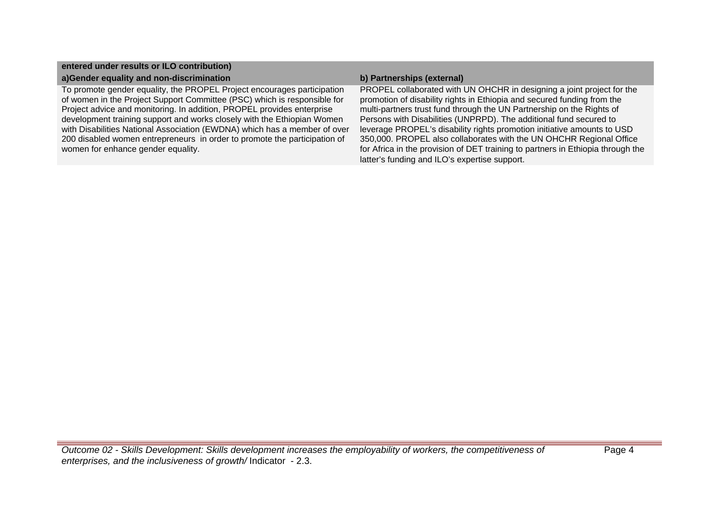| entered under results or ILO contribution)                                                                                                                                                                                                                                                                                                                                                                                                                                                               |                                                                                                                                                                                                                                                                                                                                                                                                                                                                                                                                                                                        |
|----------------------------------------------------------------------------------------------------------------------------------------------------------------------------------------------------------------------------------------------------------------------------------------------------------------------------------------------------------------------------------------------------------------------------------------------------------------------------------------------------------|----------------------------------------------------------------------------------------------------------------------------------------------------------------------------------------------------------------------------------------------------------------------------------------------------------------------------------------------------------------------------------------------------------------------------------------------------------------------------------------------------------------------------------------------------------------------------------------|
| a)Gender equality and non-discrimination                                                                                                                                                                                                                                                                                                                                                                                                                                                                 | b) Partnerships (external)                                                                                                                                                                                                                                                                                                                                                                                                                                                                                                                                                             |
| To promote gender equality, the PROPEL Project encourages participation<br>of women in the Project Support Committee (PSC) which is responsible for<br>Project advice and monitoring. In addition, PROPEL provides enterprise<br>development training support and works closely with the Ethiopian Women<br>with Disabilities National Association (EWDNA) which has a member of over<br>200 disabled women entrepreneurs in order to promote the participation of<br>women for enhance gender equality. | PROPEL collaborated with UN OHCHR in designing a joint project for the<br>promotion of disability rights in Ethiopia and secured funding from the<br>multi-partners trust fund through the UN Partnership on the Rights of<br>Persons with Disabilities (UNPRPD). The additional fund secured to<br>leverage PROPEL's disability rights promotion initiative amounts to USD<br>350,000. PROPEL also collaborates with the UN OHCHR Regional Office<br>for Africa in the provision of DET training to partners in Ethiopia through the<br>latter's funding and ILO's expertise support. |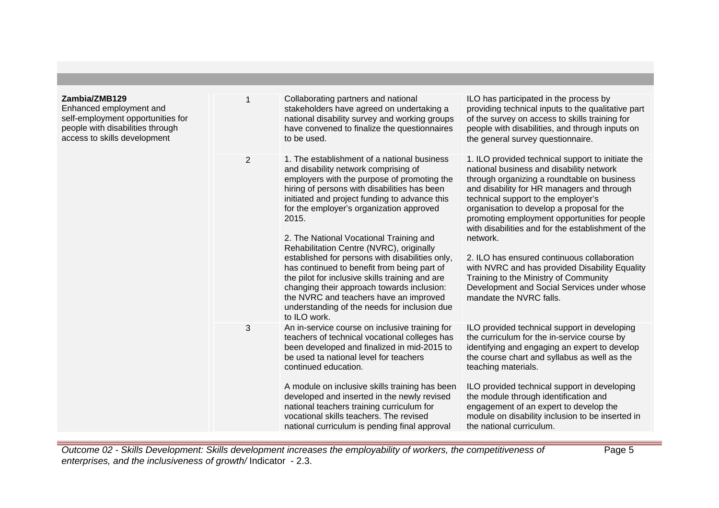| Zambia/ZMB129<br>Enhanced employment and<br>self-employment opportunities for<br>people with disabilities through<br>access to skills development | 1 | Collaborating partners and national<br>stakeholders have agreed on undertaking a<br>national disability survey and working groups<br>have convened to finalize the questionnaires<br>to be used.                                                                                                                                                                                                                                                                                                                                                                                                                                                                                             | ILO has participated in the process by<br>providing technical inputs to the qualitative part<br>of the survey on access to skills training for<br>people with disabilities, and through inputs on<br>the general survey questionnaire.                                                                                                                                                                                                                                                                                                                                                                                 |
|---------------------------------------------------------------------------------------------------------------------------------------------------|---|----------------------------------------------------------------------------------------------------------------------------------------------------------------------------------------------------------------------------------------------------------------------------------------------------------------------------------------------------------------------------------------------------------------------------------------------------------------------------------------------------------------------------------------------------------------------------------------------------------------------------------------------------------------------------------------------|------------------------------------------------------------------------------------------------------------------------------------------------------------------------------------------------------------------------------------------------------------------------------------------------------------------------------------------------------------------------------------------------------------------------------------------------------------------------------------------------------------------------------------------------------------------------------------------------------------------------|
|                                                                                                                                                   | 2 | 1. The establishment of a national business<br>and disability network comprising of<br>employers with the purpose of promoting the<br>hiring of persons with disabilities has been<br>initiated and project funding to advance this<br>for the employer's organization approved<br>2015.<br>2. The National Vocational Training and<br>Rehabilitation Centre (NVRC), originally<br>established for persons with disabilities only,<br>has continued to benefit from being part of<br>the pilot for inclusive skills training and are<br>changing their approach towards inclusion:<br>the NVRC and teachers have an improved<br>understanding of the needs for inclusion due<br>to ILO work. | 1. ILO provided technical support to initiate the<br>national business and disability network<br>through organizing a roundtable on business<br>and disability for HR managers and through<br>technical support to the employer's<br>organisation to develop a proposal for the<br>promoting employment opportunities for people<br>with disabilities and for the establishment of the<br>network.<br>2. ILO has ensured continuous collaboration<br>with NVRC and has provided Disability Equality<br>Training to the Ministry of Community<br>Development and Social Services under whose<br>mandate the NVRC falls. |
|                                                                                                                                                   | 3 | An in-service course on inclusive training for<br>teachers of technical vocational colleges has<br>been developed and finalized in mid-2015 to<br>be used ta national level for teachers<br>continued education.<br>A module on inclusive skills training has been<br>developed and inserted in the newly revised<br>national teachers training curriculum for<br>vocational skills teachers. The revised<br>national curriculum is pending final approval                                                                                                                                                                                                                                   | ILO provided technical support in developing<br>the curriculum for the in-service course by<br>identifying and engaging an expert to develop<br>the course chart and syllabus as well as the<br>teaching materials.<br>ILO provided technical support in developing<br>the module through identification and<br>engagement of an expert to develop the<br>module on disability inclusion to be inserted in<br>the national curriculum.                                                                                                                                                                                 |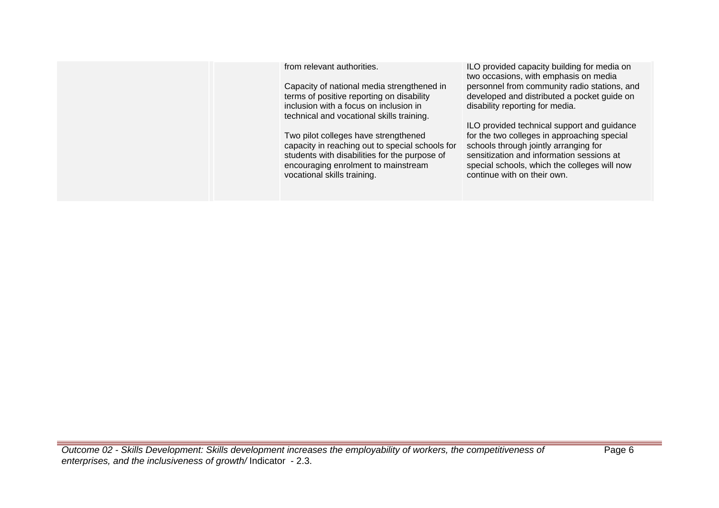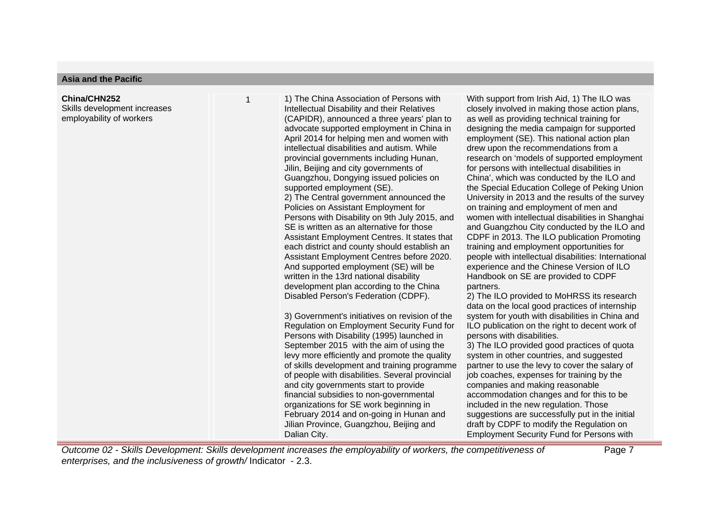### **Asia and the Pacific**

#### **China/CHN252**

Skills development increases employability of workers

1 1) The China Association of Persons with Intellectual Disability and their Relatives (CAPIDR), announced a three years' plan to advocate supported employment in China in April 2014 for helping men and women with intellectual disabilities and autism. While provincial governments including Hunan, Jilin, Beijing and city governments of Guangzhou, Dongying issued policies on supported employment (SE). 2) The Central government announced the Policies on Assistant Employment for Persons with Disability on 9th July 2015, and SE is written as an alternative for those Assistant Employment Centres. It states that each district and county should establish an Assistant Employment Centres before 2020. And supported employment (SE) will be written in the 13rd national disability development plan according to the China Disabled Person's Federation (CDPF). 3) Government's initiatives on revision of the Regulation on Employment Security Fund for Persons with Disability (1995) launched in September 2015 with the aim of using the levy more efficiently and promote the quality of skills development and training programme of people with disabilities. Several provincial and city governments start to provide financial subsidies to non-governmental organizations for SE work beginning in

> February 2014 and on-going in Hunan and Jilian Province, Guangzhou, Beijing and

With support from Irish Aid, 1) The ILO was closely involved in making those action plans, as well as providing technical training for designing the media campaign for supported employment (SE). This national action plan drew upon the recommendations from a research on 'models of supported employment for persons with intellectual disabilities in China', which was conducted by the ILO and the Special Education College of Peking Union University in 2013 and the results of the survey on training and employment of men and women with intellectual disabilities in Shanghai and Guangzhou City conducted by the ILO and CDPF in 2013. The ILO publication Promoting training and employment opportunities for people with intellectual disabilities: International experience and the Chinese Version of ILO Handbook on SE are provided to CDPF partners.

2) The ILO provided to MoHRSS its research data on the local good practices of internship system for youth with disabilities in China and ILO publication on the right to decent work of persons with disabilities.

3) The ILO provided good practices of quota system in other countries, and suggested partner to use the levy to cover the salary of job coaches, expenses for training by the companies and making reasonable accommodation changes and for this to be included in the new regulation. Those suggestions are successfully put in the initial draft by CDPF to modify the Regulation on Employment Security Fund for Persons with

Outcome 02 - Skills Development: Skills development increases the employability of workers, the competitiveness of enterprises, and the inclusiveness of growth/ Indicator - 2.3.

Dalian City.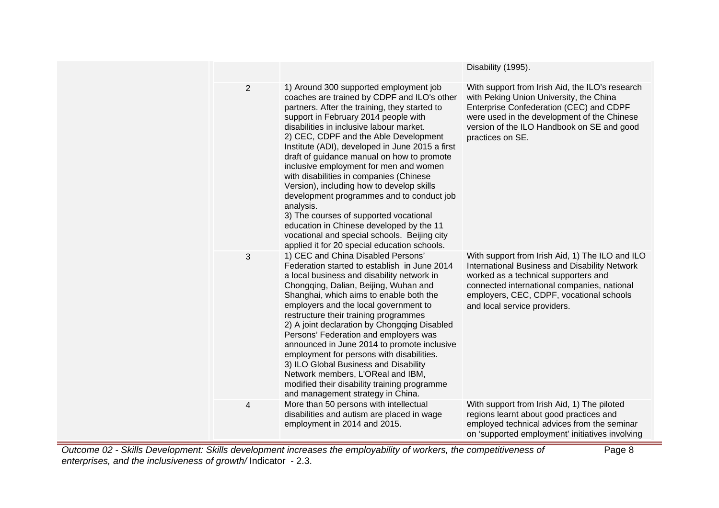|  |                |                                                                                                                                                                                                                                                                                                                                                                                                                                                                                                                                                                                                                                                                                                                                                        | Disability (1995).                                                                                                                                                                                                                                                  |
|--|----------------|--------------------------------------------------------------------------------------------------------------------------------------------------------------------------------------------------------------------------------------------------------------------------------------------------------------------------------------------------------------------------------------------------------------------------------------------------------------------------------------------------------------------------------------------------------------------------------------------------------------------------------------------------------------------------------------------------------------------------------------------------------|---------------------------------------------------------------------------------------------------------------------------------------------------------------------------------------------------------------------------------------------------------------------|
|  | $\overline{2}$ | 1) Around 300 supported employment job<br>coaches are trained by CDPF and ILO's other<br>partners. After the training, they started to<br>support in February 2014 people with<br>disabilities in inclusive labour market.<br>2) CEC, CDPF and the Able Development<br>Institute (ADI), developed in June 2015 a first<br>draft of guidance manual on how to promote<br>inclusive employment for men and women<br>with disabilities in companies (Chinese<br>Version), including how to develop skills<br>development programmes and to conduct job<br>analysis.<br>3) The courses of supported vocational<br>education in Chinese developed by the 11<br>vocational and special schools. Beijing city<br>applied it for 20 special education schools. | With support from Irish Aid, the ILO's research<br>with Peking Union University, the China<br>Enterprise Confederation (CEC) and CDPF<br>were used in the development of the Chinese<br>version of the ILO Handbook on SE and good<br>practices on SE.              |
|  | 3              | 1) CEC and China Disabled Persons'<br>Federation started to establish in June 2014<br>a local business and disability network in<br>Chongqing, Dalian, Beijing, Wuhan and<br>Shanghai, which aims to enable both the<br>employers and the local government to<br>restructure their training programmes<br>2) A joint declaration by Chongqing Disabled<br>Persons' Federation and employers was<br>announced in June 2014 to promote inclusive<br>employment for persons with disabilities.<br>3) ILO Global Business and Disability<br>Network members, L'OReal and IBM,<br>modified their disability training programme<br>and management strategy in China.                                                                                         | With support from Irish Aid, 1) The ILO and ILO<br>International Business and Disability Network<br>worked as a technical supporters and<br>connected international companies, national<br>employers, CEC, CDPF, vocational schools<br>and local service providers. |
|  | 4              | More than 50 persons with intellectual<br>disabilities and autism are placed in wage<br>employment in 2014 and 2015.                                                                                                                                                                                                                                                                                                                                                                                                                                                                                                                                                                                                                                   | With support from Irish Aid, 1) The piloted<br>regions learnt about good practices and<br>employed technical advices from the seminar<br>on 'supported employment' initiatives involving                                                                            |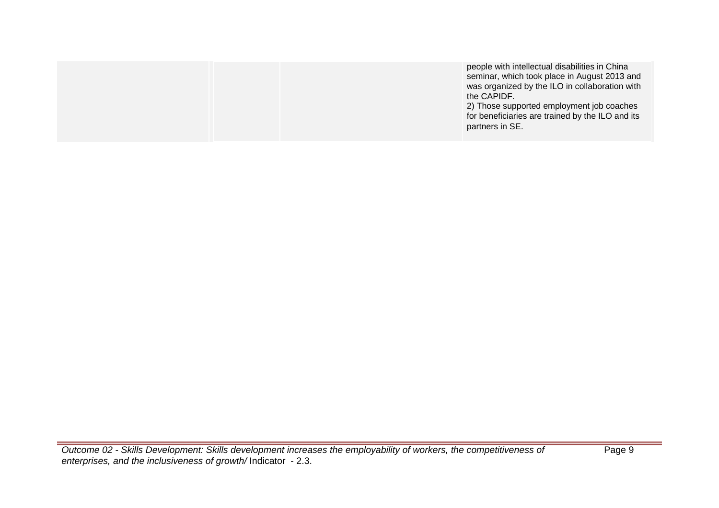|  | people with intellectual disabilities in China<br>seminar, which took place in August 2013 and<br>was organized by the ILO in collaboration with<br>the CAPIDF.<br>2) Those supported employment job coaches<br>for beneficiaries are trained by the ILO and its<br>partners in SE. |
|--|-------------------------------------------------------------------------------------------------------------------------------------------------------------------------------------------------------------------------------------------------------------------------------------|
|--|-------------------------------------------------------------------------------------------------------------------------------------------------------------------------------------------------------------------------------------------------------------------------------------|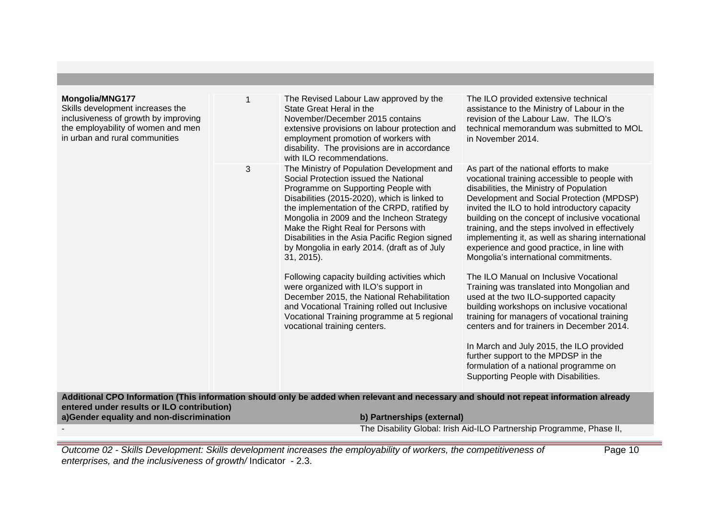| Mongolia/MNG177<br>Skills development increases the<br>inclusiveness of growth by improving<br>the employability of women and men<br>in urban and rural communities |   | The Revised Labour Law approved by the<br>State Great Heral in the<br>November/December 2015 contains<br>extensive provisions on labour protection and<br>employment promotion of workers with<br>disability. The provisions are in accordance<br>with ILO recommendations.                                                                                                                                                                                                                                                                                                                                                                                                                            | The ILO provided extensive technical<br>assistance to the Ministry of Labour in the<br>revision of the Labour Law. The ILO's<br>technical memorandum was submitted to MOL<br>in November 2014.                                                                                                                                                                                                                                                                                                                                                                                                                                                                                                                                                                                                                                                                                                                                          |
|---------------------------------------------------------------------------------------------------------------------------------------------------------------------|---|--------------------------------------------------------------------------------------------------------------------------------------------------------------------------------------------------------------------------------------------------------------------------------------------------------------------------------------------------------------------------------------------------------------------------------------------------------------------------------------------------------------------------------------------------------------------------------------------------------------------------------------------------------------------------------------------------------|-----------------------------------------------------------------------------------------------------------------------------------------------------------------------------------------------------------------------------------------------------------------------------------------------------------------------------------------------------------------------------------------------------------------------------------------------------------------------------------------------------------------------------------------------------------------------------------------------------------------------------------------------------------------------------------------------------------------------------------------------------------------------------------------------------------------------------------------------------------------------------------------------------------------------------------------|
|                                                                                                                                                                     | 3 | The Ministry of Population Development and<br>Social Protection issued the National<br>Programme on Supporting People with<br>Disabilities (2015-2020), which is linked to<br>the implementation of the CRPD, ratified by<br>Mongolia in 2009 and the Incheon Strategy<br>Make the Right Real for Persons with<br>Disabilities in the Asia Pacific Region signed<br>by Mongolia in early 2014. (draft as of July<br>$31, 2015$ ).<br>Following capacity building activities which<br>were organized with ILO's support in<br>December 2015, the National Rehabilitation<br>and Vocational Training rolled out Inclusive<br>Vocational Training programme at 5 regional<br>vocational training centers. | As part of the national efforts to make<br>vocational training accessible to people with<br>disabilities, the Ministry of Population<br>Development and Social Protection (MPDSP)<br>invited the ILO to hold introductory capacity<br>building on the concept of inclusive vocational<br>training, and the steps involved in effectively<br>implementing it, as well as sharing international<br>experience and good practice, in line with<br>Mongolia's international commitments.<br>The ILO Manual on Inclusive Vocational<br>Training was translated into Mongolian and<br>used at the two ILO-supported capacity<br>building workshops on inclusive vocational<br>training for managers of vocational training<br>centers and for trainers in December 2014.<br>In March and July 2015, the ILO provided<br>further support to the MPDSP in the<br>formulation of a national programme on<br>Supporting People with Disabilities. |
|                                                                                                                                                                     |   | Additional CPO Information (This information should only be added when relevant and necessary and should not repeat information already                                                                                                                                                                                                                                                                                                                                                                                                                                                                                                                                                                |                                                                                                                                                                                                                                                                                                                                                                                                                                                                                                                                                                                                                                                                                                                                                                                                                                                                                                                                         |
| entered under results or ILO contribution)                                                                                                                          |   |                                                                                                                                                                                                                                                                                                                                                                                                                                                                                                                                                                                                                                                                                                        |                                                                                                                                                                                                                                                                                                                                                                                                                                                                                                                                                                                                                                                                                                                                                                                                                                                                                                                                         |
| a)Gender equality and non-discrimination                                                                                                                            |   | b) Partnerships (external)                                                                                                                                                                                                                                                                                                                                                                                                                                                                                                                                                                                                                                                                             |                                                                                                                                                                                                                                                                                                                                                                                                                                                                                                                                                                                                                                                                                                                                                                                                                                                                                                                                         |
|                                                                                                                                                                     |   |                                                                                                                                                                                                                                                                                                                                                                                                                                                                                                                                                                                                                                                                                                        | The Disability Global: Irish Aid-ILO Partnership Programme, Phase II,                                                                                                                                                                                                                                                                                                                                                                                                                                                                                                                                                                                                                                                                                                                                                                                                                                                                   |
|                                                                                                                                                                     |   |                                                                                                                                                                                                                                                                                                                                                                                                                                                                                                                                                                                                                                                                                                        |                                                                                                                                                                                                                                                                                                                                                                                                                                                                                                                                                                                                                                                                                                                                                                                                                                                                                                                                         |

Page 10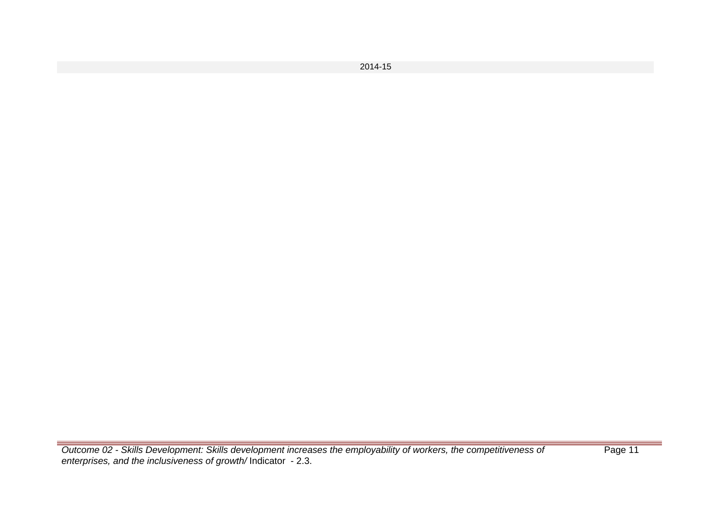2014-15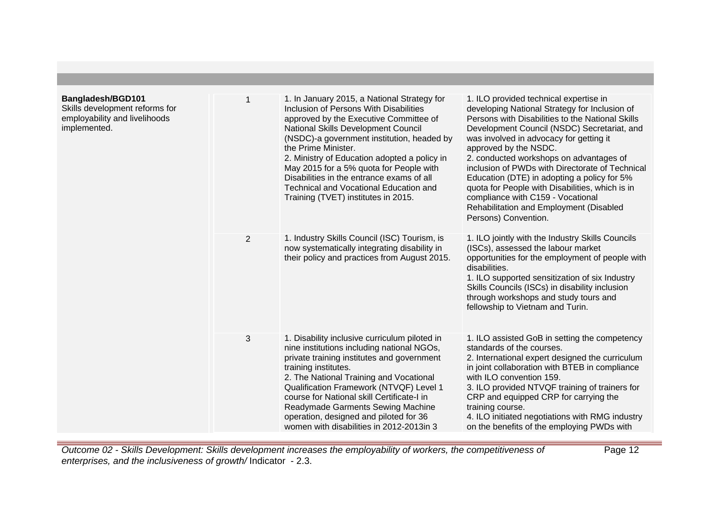| <b>Bangladesh/BGD101</b><br>Skills development reforms for<br>employability and livelihoods<br>implemented. | 1              | 1. In January 2015, a National Strategy for<br>Inclusion of Persons With Disabilities<br>approved by the Executive Committee of<br>National Skills Development Council<br>(NSDC)-a government institution, headed by<br>the Prime Minister.<br>2. Ministry of Education adopted a policy in<br>May 2015 for a 5% quota for People with<br>Disabilities in the entrance exams of all<br>Technical and Vocational Education and<br>Training (TVET) institutes in 2015. | 1. ILO provided technical expertise in<br>developing National Strategy for Inclusion of<br>Persons with Disabilities to the National Skills<br>Development Council (NSDC) Secretariat, and<br>was involved in advocacy for getting it<br>approved by the NSDC.<br>2. conducted workshops on advantages of<br>inclusion of PWDs with Directorate of Technical<br>Education (DTE) in adopting a policy for 5%<br>quota for People with Disabilities, which is in<br>compliance with C159 - Vocational<br>Rehabilitation and Employment (Disabled<br>Persons) Convention. |
|-------------------------------------------------------------------------------------------------------------|----------------|----------------------------------------------------------------------------------------------------------------------------------------------------------------------------------------------------------------------------------------------------------------------------------------------------------------------------------------------------------------------------------------------------------------------------------------------------------------------|------------------------------------------------------------------------------------------------------------------------------------------------------------------------------------------------------------------------------------------------------------------------------------------------------------------------------------------------------------------------------------------------------------------------------------------------------------------------------------------------------------------------------------------------------------------------|
|                                                                                                             | $\overline{2}$ | 1. Industry Skills Council (ISC) Tourism, is<br>now systematically integrating disability in<br>their policy and practices from August 2015.                                                                                                                                                                                                                                                                                                                         | 1. ILO jointly with the Industry Skills Councils<br>(ISCs), assessed the labour market<br>opportunities for the employment of people with<br>disabilities.<br>1. ILO supported sensitization of six Industry<br>Skills Councils (ISCs) in disability inclusion<br>through workshops and study tours and<br>fellowship to Vietnam and Turin.                                                                                                                                                                                                                            |
|                                                                                                             | 3              | 1. Disability inclusive curriculum piloted in<br>nine institutions including national NGOs,<br>private training institutes and government<br>training institutes.<br>2. The National Training and Vocational<br>Qualification Framework (NTVQF) Level 1<br>course for National skill Certificate-I in<br>Readymade Garments Sewing Machine<br>operation, designed and piloted for 36<br>women with disabilities in 2012-2013in 3                                     | 1. ILO assisted GoB in setting the competency<br>standards of the courses.<br>2. International expert designed the curriculum<br>in joint collaboration with BTEB in compliance<br>with ILO convention 159.<br>3. ILO provided NTVQF training of trainers for<br>CRP and equipped CRP for carrying the<br>training course.<br>4. ILO initiated negotiations with RMG industry<br>on the benefits of the employing PWDs with                                                                                                                                            |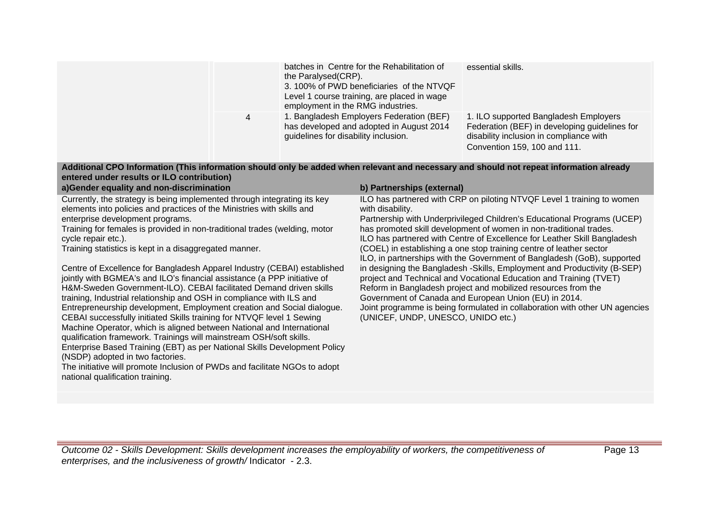|   | batches in Centre for the Rehabilitation of<br>the Paralysed (CRP).<br>3.100% of PWD beneficiaries of the NTVQF<br>Level 1 course training, are placed in wage<br>employment in the RMG industries. | essential skills.                                                                                                                                                 |
|---|-----------------------------------------------------------------------------------------------------------------------------------------------------------------------------------------------------|-------------------------------------------------------------------------------------------------------------------------------------------------------------------|
| 4 | 1. Bangladesh Employers Federation (BEF)<br>has developed and adopted in August 2014<br>guidelines for disability inclusion.                                                                        | 1. ILO supported Bangladesh Employers<br>Federation (BEF) in developing guidelines for<br>disability inclusion in compliance with<br>Convention 159, 100 and 111. |

## **Additional CPO Information (This information should only be added when relevant and necessary and should not repeat information already entered under results or ILO contribution)**

**a)Gender equality and non-discrimination b) Partnerships (external)** Currently, the strategy is being implemented through integrating its key elements into policies and practices of the Ministries with skills and enterprise development programs. Training for females is provided in non-traditional trades (welding, motor cycle repair etc.). Training statistics is kept in a disaggregated manner. Centre of Excellence for Bangladesh Apparel Industry (CEBAI) established jointly with BGMEA's and ILO's financial assistance (a PPP initiative of H&M-Sweden Government-ILO). CEBAI facilitated Demand driven skills training, Industrial relationship and OSH in compliance with ILS and Entrepreneurship development, Employment creation and Social dialogue. CEBAI successfully initiated Skills training for NTVQF level 1 Sewing Machine Operator, which is aligned between National and International qualification framework. Trainings will mainstream OSH/soft skills. Enterprise Based Training (EBT) as per National Skills Development Policy ILO has partnered with CRP on piloting NTVQF Level 1 training to women with disability. Partnership with Underprivileged Children's Educational Programs (UCEP) has promoted skill development of women in non-traditional trades. ILO has partnered with Centre of Excellence for Leather Skill Bangladesh (COEL) in establishing a one stop training centre of leather sector ILO, in partnerships with the Government of Bangladesh (GoB), supported in designing the Bangladesh -Skills, Employment and Productivity (B-SEP) project and Technical and Vocational Education and Training (TVET) Reform in Bangladesh project and mobilized resources from the Government of Canada and European Union (EU) in 2014. Joint programme is being formulated in collaboration with other UN agencies (UNICEF, UNDP, UNESCO, UNIDO etc.)

The initiative will promote Inclusion of PWDs and facilitate NGOs to adopt national qualification training.

(NSDP) adopted in two factories.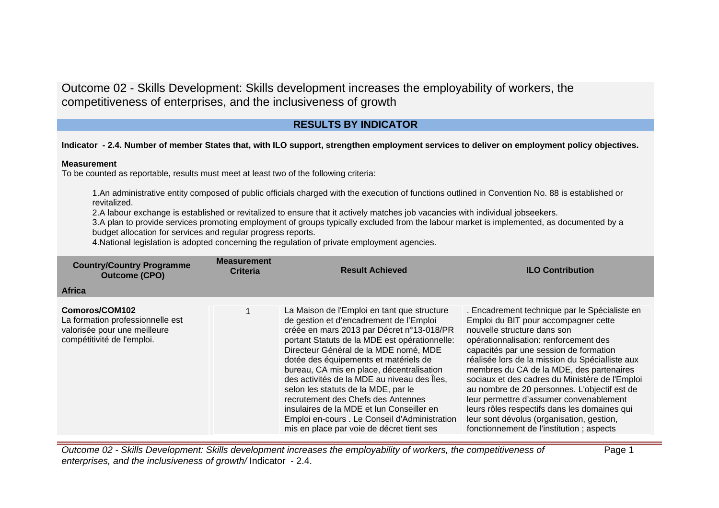# **RESULTS BY INDICATOR**

# **Indicator - 2.4. Number of member States that, with ILO support, strengthen employment services to deliver on employment policy objectives.**

## **Measurement**

To be counted as reportable, results must meet at least two of the following criteria:

1.An administrative entity composed of public officials charged with the execution of functions outlined in Convention No. 88 is established or revitalized.

2.A labour exchange is established or revitalized to ensure that it actively matches job vacancies with individual jobseekers.

3.A plan to provide services promoting employment of groups typically excluded from the labour market is implemented, as documented by a budget allocation for services and regular progress reports.

4.National legislation is adopted concerning the regulation of private employment agencies.

| <b>Country/Country Programme</b><br><b>Outcome (CPO)</b>                                                         | <b>Measurement</b><br><b>Criteria</b> | <b>Result Achieved</b>                                                                                                                                                                                                                                                                                                                                                                                                                                                                                                                                                                     | <b>ILO Contribution</b>                                                                                                                                                                                                                                                                                                                                                                                                                                                                                                                                                                       |
|------------------------------------------------------------------------------------------------------------------|---------------------------------------|--------------------------------------------------------------------------------------------------------------------------------------------------------------------------------------------------------------------------------------------------------------------------------------------------------------------------------------------------------------------------------------------------------------------------------------------------------------------------------------------------------------------------------------------------------------------------------------------|-----------------------------------------------------------------------------------------------------------------------------------------------------------------------------------------------------------------------------------------------------------------------------------------------------------------------------------------------------------------------------------------------------------------------------------------------------------------------------------------------------------------------------------------------------------------------------------------------|
| <b>Africa</b>                                                                                                    |                                       |                                                                                                                                                                                                                                                                                                                                                                                                                                                                                                                                                                                            |                                                                                                                                                                                                                                                                                                                                                                                                                                                                                                                                                                                               |
| Comoros/COM102<br>La formation professionnelle est<br>valorisée pour une meilleure<br>compétitivité de l'emploi. |                                       | La Maison de l'Emploi en tant que structure<br>de gestion et d'encadrement de l'Emploi<br>créée en mars 2013 par Décret n°13-018/PR<br>portant Statuts de la MDE est opérationnelle:<br>Directeur Général de la MDE nomé, MDE<br>dotée des équipements et matériels de<br>bureau, CA mis en place, décentralisation<br>des activités de la MDE au niveau des Îles.<br>selon les statuts de la MDE, par le<br>recrutement des Chefs des Antennes<br>insulaires de la MDE et lun Conseiller en<br>Emploi en-cours . Le Conseil d'Administration<br>mis en place par voie de décret tient ses | . Encadrement technique par le Spécialiste en<br>Emploi du BIT pour accompagner cette<br>nouvelle structure dans son<br>opérationnalisation: renforcement des<br>capacités par une session de formation<br>réalisée lors de la mission du Spécialliste aux<br>membres du CA de la MDE, des partenaires<br>sociaux et des cadres du Ministère de l'Emploi<br>au nombre de 20 personnes. L'objectif est de<br>leur permettre d'assumer convenablement<br>leurs rôles respectifs dans les domaines qui<br>leur sont dévolus (organisation, gestion,<br>fonctionnement de l'institution ; aspects |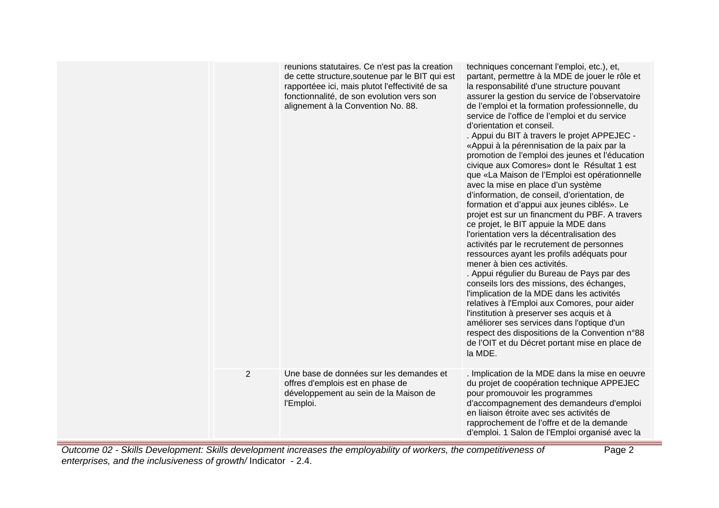|                | reunions statutaires. Ce n'est pas la creation<br>de cette structure, soutenue par le BIT qui est<br>rapportéee ici, mais plutot l'effectivité de sa<br>fonctionnalité, de son evolution vers son<br>alignement à la Convention No. 88. | techniques concernant l'emploi, etc.), et,<br>partant, permettre à la MDE de jouer le rôle et<br>la responsabilité d'une structure pouvant<br>assurer la gestion du service de l'observatoire<br>de l'emploi et la formation professionnelle, du<br>service de l'office de l'emploi et du service<br>d'orientation et conseil.<br>. Appui du BIT à travers le projet APPEJEC -<br>«Appui à la pérennisation de la paix par la<br>promotion de l'emploi des jeunes et l'éducation<br>civique aux Comores» dont le Résultat 1 est<br>que «La Maison de l'Emploi est opérationnelle<br>avec la mise en place d'un système<br>d'information, de conseil, d'orientation, de<br>formation et d'appui aux jeunes ciblés». Le<br>projet est sur un financment du PBF. A travers<br>ce projet, le BIT appuie la MDE dans<br>l'orientation vers la décentralisation des<br>activités par le recrutement de personnes<br>ressources ayant les profils adéquats pour<br>mener à bien ces activités.<br>. Appui régulier du Bureau de Pays par des<br>conseils lors des missions, des échanges,<br>l'implication de la MDE dans les activités<br>relatives à l'Emploi aux Comores, pour aider<br>l'institution à preserver ses acquis et à<br>améliorer ses services dans l'optique d'un<br>respect des dispositions de la Convention n°88<br>de l'OIT et du Décret portant mise en place de<br>la MDE. |
|----------------|-----------------------------------------------------------------------------------------------------------------------------------------------------------------------------------------------------------------------------------------|--------------------------------------------------------------------------------------------------------------------------------------------------------------------------------------------------------------------------------------------------------------------------------------------------------------------------------------------------------------------------------------------------------------------------------------------------------------------------------------------------------------------------------------------------------------------------------------------------------------------------------------------------------------------------------------------------------------------------------------------------------------------------------------------------------------------------------------------------------------------------------------------------------------------------------------------------------------------------------------------------------------------------------------------------------------------------------------------------------------------------------------------------------------------------------------------------------------------------------------------------------------------------------------------------------------------------------------------------------------------------------------------|
| $\overline{2}$ | Une base de données sur les demandes et<br>offres d'emplois est en phase de<br>développement au sein de la Maison de<br>l'Emploi.                                                                                                       | . Implication de la MDE dans la mise en oeuvre<br>du projet de coopération technique APPEJEC<br>pour promouvoir les programmes<br>d'accompagnement des demandeurs d'emploi<br>en liaison étroite avec ses activités de<br>rapprochement de l'offre et de la demande<br>d'emploi. 1 Salon de l'Emploi organisé avec la                                                                                                                                                                                                                                                                                                                                                                                                                                                                                                                                                                                                                                                                                                                                                                                                                                                                                                                                                                                                                                                                      |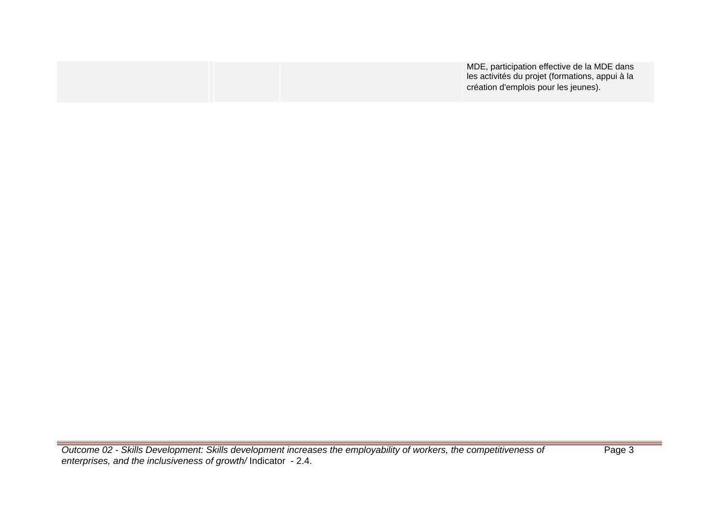|  | MDE, participation effective de la MDE dans<br>les activités du projet (formations, appui à la<br>création d'emplois pour les jeunes). |
|--|----------------------------------------------------------------------------------------------------------------------------------------|
|  |                                                                                                                                        |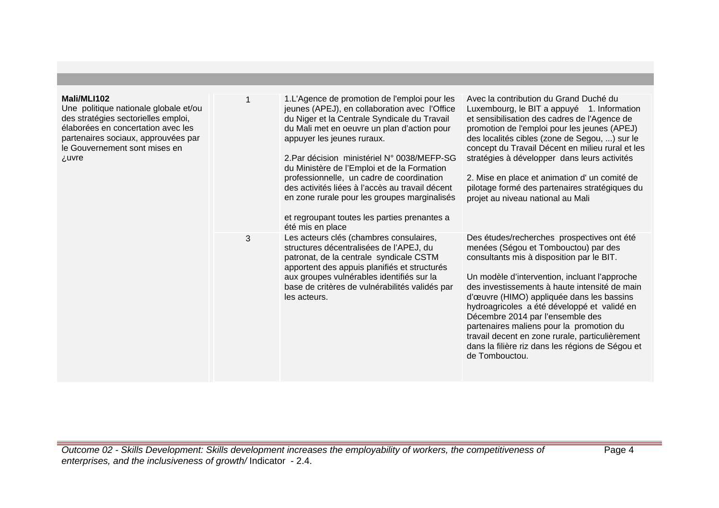| Mali/MLI102<br>Une politique nationale globale et/ou<br>des stratégies sectorielles emploi,<br>élaborées en concertation avec les<br>partenaires sociaux, approuvées par<br>le Gouvernement sont mises en<br>¿uvre |   | 1. L'Agence de promotion de l'emploi pour les<br>jeunes (APEJ), en collaboration avec l'Office<br>du Niger et la Centrale Syndicale du Travail<br>du Mali met en oeuvre un plan d'action pour<br>appuyer les jeunes ruraux.<br>2. Par décision ministériel N° 0038/MEFP-SG<br>du Ministère de l'Emploi et de la Formation<br>professionnelle, un cadre de coordination<br>des activités liées à l'accès au travail décent<br>en zone rurale pour les groupes marginalisés<br>et regroupant toutes les parties prenantes a<br>été mis en place | Avec la contribution du Grand Duché du<br>Luxembourg, le BIT a appuyé 1. Information<br>et sensibilisation des cadres de l'Agence de<br>promotion de l'emploi pour les jeunes (APEJ)<br>des localités cibles (zone de Segou, ) sur le<br>concept du Travail Décent en milieu rural et les<br>stratégies à développer dans leurs activités<br>2. Mise en place et animation d'un comité de<br>pilotage formé des partenaires stratégiques du<br>projet au niveau national au Mali                                                       |
|--------------------------------------------------------------------------------------------------------------------------------------------------------------------------------------------------------------------|---|-----------------------------------------------------------------------------------------------------------------------------------------------------------------------------------------------------------------------------------------------------------------------------------------------------------------------------------------------------------------------------------------------------------------------------------------------------------------------------------------------------------------------------------------------|----------------------------------------------------------------------------------------------------------------------------------------------------------------------------------------------------------------------------------------------------------------------------------------------------------------------------------------------------------------------------------------------------------------------------------------------------------------------------------------------------------------------------------------|
|                                                                                                                                                                                                                    | 3 | Les acteurs clés (chambres consulaires,<br>structures décentralisées de l'APEJ, du<br>patronat, de la centrale syndicale CSTM<br>apportent des appuis planifiés et structurés<br>aux groupes vulnérables identifiés sur la<br>base de critères de vulnérabilités validés par<br>les acteurs.                                                                                                                                                                                                                                                  | Des études/recherches prospectives ont été<br>menées (Ségou et Tombouctou) par des<br>consultants mis à disposition par le BIT.<br>Un modèle d'intervention, incluant l'approche<br>des investissements à haute intensité de main<br>d'œuvre (HIMO) appliquée dans les bassins<br>hydroagricoles a été développé et validé en<br>Décembre 2014 par l'ensemble des<br>partenaires maliens pour la promotion du<br>travail decent en zone rurale, particulièrement<br>dans la filière riz dans les régions de Ségou et<br>de Tombouctou. |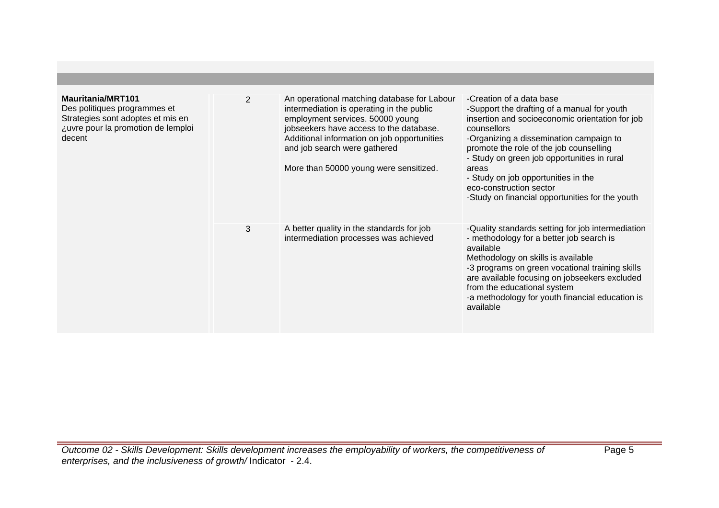| <b>Mauritania/MRT101</b><br>Des politiques programmes et<br>Strategies sont adoptes et mis en<br>¿uvre pour la promotion de lemploi<br>decent | $\overline{2}$ | An operational matching database for Labour<br>intermediation is operating in the public<br>employment services. 50000 young<br>jobseekers have access to the database.<br>Additional information on job opportunities<br>and job search were gathered<br>More than 50000 young were sensitized. | -Creation of a data base<br>-Support the drafting of a manual for youth<br>insertion and socioeconomic orientation for job<br>counsellors<br>-Organizing a dissemination campaign to<br>promote the role of the job counselling<br>- Study on green job opportunities in rural<br>areas<br>- Study on job opportunities in the<br>eco-construction sector<br>-Study on financial opportunities for the youth |
|-----------------------------------------------------------------------------------------------------------------------------------------------|----------------|--------------------------------------------------------------------------------------------------------------------------------------------------------------------------------------------------------------------------------------------------------------------------------------------------|--------------------------------------------------------------------------------------------------------------------------------------------------------------------------------------------------------------------------------------------------------------------------------------------------------------------------------------------------------------------------------------------------------------|
|                                                                                                                                               | 3              | A better quality in the standards for job<br>intermediation processes was achieved                                                                                                                                                                                                               | -Quality standards setting for job intermediation<br>- methodology for a better job search is<br>available<br>Methodology on skills is available<br>-3 programs on green vocational training skills<br>are available focusing on jobseekers excluded<br>from the educational system<br>-a methodology for youth financial education is<br>available                                                          |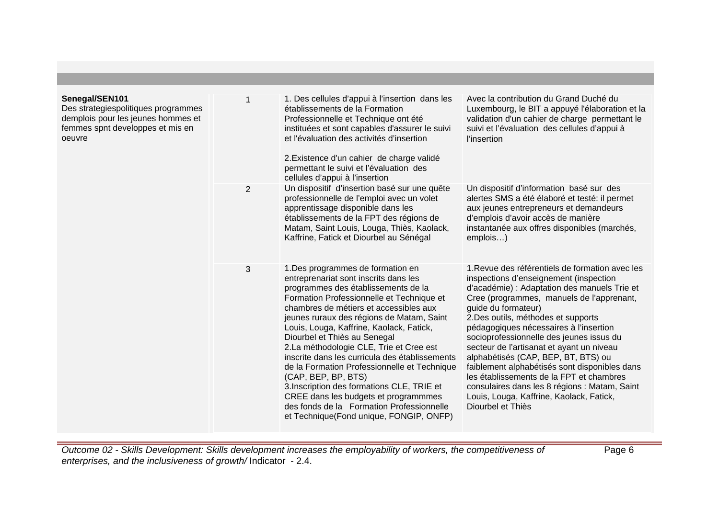| Senegal/SEN101<br>Des strategiespolitiques programmes<br>demplois pour les jeunes hommes et<br>femmes spnt developpes et mis en<br>oeuvre |                | 1. Des cellules d'appui à l'insertion dans les<br>établissements de la Formation<br>Professionnelle et Technique ont été<br>instituées et sont capables d'assurer le suivi<br>et l'évaluation des activités d'insertion<br>2. Existence d'un cahier de charge validé<br>permettant le suivi et l'évaluation des<br>cellules d'appui à l'insertion                                                                                                                                                                                                                                                                                                                                   | Avec la contribution du Grand Duché du<br>Luxembourg, le BIT a appuyé l'élaboration et la<br>validation d'un cahier de charge permettant le<br>suivi et l'évaluation des cellules d'appui à<br>l'insertion                                                                                                                                                                                                                                                                                                                                                                                                                                    |
|-------------------------------------------------------------------------------------------------------------------------------------------|----------------|-------------------------------------------------------------------------------------------------------------------------------------------------------------------------------------------------------------------------------------------------------------------------------------------------------------------------------------------------------------------------------------------------------------------------------------------------------------------------------------------------------------------------------------------------------------------------------------------------------------------------------------------------------------------------------------|-----------------------------------------------------------------------------------------------------------------------------------------------------------------------------------------------------------------------------------------------------------------------------------------------------------------------------------------------------------------------------------------------------------------------------------------------------------------------------------------------------------------------------------------------------------------------------------------------------------------------------------------------|
|                                                                                                                                           | $\overline{2}$ | Un dispositif d'insertion basé sur une quête<br>professionnelle de l'emploi avec un volet<br>apprentissage disponible dans les<br>établissements de la FPT des régions de<br>Matam, Saint Louis, Louga, Thiès, Kaolack,<br>Kaffrine, Fatick et Diourbel au Sénégal                                                                                                                                                                                                                                                                                                                                                                                                                  | Un dispositif d'information basé sur des<br>alertes SMS a été élaboré et testé: il permet<br>aux jeunes entrepreneurs et demandeurs<br>d'emplois d'avoir accès de manière<br>instantanée aux offres disponibles (marchés,<br>emplois)                                                                                                                                                                                                                                                                                                                                                                                                         |
|                                                                                                                                           | 3              | 1. Des programmes de formation en<br>entreprenariat sont inscrits dans les<br>programmes des établissements de la<br>Formation Professionnelle et Technique et<br>chambres de métiers et accessibles aux<br>jeunes ruraux des régions de Matam, Saint<br>Louis, Louga, Kaffrine, Kaolack, Fatick,<br>Diourbel et Thiès au Senegal<br>2.La méthodologie CLE, Trie et Cree est<br>inscrite dans les curricula des établissements<br>de la Formation Professionnelle et Technique<br>(CAP, BEP, BP, BTS)<br>3. Inscription des formations CLE, TRIE et<br>CREE dans les budgets et programmmes<br>des fonds de la Formation Professionnelle<br>et Technique(Fond unique, FONGIP, ONFP) | 1. Revue des référentiels de formation avec les<br>inspections d'enseignement (inspection<br>d'académie) : Adaptation des manuels Trie et<br>Cree (programmes, manuels de l'apprenant,<br>quide du formateur)<br>2. Des outils, méthodes et supports<br>pédagogiques nécessaires à l'insertion<br>socioprofessionnelle des jeunes issus du<br>secteur de l'artisanat et ayant un niveau<br>alphabétisés (CAP, BEP, BT, BTS) ou<br>faiblement alphabétisés sont disponibles dans<br>les établissements de la FPT et chambres<br>consulaires dans les 8 régions : Matam, Saint<br>Louis, Louga, Kaffrine, Kaolack, Fatick,<br>Diourbel et Thiès |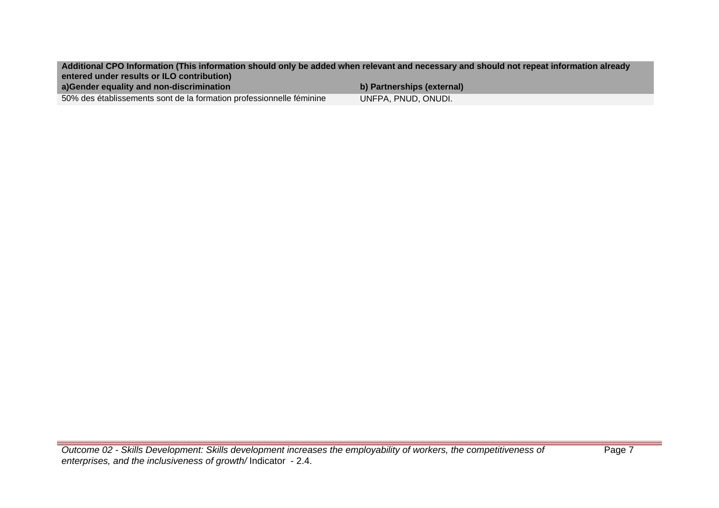| Additional CPO Information (This information should only be added when relevant and necessary and should not repeat information already |                            |
|-----------------------------------------------------------------------------------------------------------------------------------------|----------------------------|
| entered under results or ILO contribution)                                                                                              |                            |
| a) Gender equality and non-discrimination                                                                                               | b) Partnerships (external) |
|                                                                                                                                         |                            |

50% des établissements sont de la formation professionnelle féminine UNFPA, PNUD, ONUDI.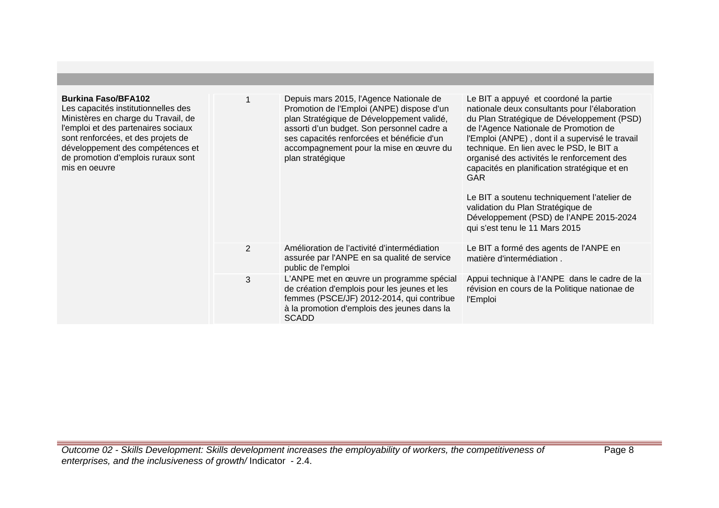| <b>Burkina Faso/BFA102</b><br>Les capacités institutionnelles des<br>Ministères en charge du Travail, de<br>l'emploi et des partenaires sociaux<br>sont renforcées, et des projets de<br>développement des compétences et<br>de promotion d'emplois ruraux sont<br>mis en oeuvre |                | Depuis mars 2015, l'Agence Nationale de<br>Promotion de l'Emploi (ANPE) dispose d'un<br>plan Stratégique de Développement validé,<br>assorti d'un budget. Son personnel cadre a<br>ses capacités renforcées et bénéficie d'un<br>accompagnement pour la mise en œuvre du<br>plan stratégique | Le BIT a appuyé et coordoné la partie<br>nationale deux consultants pour l'élaboration<br>du Plan Stratégique de Développement (PSD)<br>de l'Agence Nationale de Promotion de<br>l'Emploi (ANPE), dont il a supervisé le travail<br>technique. En lien avec le PSD, le BIT a<br>organisé des activités le renforcement des<br>capacités en planification stratégique et en<br><b>GAR</b><br>Le BIT a soutenu techniquement l'atelier de<br>validation du Plan Stratégique de<br>Développement (PSD) de l'ANPE 2015-2024<br>qui s'est tenu le 11 Mars 2015 |
|----------------------------------------------------------------------------------------------------------------------------------------------------------------------------------------------------------------------------------------------------------------------------------|----------------|----------------------------------------------------------------------------------------------------------------------------------------------------------------------------------------------------------------------------------------------------------------------------------------------|-----------------------------------------------------------------------------------------------------------------------------------------------------------------------------------------------------------------------------------------------------------------------------------------------------------------------------------------------------------------------------------------------------------------------------------------------------------------------------------------------------------------------------------------------------------|
|                                                                                                                                                                                                                                                                                  | $\overline{2}$ | Amélioration de l'activité d'intermédiation<br>assurée par l'ANPE en sa qualité de service<br>public de l'emploi                                                                                                                                                                             | Le BIT a formé des agents de l'ANPE en<br>matière d'intermédiation.                                                                                                                                                                                                                                                                                                                                                                                                                                                                                       |
|                                                                                                                                                                                                                                                                                  | 3              | L'ANPE met en œuvre un programme spécial<br>de création d'emplois pour les jeunes et les<br>femmes (PSCE/JF) 2012-2014, qui contribue<br>à la promotion d'emplois des jeunes dans la<br><b>SCADD</b>                                                                                         | Appui technique à l'ANPE dans le cadre de la<br>révision en cours de la Politique nationae de<br>l'Emploi                                                                                                                                                                                                                                                                                                                                                                                                                                                 |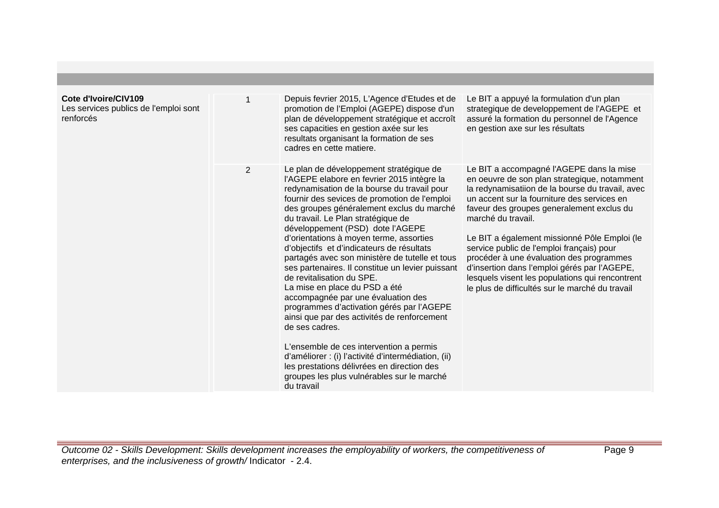| Cote d'Ivoire/CIV109<br>Les services publics de l'emploi sont<br>renforcés |                | Depuis fevrier 2015, L'Agence d'Etudes et de<br>promotion de l'Emploi (AGEPE) dispose d'un<br>plan de développement stratégique et accroît<br>ses capacities en gestion axée sur les<br>resultats organisant la formation de ses<br>cadres en cette matiere.                                                                                                                                                                                                                                                                                                                                                                                                                                                                                                                                                                                                                                                                            | Le BIT a appuyé la formulation d'un plan<br>strategique de developpement de l'AGEPE et<br>assuré la formation du personnel de l'Agence<br>en gestion axe sur les résultats                                                                                                                                                                                                                                                                                                                                                                                    |
|----------------------------------------------------------------------------|----------------|-----------------------------------------------------------------------------------------------------------------------------------------------------------------------------------------------------------------------------------------------------------------------------------------------------------------------------------------------------------------------------------------------------------------------------------------------------------------------------------------------------------------------------------------------------------------------------------------------------------------------------------------------------------------------------------------------------------------------------------------------------------------------------------------------------------------------------------------------------------------------------------------------------------------------------------------|---------------------------------------------------------------------------------------------------------------------------------------------------------------------------------------------------------------------------------------------------------------------------------------------------------------------------------------------------------------------------------------------------------------------------------------------------------------------------------------------------------------------------------------------------------------|
|                                                                            | $\overline{2}$ | Le plan de développement stratégique de<br>l'AGEPE elabore en fevrier 2015 intègre la<br>redynamisation de la bourse du travail pour<br>fournir des sevices de promotion de l'emploi<br>des groupes généralement exclus du marché<br>du travail. Le Plan stratégique de<br>développement (PSD) dote l'AGEPE<br>d'orientations à moyen terme, assorties<br>d'objectifs et d'indicateurs de résultats<br>partagés avec son ministère de tutelle et tous<br>ses partenaires. Il constitue un levier puissant<br>de revitalisation du SPE.<br>La mise en place du PSD a été<br>accompagnée par une évaluation des<br>programmes d'activation gérés par l'AGEPE<br>ainsi que par des activités de renforcement<br>de ses cadres.<br>L'ensemble de ces intervention a permis<br>d'améliorer : (i) l'activité d'intermédiation, (ii)<br>les prestations délivrées en direction des<br>groupes les plus vulnérables sur le marché<br>du travail | Le BIT a accompagné l'AGEPE dans la mise<br>en oeuvre de son plan strategique, notamment<br>la redynamisatiion de la bourse du travail, avec<br>un accent sur la fourniture des services en<br>faveur des groupes generalement exclus du<br>marché du travail.<br>Le BIT a également missionné Pôle Emploi (le<br>service public de l'emploi français) pour<br>procéder à une évaluation des programmes<br>d'insertion dans l'emploi gérés par l'AGEPE,<br>lesquels visent les populations qui rencontrent<br>le plus de difficultés sur le marché du travail |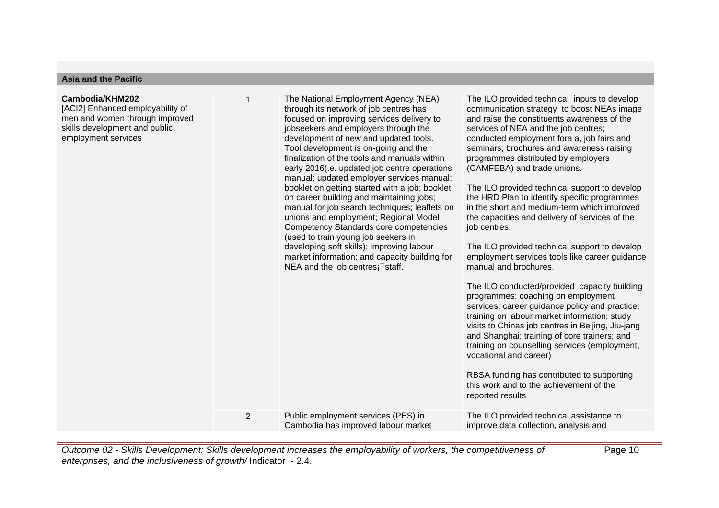### **Asia and the Pacific**

### **Cambodia/KHM202**

[ACI2] Enhanced employability of men and women through improved skills development and public employment services

The National Employment Agency (NEA) through its network of job centres has focused on improving services delivery to jobseekers and employers through the development of new and updated tools. Tool development is on-going and the finalization of the tools and manuals within early 2016(.e. updated job centre operations manual; updated employer services manual; booklet on getting started with a job; booklet on career building and maintaining jobs; manual for job search techniques; leaflets on unions and employment; Regional Model Competency Standards core competencies (used to train young job seekers in developing soft skills); improving labour market information; and capacity building for NEA and the job centres<sub>i</sub><sup> $-$ </sup> staff. The ILO provided technical inputs to develop communication strategy to boost NEAs image and raise the constituents awareness of the services of NEA and the job centres: conducted employment fora a, job fairs and seminars; brochures and awareness raising programmes distributed by employers (CAMFEBA) and trade unions. The ILO provided technical support to develop the HRD Plan to identify specific programmes in the short and medium-term which improved the capacities and delivery of services of the job centres; The ILO provided technical support to develop employment services tools like career guidance manual and brochures. The ILO conducted/provided capacity building programmes: coaching on employment services; career guidance policy and practice; training on labour market information; study visits to Chinas job centres in Beijing, Jiu-jang and Shanghai; training of core trainers; and training on counselling services (employment, vocational and career) RBSA funding has contributed to supporting this work and to the achievement of the

2 Public employment services (PES) in

The ILO provided technical assistance to improve data collection, analysis and

reported results

Outcome 02 - Skills Development: Skills development increases the employability of workers, the competitiveness of enterprises, and the inclusiveness of growth/ Indicator - 2.4.

Cambodia has improved labour market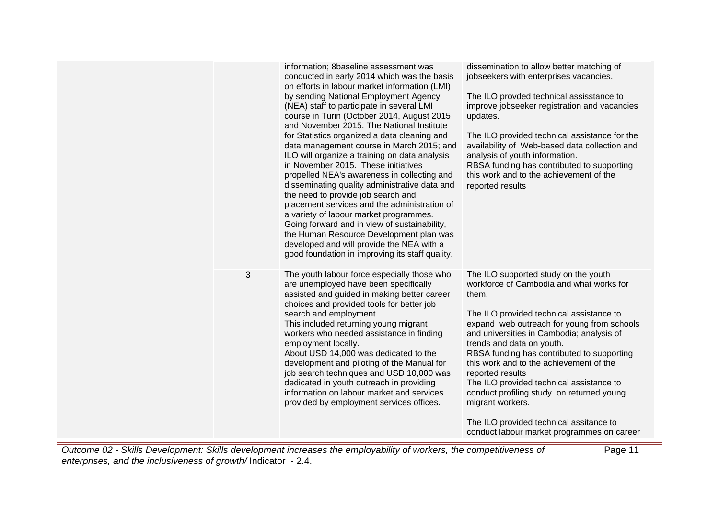|   | information; 8baseline assessment was<br>conducted in early 2014 which was the basis<br>on efforts in labour market information (LMI)<br>by sending National Employment Agency<br>(NEA) staff to participate in several LMI<br>course in Turin (October 2014, August 2015<br>and November 2015. The National Institute<br>for Statistics organized a data cleaning and<br>data management course in March 2015; and<br>ILO will organize a training on data analysis<br>in November 2015. These initiatives<br>propelled NEA's awareness in collecting and<br>disseminating quality administrative data and<br>the need to provide job search and<br>placement services and the administration of<br>a variety of labour market programmes.<br>Going forward and in view of sustainability,<br>the Human Resource Development plan was<br>developed and will provide the NEA with a<br>good foundation in improving its staff quality. | dissemination to allow better matching of<br>jobseekers with enterprises vacancies.<br>The ILO provded technical assisstance to<br>improve jobseeker registration and vacancies<br>updates.<br>The ILO provided technical assistance for the<br>availability of Web-based data collection and<br>analysis of youth information.<br>RBSA funding has contributed to supporting<br>this work and to the achievement of the<br>reported results                                                                                                                                     |
|---|----------------------------------------------------------------------------------------------------------------------------------------------------------------------------------------------------------------------------------------------------------------------------------------------------------------------------------------------------------------------------------------------------------------------------------------------------------------------------------------------------------------------------------------------------------------------------------------------------------------------------------------------------------------------------------------------------------------------------------------------------------------------------------------------------------------------------------------------------------------------------------------------------------------------------------------|----------------------------------------------------------------------------------------------------------------------------------------------------------------------------------------------------------------------------------------------------------------------------------------------------------------------------------------------------------------------------------------------------------------------------------------------------------------------------------------------------------------------------------------------------------------------------------|
| 3 | The youth labour force especially those who<br>are unemployed have been specifically<br>assisted and guided in making better career<br>choices and provided tools for better job<br>search and employment.<br>This included returning young migrant<br>workers who needed assistance in finding<br>employment locally.<br>About USD 14,000 was dedicated to the<br>development and piloting of the Manual for<br>job search techniques and USD 10,000 was<br>dedicated in youth outreach in providing<br>information on labour market and services<br>provided by employment services offices.                                                                                                                                                                                                                                                                                                                                         | The ILO supported study on the youth<br>workforce of Cambodia and what works for<br>them.<br>The ILO provided technical assistance to<br>expand web outreach for young from schools<br>and universities in Cambodia; analysis of<br>trends and data on youth.<br>RBSA funding has contributed to supporting<br>this work and to the achievement of the<br>reported results<br>The ILO provided technical assistance to<br>conduct profiling study on returned young<br>migrant workers.<br>The ILO provided technical assitance to<br>conduct labour market programmes on career |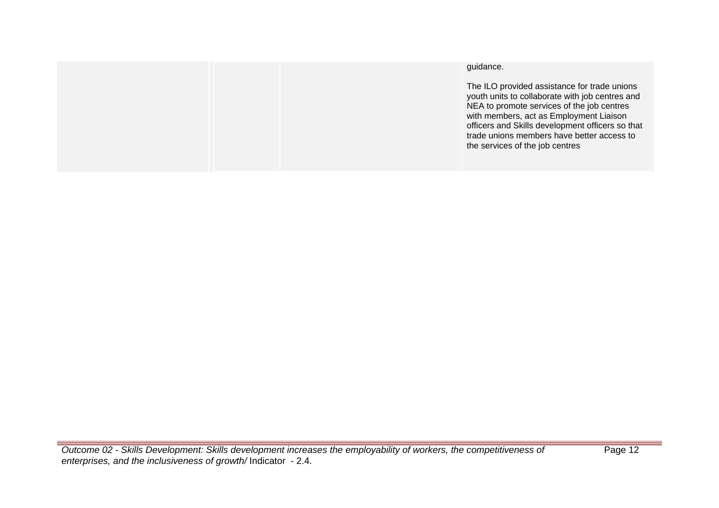| guidance.                                                                                                                                                                                                                                                                                                                     |
|-------------------------------------------------------------------------------------------------------------------------------------------------------------------------------------------------------------------------------------------------------------------------------------------------------------------------------|
| The ILO provided assistance for trade unions<br>youth units to collaborate with job centres and<br>NEA to promote services of the job centres<br>with members, act as Employment Liaison<br>officers and Skills development officers so that<br>trade unions members have better access to<br>the services of the job centres |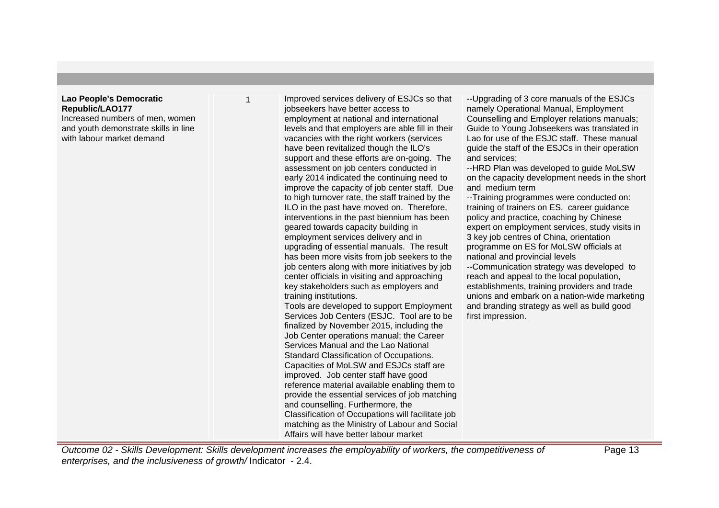## **Lao People's Democratic Republic/LAO177**

Increased numbers of men, women and youth demonstrate skills in line with labour market demand

1 Improved services delivery of ESJCs so that jobseekers have better access to employment at national and international levels and that employers are able fill in their vacancies with the right workers (services have been revitalized though the ILO's support and these efforts are on-going. The assessment on job centers conducted in early 2014 indicated the continuing need to improve the capacity of job center staff. Due to high turnover rate, the staff trained by the ILO in the past have moved on. Therefore, interventions in the past biennium has been geared towards capacity building in employment services delivery and in upgrading of essential manuals. The result has been more visits from job seekers to the job centers along with more initiatives by job center officials in visiting and approaching key stakeholders such as employers and training institutions. Tools are developed to support Employment Services Job Centers (ESJC. Tool are to be finalized by November 2015, including the Job Center operations manual; the Career Services Manual and the Lao National Standard Classification of Occupations. Capacities of MoLSW and ESJCs staff are improved. Job center staff have good reference material available enabling them to provide the essential services of job matching and counselling. Furthermore, the Classification of Occupations will facilitate job matching as the Ministry of Labour and Social Affairs will have better labour market

--Upgrading of 3 core manuals of the ESJCs namely Operational Manual, Employment Counselling and Employer relations manuals; Guide to Young Jobseekers was translated in Lao for use of the ESJC staff. These manual guide the staff of the ESJCs in their operation and services;

--HRD Plan was developed to guide MoLSW on the capacity development needs in the short and medium term

--Training programmes were conducted on: training of trainers on ES, career guidance policy and practice, coaching by Chinese expert on employment services, study visits in 3 key job centres of China, orientation programme on ES for MoLSW officials at national and provincial levels --Communication strategy was developed to

reach and appeal to the local population, establishments, training providers and trade unions and embark on a nation-wide marketing and branding strategy as well as build good first impression.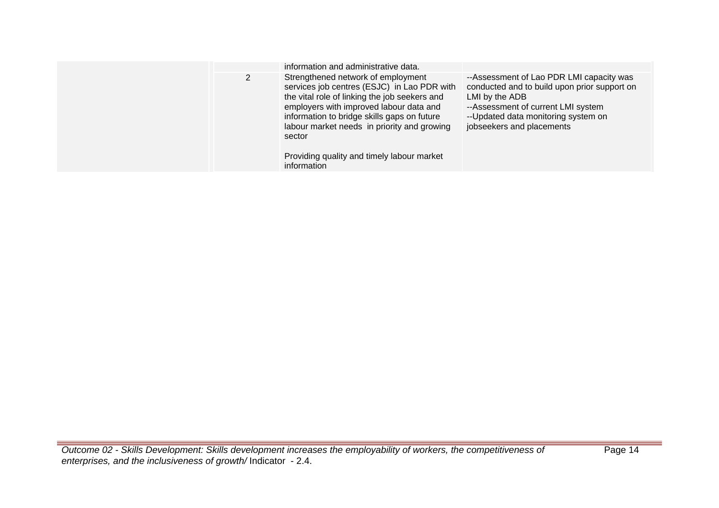|  | information and administrative data.                                                                                                                                                                                                                                                  |                                                                                                                                                                                                                       |
|--|---------------------------------------------------------------------------------------------------------------------------------------------------------------------------------------------------------------------------------------------------------------------------------------|-----------------------------------------------------------------------------------------------------------------------------------------------------------------------------------------------------------------------|
|  | Strengthened network of employment<br>services job centres (ESJC) in Lao PDR with<br>the vital role of linking the job seekers and<br>employers with improved labour data and<br>information to bridge skills gaps on future<br>labour market needs in priority and growing<br>sector | --Assessment of Lao PDR LMI capacity was<br>conducted and to build upon prior support on<br>LMI by the ADB<br>--Assessment of current LMI system<br>-- Updated data monitoring system on<br>jobseekers and placements |
|  | Providing quality and timely labour market<br>information                                                                                                                                                                                                                             |                                                                                                                                                                                                                       |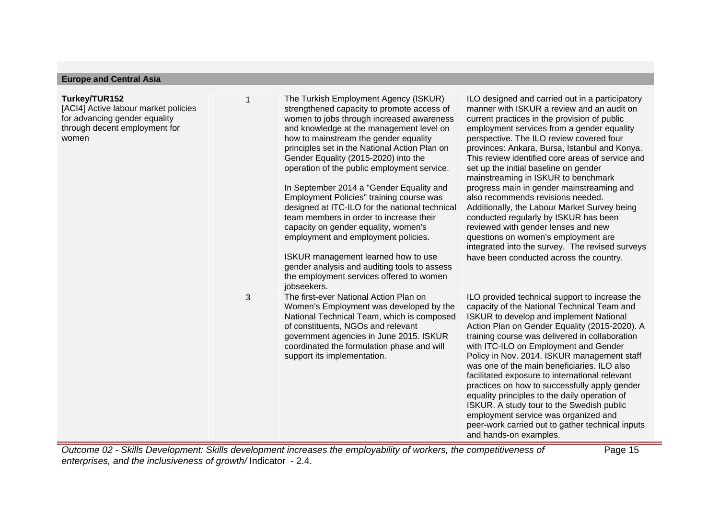#### **Europe and Central Asia**

#### **Turkey/TUR152** [ACI4] Active labour market policies for advancing gender equality through decent employment for women The Turkish Employment Agency (ISKUR) strengthened capacity to promote access of women to jobs through increased awareness and knowledge at the management level on how to mainstream the gender equality principles set in the National Action Plan on Gender Equality (2015-2020) into the operation of the public employment service. In September 2014 a "Gender Equality and Employment Policies" training course was designed at ITC-ILO for the national technical team members in order to increase their capacity on gender equality, women's employment and employment policies. ISKUR management learned how to use gender analysis and auditing tools to assess the employment services offered to women jobseekers. ILO designed and carried out in a participatory manner with ISKUR a review and an audit on current practices in the provision of public employment services from a gender equality perspective. The ILO review covered four provinces: Ankara, Bursa, Istanbul and Konya. This review identified core areas of service and set up the initial baseline on gender mainstreaming in ISKUR to benchmark progress main in gender mainstreaming and also recommends revisions needed. Additionally, the Labour Market Survey being conducted regularly by ISKUR has been reviewed with gender lenses and new questions on women's employment are integrated into the survey. The revised surveys have been conducted across the country. 3 The first-ever National Action Plan on Women's Employment was developed by the National Technical Team, which is composed of constituents, NGOs and relevant government agencies in June 2015. ISKUR coordinated the formulation phase and will support its implementation. ILO provided technical support to increase the capacity of the National Technical Team and ISKUR to develop and implement National Action Plan on Gender Equality (2015-2020). A training course was delivered in collaboration with ITC-ILO on Employment and Gender Policy in Nov. 2014. ISKUR management staff was one of the main beneficiaries. ILO also facilitated exposure to international relevant practices on how to successfully apply gender equality principles to the daily operation of ISKUR. A study tour to the Swedish public employment service was organized and peer-work carried out to gather technical inputs and hands-on examples.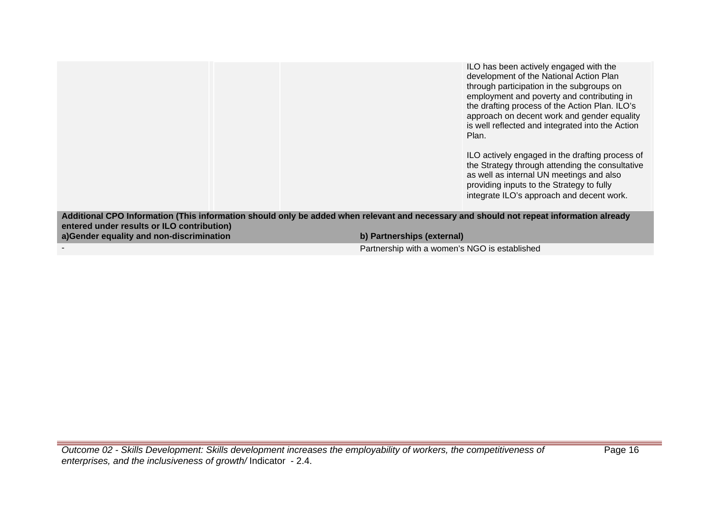ILO has been actively engaged with the development of the National Action Plan through participation in the subgroups on employment and poverty and contributing in the drafting process of the Action Plan. ILO's approach on decent work and gender equality is well reflected and integrated into the Action Plan.

ILO actively engaged in the drafting process of the Strategy through attending the consultative as well as internal UN meetings and also providing inputs to the Strategy to fully integrate ILO's approach and decent work.

**Additional CPO Information (This information should only be added when relevant and necessary and should not repeat information already entered under results or ILO contribution) a)Gender equality and non-discrimination b) Partnerships (external)**

Partnership with a women's NGO is established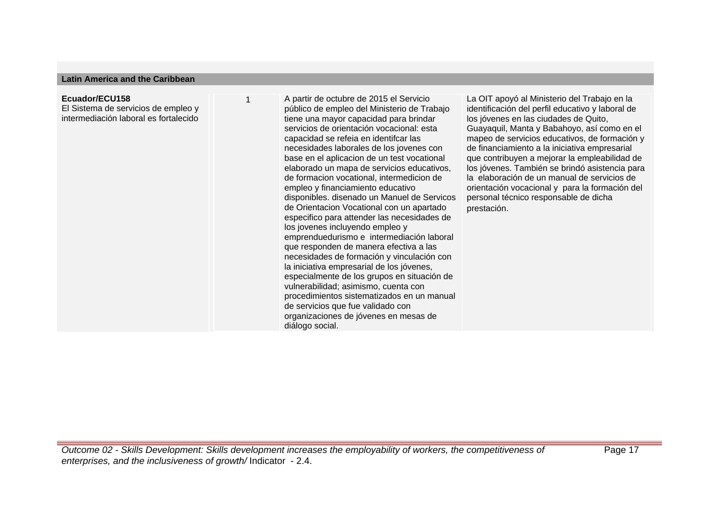#### **Latin America and the Caribbean**

#### **Ecuador/ECU158**

El Sistema de servicios de empleo y intermediación laboral es fortalecido

1 A partir de octubre de 2015 el Servicio público de empleo del Ministerio de Trabajo tiene una mayor capacidad para brindar servicios de orientación vocacional: esta capacidad se refeia en identifcar las necesidades laborales de los jovenes con base en el aplicacion de un test vocational elaborado un mapa de servicios educativos, de formacion vocational, intermedicion de empleo y financiamiento educativo disponibles. disenado un Manuel de Servicos de Orientacion Vocational con un apartado especifico para attender las necesidades de los jovenes incluyendo empleo y emprenduedurismo e intermediación laboral que responden de manera efectiva a las necesidades de formación y vinculación con la iniciativa empresarial de los jóvenes, especialmente de los grupos en situación de vulnerabilidad; asimismo, cuenta con procedimientos sistematizados en un manual de servicios que fue validado con organizaciones de jóvenes en mesas de diálogo social.

La OIT apoyó al Ministerio del Trabajo en la identificación del perfil educativo y laboral de los jóvenes en las ciudades de Quito, Guayaquil, Manta y Babahoyo, así como en el mapeo de servicios educativos, de formación y de financiamiento a la iniciativa empresarial que contribuyen a mejorar la empleabilidad de los jóvenes. También se brindó asistencia para la elaboración de un manual de servicios de orientación vocacional y para la formación del personal técnico responsable de dicha prestación.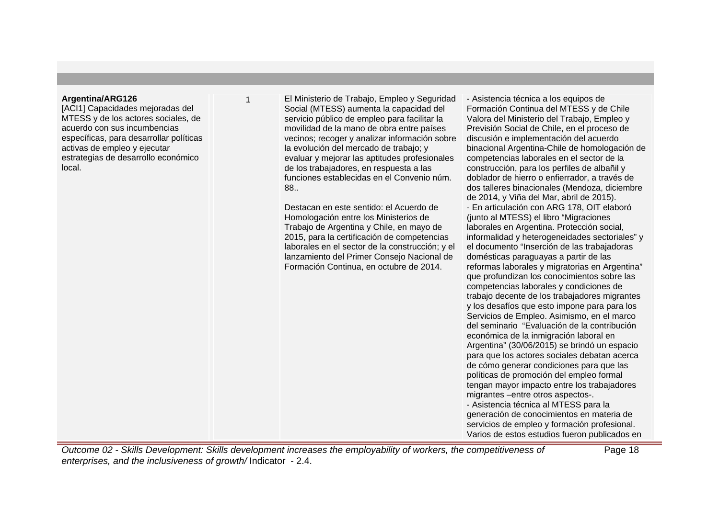### **Argentina/ARG126**

[ACI1] Capacidades mejoradas del MTESS y de los actores sociales, de acuerdo con sus incumbencias específicas, para desarrollar políticas activas de empleo y ejecutar estrategias de desarrollo económico local.

1 El Ministerio de Trabajo, Empleo y Seguridad Social (MTESS) aumenta la capacidad del servicio público de empleo para facilitar la movilidad de la mano de obra entre países vecinos; recoger y analizar información sobre la evolución del mercado de trabajo; y evaluar y mejorar las aptitudes profesionales de los trabajadores, en respuesta a las funciones establecidas en el Convenio núm. 88..

Destacan en este sentido: el Acuerdo de Homologación entre los Ministerios de Trabajo de Argentina y Chile, en mayo de 2015, para la certificación de competencias laborales en el sector de la construcción; y el lanzamiento del Primer Consejo Nacional de Formación Continua, en octubre de 2014.

- Asistencia técnica a los equipos de Formación Continua del MTESS y de Chile Valora del Ministerio del Trabajo, Empleo y Previsión Social de Chile, en el proceso de discusión e implementación del acuerdo binacional Argentina-Chile de homologación de competencias laborales en el sector de la construcción, para los perfiles de albañil y doblador de hierro o enfierrador, a través de dos talleres binacionales (Mendoza, diciembre de 2014, y Viña del Mar, abril de 2015). - En articulación con ARG 178, OIT elaboró (junto al MTESS) el libro "Migraciones laborales en Argentina. Protección social, informalidad y heterogeneidades sectoriales" y el documento "Inserción de las trabajadoras domésticas paraguayas a partir de las reformas laborales y migratorias en Argentina" que profundizan los conocimientos sobre las competencias laborales y condiciones de trabajo decente de los trabajadores migrantes y los desafíos que esto impone para para los Servicios de Empleo. Asimismo, en el marco del seminario "Evaluación de la contribución económica de la inmigración laboral en Argentina" (30/06/2015) se brindó un espacio para que los actores sociales debatan acerca de cómo generar condiciones para que las políticas de promoción del empleo formal tengan mayor impacto entre los trabajadores migrantes –entre otros aspectos-. - Asistencia técnica al MTESS para la generación de conocimientos en materia de servicios de empleo y formación profesional. Varios de estos estudios fueron publicados en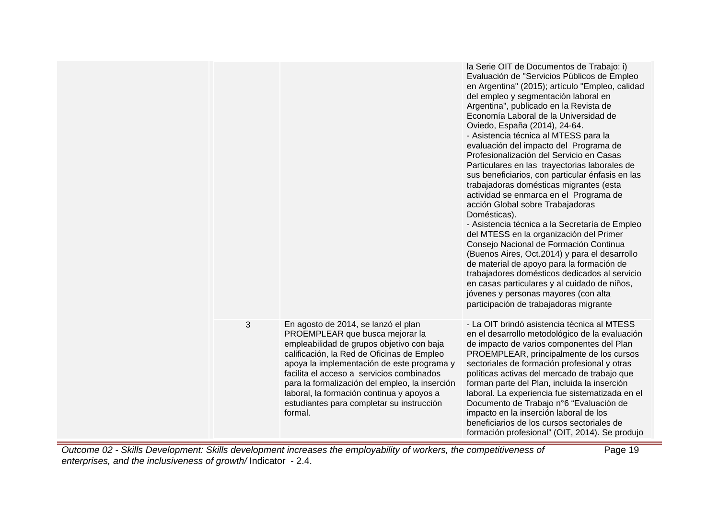|                |                                                                                                                                                                                                                                                                                                                                                                                                                     | la Serie OIT de Documentos de Trabajo: i)<br>Evaluación de "Servicios Públicos de Empleo<br>en Argentina" (2015); artículo "Empleo, calidad<br>del empleo y segmentación laboral en<br>Argentina", publicado en la Revista de<br>Economía Laboral de la Universidad de<br>Oviedo, España (2014), 24-64.<br>- Asistencia técnica al MTESS para la<br>evaluación del impacto del Programa de<br>Profesionalización del Servicio en Casas<br>Particulares en las trayectorias laborales de<br>sus beneficiarios, con particular énfasis en las<br>trabajadoras domésticas migrantes (esta<br>actividad se enmarca en el Programa de<br>acción Global sobre Trabajadoras<br>Domésticas).<br>- Asistencia técnica a la Secretaría de Empleo<br>del MTESS en la organización del Primer<br>Consejo Nacional de Formación Continua<br>(Buenos Aires, Oct.2014) y para el desarrollo<br>de material de apoyo para la formación de<br>trabajadores domésticos dedicados al servicio<br>en casas particulares y al cuidado de niños,<br>jóvenes y personas mayores (con alta<br>participación de trabajadoras migrante |
|----------------|---------------------------------------------------------------------------------------------------------------------------------------------------------------------------------------------------------------------------------------------------------------------------------------------------------------------------------------------------------------------------------------------------------------------|--------------------------------------------------------------------------------------------------------------------------------------------------------------------------------------------------------------------------------------------------------------------------------------------------------------------------------------------------------------------------------------------------------------------------------------------------------------------------------------------------------------------------------------------------------------------------------------------------------------------------------------------------------------------------------------------------------------------------------------------------------------------------------------------------------------------------------------------------------------------------------------------------------------------------------------------------------------------------------------------------------------------------------------------------------------------------------------------------------------|
| $\mathfrak{B}$ | En agosto de 2014, se lanzó el plan<br>PROEMPLEAR que busca mejorar la<br>empleabilidad de grupos objetivo con baja<br>calificación, la Red de Oficinas de Empleo<br>apoya la implementación de este programa y<br>facilita el acceso a servicios combinados<br>para la formalización del empleo, la inserción<br>laboral, la formación continua y apoyos a<br>estudiantes para completar su instrucción<br>formal. | - La OIT brindó asistencia técnica al MTESS<br>en el desarrollo metodológico de la evaluación<br>de impacto de varios componentes del Plan<br>PROEMPLEAR, principalmente de los cursos<br>sectoriales de formación profesional y otras<br>políticas activas del mercado de trabajo que<br>forman parte del Plan, incluida la inserción<br>laboral. La experiencia fue sistematizada en el<br>Documento de Trabajo n°6 "Evaluación de<br>impacto en la inserción laboral de los<br>beneficiarios de los cursos sectoriales de<br>formación profesional" (OIT, 2014). Se produjo                                                                                                                                                                                                                                                                                                                                                                                                                                                                                                                               |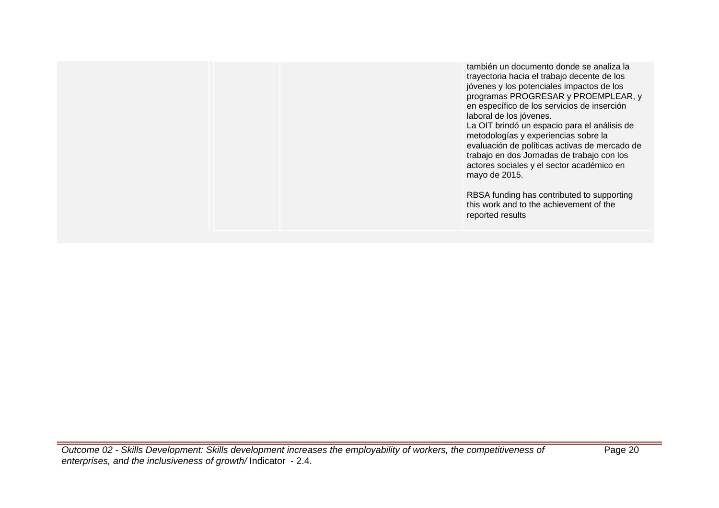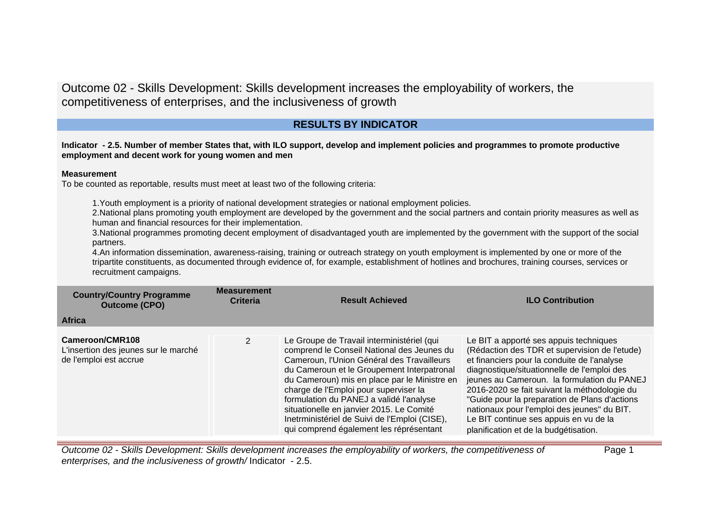# **RESULTS BY INDICATOR**

### **Indicator - 2.5. Number of member States that, with ILO support, develop and implement policies and programmes to promote productive employment and decent work for young women and men**

## **Measurement**

To be counted as reportable, results must meet at least two of the following criteria:

1.Youth employment is a priority of national development strategies or national employment policies.

2.National plans promoting youth employment are developed by the government and the social partners and contain priority measures as well as human and financial resources for their implementation.

3.National programmes promoting decent employment of disadvantaged youth are implemented by the government with the support of the social partners.

4.An information dissemination, awareness-raising, training or outreach strategy on youth employment is implemented by one or more of the tripartite constituents, as documented through evidence of, for example, establishment of hotlines and brochures, training courses, services or recruitment campaigns.

| <b>Country/Country Programme</b><br><b>Outcome (CPO)</b>                          | <b>Measurement</b><br><b>Criteria</b> | <b>Result Achieved</b>                                                                                                                                                                                                                                                                                                                                                                                                                                           | <b>ILO Contribution</b>                                                                                                                                                                                                                                                                                                                                                                                                                                                 |
|-----------------------------------------------------------------------------------|---------------------------------------|------------------------------------------------------------------------------------------------------------------------------------------------------------------------------------------------------------------------------------------------------------------------------------------------------------------------------------------------------------------------------------------------------------------------------------------------------------------|-------------------------------------------------------------------------------------------------------------------------------------------------------------------------------------------------------------------------------------------------------------------------------------------------------------------------------------------------------------------------------------------------------------------------------------------------------------------------|
| <b>Africa</b>                                                                     |                                       |                                                                                                                                                                                                                                                                                                                                                                                                                                                                  |                                                                                                                                                                                                                                                                                                                                                                                                                                                                         |
| Cameroon/CMR108<br>L'insertion des jeunes sur le marché<br>de l'emploi est accrue | $\mathcal{P}$                         | Le Groupe de Travail interministériel (qui<br>comprend le Conseil National des Jeunes du<br>Cameroun, l'Union Général des Travailleurs<br>du Cameroun et le Groupement Interpatronal<br>du Cameroun) mis en place par le Ministre en<br>charge de l'Emploi pour superviser la<br>formulation du PANEJ a validé l'analyse<br>situationelle en janvier 2015. Le Comité<br>Inetrministériel de Suivi de l'Emploi (CISE),<br>qui comprend également les réprésentant | Le BIT a apporté ses appuis techniques<br>(Rédaction des TDR et supervision de l'etude)<br>et financiers pour la conduite de l'analyse<br>diagnostique/situationnelle de l'emploi des<br>jeunes au Cameroun. la formulation du PANEJ<br>2016-2020 se fait suivant la méthodologie du<br>"Guide pour la preparation de Plans d'actions<br>nationaux pour l'emploi des jeunes" du BIT.<br>Le BIT continue ses appuis en vu de la<br>planification et de la budgétisation. |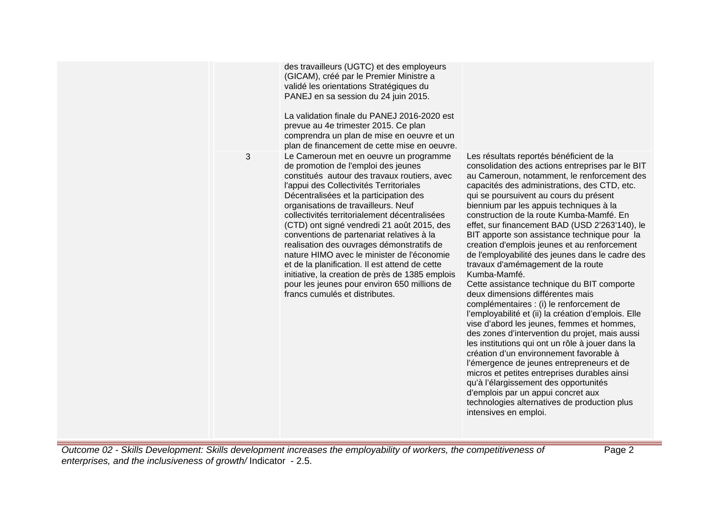|   | des travailleurs (UGTC) et des employeurs<br>(GICAM), créé par le Premier Ministre a<br>validé les orientations Stratégiques du<br>PANEJ en sa session du 24 juin 2015.<br>La validation finale du PANEJ 2016-2020 est<br>prevue au 4e trimester 2015. Ce plan<br>comprendra un plan de mise en oeuvre et un<br>plan de financement de cette mise en oeuvre.                                                                                                                                                                                                                                                                                                                            |                                                                                                                                                                                                                                                                                                                                                                                                                                                                                                                                                                                                                                                                                                                                                                                                                                                                                                                                                                                                                                                                                                                                                                                                                                 |
|---|-----------------------------------------------------------------------------------------------------------------------------------------------------------------------------------------------------------------------------------------------------------------------------------------------------------------------------------------------------------------------------------------------------------------------------------------------------------------------------------------------------------------------------------------------------------------------------------------------------------------------------------------------------------------------------------------|---------------------------------------------------------------------------------------------------------------------------------------------------------------------------------------------------------------------------------------------------------------------------------------------------------------------------------------------------------------------------------------------------------------------------------------------------------------------------------------------------------------------------------------------------------------------------------------------------------------------------------------------------------------------------------------------------------------------------------------------------------------------------------------------------------------------------------------------------------------------------------------------------------------------------------------------------------------------------------------------------------------------------------------------------------------------------------------------------------------------------------------------------------------------------------------------------------------------------------|
| 3 | Le Cameroun met en oeuvre un programme<br>de promotion de l'emploi des jeunes<br>constitués autour des travaux routiers, avec<br>l'appui des Collectivités Territoriales<br>Décentralisées et la participation des<br>organisations de travailleurs. Neuf<br>collectivités territorialement décentralisées<br>(CTD) ont signé vendredi 21 août 2015, des<br>conventions de partenariat relatives à la<br>realisation des ouvrages démonstratifs de<br>nature HIMO avec le minister de l'économie<br>et de la planification. Il est attend de cette<br>initiative, la creation de près de 1385 emplois<br>pour les jeunes pour environ 650 millions de<br>francs cumulés et distributes. | Les résultats reportés bénéficient de la<br>consolidation des actions entreprises par le BIT<br>au Cameroun, notamment, le renforcement des<br>capacités des administrations, des CTD, etc.<br>qui se poursuivent au cours du présent<br>biennium par les appuis techniques à la<br>construction de la route Kumba-Mamfé. En<br>effet, sur financement BAD (USD 2'263'140), le<br>BIT apporte son assistance technique pour la<br>creation d'emplois jeunes et au renforcement<br>de l'employabilité des jeunes dans le cadre des<br>travaux d'amémagement de la route<br>Kumba-Mamfé.<br>Cette assistance technique du BIT comporte<br>deux dimensions différentes mais<br>complémentaires : (i) le renforcement de<br>l'employabilité et (ii) la création d'emplois. Elle<br>vise d'abord les jeunes, femmes et hommes,<br>des zones d'intervention du projet, mais aussi<br>les institutions qui ont un rôle à jouer dans la<br>création d'un environnement favorable à<br>l'émergence de jeunes entrepreneurs et de<br>micros et petites entreprises durables ainsi<br>qu'à l'élargissement des opportunités<br>d'emplois par un appui concret aux<br>technologies alternatives de production plus<br>intensives en emploi. |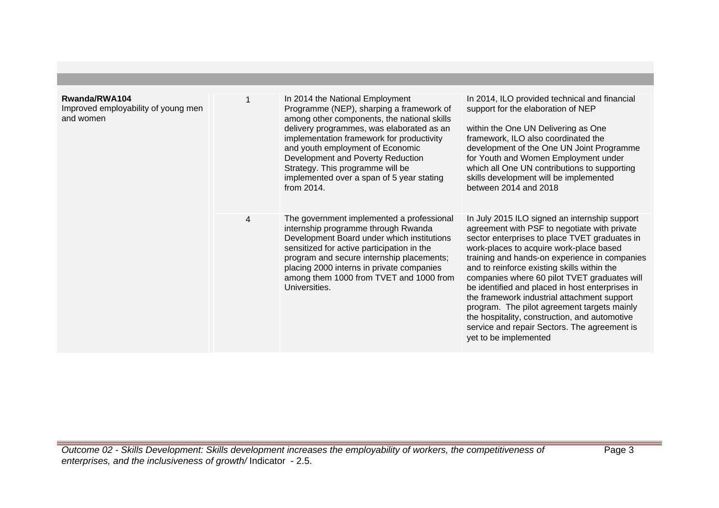| Rwanda/RWA104<br>Improved employability of young men<br>and women |                | In 2014 the National Employment<br>Programme (NEP), sharping a framework of<br>among other components, the national skills<br>delivery programmes, was elaborated as an<br>implementation framework for productivity<br>and youth employment of Economic<br>Development and Poverty Reduction<br>Strategy. This programme will be<br>implemented over a span of 5 year stating<br>from $2014$ . | In 2014, ILO provided technical and financial<br>support for the elaboration of NEP<br>within the One UN Delivering as One<br>framework, ILO also coordinated the<br>development of the One UN Joint Programme<br>for Youth and Women Employment under<br>which all One UN contributions to supporting<br>skills development will be implemented<br>between 2014 and 2018                                                                                                                                                                                                                                            |
|-------------------------------------------------------------------|----------------|-------------------------------------------------------------------------------------------------------------------------------------------------------------------------------------------------------------------------------------------------------------------------------------------------------------------------------------------------------------------------------------------------|----------------------------------------------------------------------------------------------------------------------------------------------------------------------------------------------------------------------------------------------------------------------------------------------------------------------------------------------------------------------------------------------------------------------------------------------------------------------------------------------------------------------------------------------------------------------------------------------------------------------|
|                                                                   | $\overline{4}$ | The government implemented a professional<br>internship programme through Rwanda<br>Development Board under which institutions<br>sensitized for active participation in the<br>program and secure internship placements;<br>placing 2000 interns in private companies<br>among them 1000 from TVET and 1000 from<br>Universities.                                                              | In July 2015 ILO signed an internship support<br>agreement with PSF to negotiate with private<br>sector enterprises to place TVET graduates in<br>work-places to acquire work-place based<br>training and hands-on experience in companies<br>and to reinforce existing skills within the<br>companies where 60 pilot TVET graduates will<br>be identified and placed in host enterprises in<br>the framework industrial attachment support<br>program. The pilot agreement targets mainly<br>the hospitality, construction, and automotive<br>service and repair Sectors. The agreement is<br>yet to be implemented |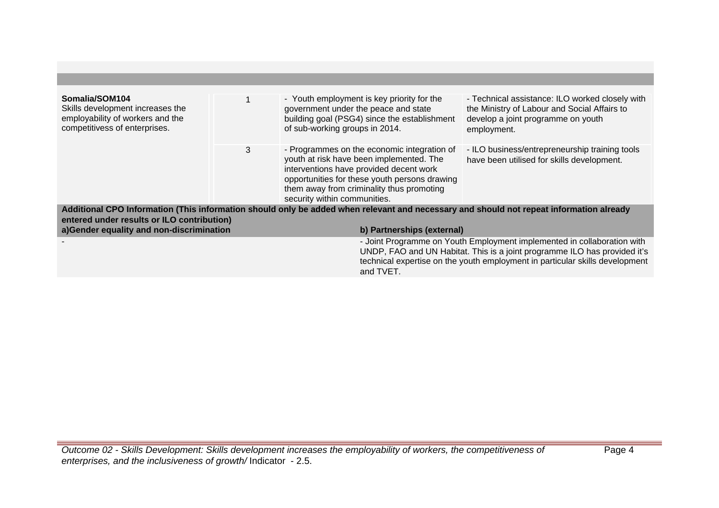| Somalia/SOM104<br>Skills development increases the<br>employability of workers and the<br>competitivess of enterprises. |   | - Youth employment is key priority for the<br>government under the peace and state<br>building goal (PSG4) since the establishment<br>of sub-working groups in 2014.                                                                                             | - Technical assistance: ILO worked closely with<br>the Ministry of Labour and Social Affairs to<br>develop a joint programme on youth<br>employment.                                                                                 |
|-------------------------------------------------------------------------------------------------------------------------|---|------------------------------------------------------------------------------------------------------------------------------------------------------------------------------------------------------------------------------------------------------------------|--------------------------------------------------------------------------------------------------------------------------------------------------------------------------------------------------------------------------------------|
|                                                                                                                         | 3 | - Programmes on the economic integration of<br>youth at risk have been implemented. The<br>interventions have provided decent work<br>opportunities for these youth persons drawing<br>them away from criminality thus promoting<br>security within communities. | - ILO business/entrepreneurship training tools<br>have been utilised for skills development.                                                                                                                                         |
| entered under results or ILO contribution)<br>a)Gender equality and non-discrimination                                  |   | Additional CPO Information (This information should only be added when relevant and necessary and should not repeat information already<br>b) Partnerships (external)                                                                                            |                                                                                                                                                                                                                                      |
|                                                                                                                         |   | and TVET.                                                                                                                                                                                                                                                        | - Joint Programme on Youth Employment implemented in collaboration with<br>UNDP, FAO and UN Habitat. This is a joint programme ILO has provided it's<br>technical expertise on the youth employment in particular skills development |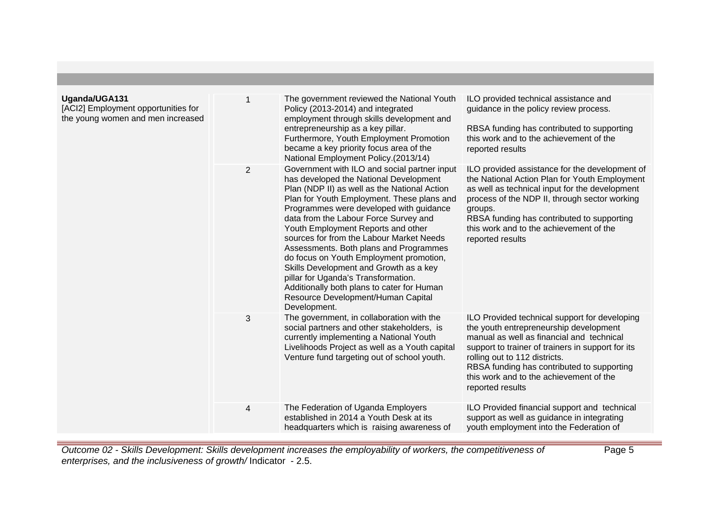| Uganda/UGA131<br>[ACl2] Employment opportunities for<br>the young women and men increased |                | The government reviewed the National Youth<br>Policy (2013-2014) and integrated<br>employment through skills development and<br>entrepreneurship as a key pillar.<br>Furthermore, Youth Employment Promotion<br>became a key priority focus area of the<br>National Employment Policy.(2013/14)                                                                                                                                                                                                                                                                                                                                      | ILO provided technical assistance and<br>guidance in the policy review process.<br>RBSA funding has contributed to supporting<br>this work and to the achievement of the<br>reported results                                                                                                                                            |
|-------------------------------------------------------------------------------------------|----------------|--------------------------------------------------------------------------------------------------------------------------------------------------------------------------------------------------------------------------------------------------------------------------------------------------------------------------------------------------------------------------------------------------------------------------------------------------------------------------------------------------------------------------------------------------------------------------------------------------------------------------------------|-----------------------------------------------------------------------------------------------------------------------------------------------------------------------------------------------------------------------------------------------------------------------------------------------------------------------------------------|
|                                                                                           | $\overline{2}$ | Government with ILO and social partner input<br>has developed the National Development<br>Plan (NDP II) as well as the National Action<br>Plan for Youth Employment. These plans and<br>Programmes were developed with guidance<br>data from the Labour Force Survey and<br>Youth Employment Reports and other<br>sources for from the Labour Market Needs<br>Assessments. Both plans and Programmes<br>do focus on Youth Employment promotion,<br>Skills Development and Growth as a key<br>pillar for Uganda's Transformation.<br>Additionally both plans to cater for Human<br>Resource Development/Human Capital<br>Development. | ILO provided assistance for the development of<br>the National Action Plan for Youth Employment<br>as well as technical input for the development<br>process of the NDP II, through sector working<br>groups.<br>RBSA funding has contributed to supporting<br>this work and to the achievement of the<br>reported results              |
|                                                                                           | 3              | The government, in collaboration with the<br>social partners and other stakeholders, is<br>currently implementing a National Youth<br>Livelihoods Project as well as a Youth capital<br>Venture fund targeting out of school youth.                                                                                                                                                                                                                                                                                                                                                                                                  | ILO Provided technical support for developing<br>the youth entrepreneurship development<br>manual as well as financial and technical<br>support to trainer of trainers in support for its<br>rolling out to 112 districts.<br>RBSA funding has contributed to supporting<br>this work and to the achievement of the<br>reported results |
|                                                                                           | 4              | The Federation of Uganda Employers<br>established in 2014 a Youth Desk at its<br>headquarters which is raising awareness of                                                                                                                                                                                                                                                                                                                                                                                                                                                                                                          | ILO Provided financial support and technical<br>support as well as guidance in integrating<br>youth employment into the Federation of                                                                                                                                                                                                   |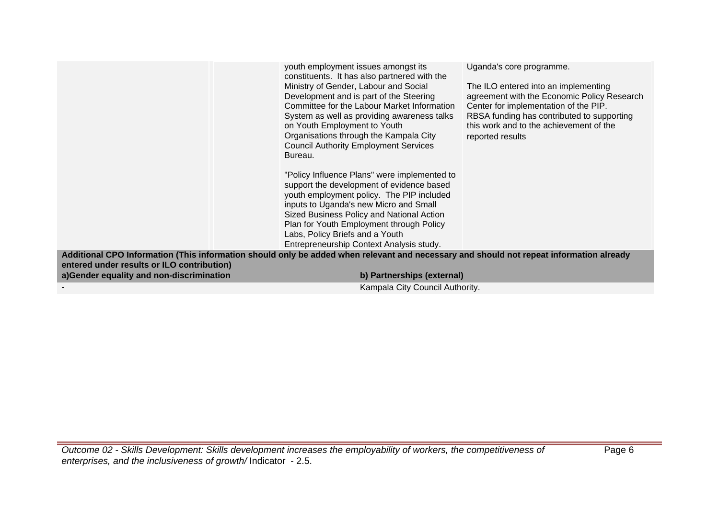|                                                                                                                                         | youth employment issues amongst its<br>constituents. It has also partnered with the<br>Ministry of Gender, Labour and Social<br>Development and is part of the Steering<br>Committee for the Labour Market Information<br>System as well as providing awareness talks<br>on Youth Employment to Youth<br>Organisations through the Kampala City<br><b>Council Authority Employment Services</b><br>Bureau.<br>"Policy Influence Plans" were implemented to<br>support the development of evidence based<br>youth employment policy. The PIP included<br>inputs to Uganda's new Micro and Small<br>Sized Business Policy and National Action<br>Plan for Youth Employment through Policy<br>Labs, Policy Briefs and a Youth<br>Entrepreneurship Context Analysis study. | Uganda's core programme.<br>The ILO entered into an implementing<br>agreement with the Economic Policy Research<br>Center for implementation of the PIP.<br>RBSA funding has contributed to supporting<br>this work and to the achievement of the<br>reported results |
|-----------------------------------------------------------------------------------------------------------------------------------------|------------------------------------------------------------------------------------------------------------------------------------------------------------------------------------------------------------------------------------------------------------------------------------------------------------------------------------------------------------------------------------------------------------------------------------------------------------------------------------------------------------------------------------------------------------------------------------------------------------------------------------------------------------------------------------------------------------------------------------------------------------------------|-----------------------------------------------------------------------------------------------------------------------------------------------------------------------------------------------------------------------------------------------------------------------|
| Additional CPO Information (This information should only be added when relevant and necessary and should not repeat information already |                                                                                                                                                                                                                                                                                                                                                                                                                                                                                                                                                                                                                                                                                                                                                                        |                                                                                                                                                                                                                                                                       |
| entered under results or ILO contribution)                                                                                              |                                                                                                                                                                                                                                                                                                                                                                                                                                                                                                                                                                                                                                                                                                                                                                        |                                                                                                                                                                                                                                                                       |
|                                                                                                                                         |                                                                                                                                                                                                                                                                                                                                                                                                                                                                                                                                                                                                                                                                                                                                                                        |                                                                                                                                                                                                                                                                       |
| a)Gender equality and non-discrimination                                                                                                | b) Partnerships (external)                                                                                                                                                                                                                                                                                                                                                                                                                                                                                                                                                                                                                                                                                                                                             |                                                                                                                                                                                                                                                                       |
|                                                                                                                                         | Kampala City Council Authority.                                                                                                                                                                                                                                                                                                                                                                                                                                                                                                                                                                                                                                                                                                                                        |                                                                                                                                                                                                                                                                       |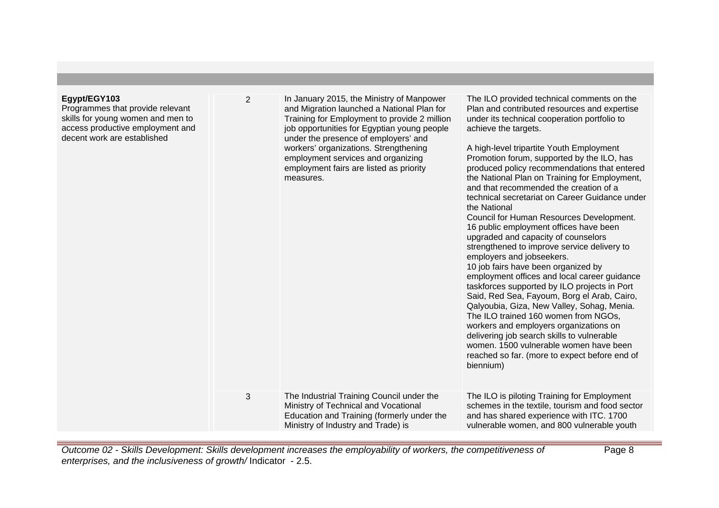| Egypt/EGY103<br>In January 2015, the Ministry of Manpower<br>$\overline{2}$<br>Programmes that provide relevant<br>and Migration launched a National Plan for<br>skills for young women and men to<br>Training for Employment to provide 2 million<br>under its technical cooperation portfolio to<br>access productive employment and<br>job opportunities for Egyptian young people<br>achieve the targets.<br>decent work are established<br>under the presence of employers' and<br>workers' organizations. Strengthening<br>A high-level tripartite Youth Employment<br>employment services and organizing<br>employment fairs are listed as priority<br>measures.<br>and that recommended the creation of a<br>the National<br>16 public employment offices have been<br>upgraded and capacity of counselors<br>strengthened to improve service delivery to<br>employers and jobseekers.<br>10 job fairs have been organized by<br>The ILO trained 160 women from NGOs,<br>workers and employers organizations on<br>delivering job search skills to vulnerable<br>biennium) |  |                                                                                                                                                                                                                                                                                                                                                                                                                                                                                                                                                                                                                                 |
|------------------------------------------------------------------------------------------------------------------------------------------------------------------------------------------------------------------------------------------------------------------------------------------------------------------------------------------------------------------------------------------------------------------------------------------------------------------------------------------------------------------------------------------------------------------------------------------------------------------------------------------------------------------------------------------------------------------------------------------------------------------------------------------------------------------------------------------------------------------------------------------------------------------------------------------------------------------------------------------------------------------------------------------------------------------------------------|--|---------------------------------------------------------------------------------------------------------------------------------------------------------------------------------------------------------------------------------------------------------------------------------------------------------------------------------------------------------------------------------------------------------------------------------------------------------------------------------------------------------------------------------------------------------------------------------------------------------------------------------|
|                                                                                                                                                                                                                                                                                                                                                                                                                                                                                                                                                                                                                                                                                                                                                                                                                                                                                                                                                                                                                                                                                    |  | The ILO provided technical comments on the<br>Plan and contributed resources and expertise<br>Promotion forum, supported by the ILO, has<br>produced policy recommendations that entered<br>the National Plan on Training for Employment,<br>technical secretariat on Career Guidance under<br>Council for Human Resources Development.<br>employment offices and local career guidance<br>taskforces supported by ILO projects in Port<br>Said, Red Sea, Fayoum, Borg el Arab, Cairo,<br>Qalyoubia, Giza, New Valley, Sohag, Menia.<br>women. 1500 vulnerable women have been<br>reached so far. (more to expect before end of |
| The Industrial Training Council under the<br>3<br>Ministry of Technical and Vocational<br>Education and Training (formerly under the<br>and has shared experience with ITC. 1700<br>Ministry of Industry and Trade) is                                                                                                                                                                                                                                                                                                                                                                                                                                                                                                                                                                                                                                                                                                                                                                                                                                                             |  | The ILO is piloting Training for Employment<br>schemes in the textile, tourism and food sector<br>vulnerable women, and 800 vulnerable youth                                                                                                                                                                                                                                                                                                                                                                                                                                                                                    |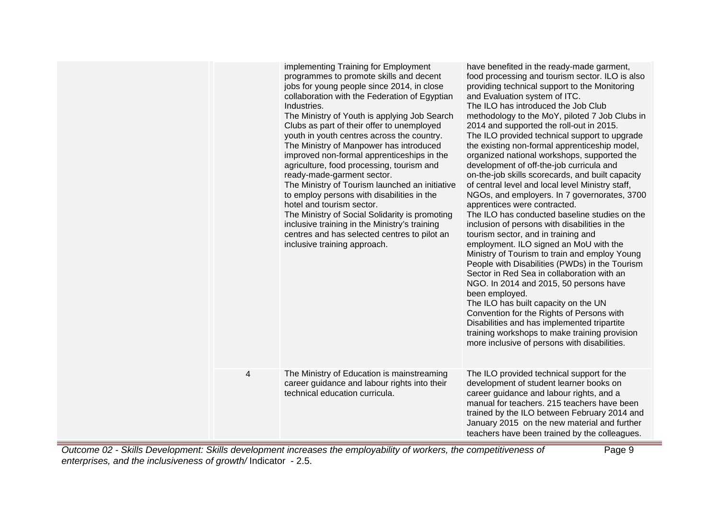|                | implementing Training for Employment<br>programmes to promote skills and decent<br>jobs for young people since 2014, in close<br>collaboration with the Federation of Egyptian<br>Industries.<br>The Ministry of Youth is applying Job Search<br>Clubs as part of their offer to unemployed<br>youth in youth centres across the country.<br>The Ministry of Manpower has introduced<br>improved non-formal apprenticeships in the<br>agriculture, food processing, tourism and<br>ready-made-garment sector.<br>The Ministry of Tourism launched an initiative<br>to employ persons with disabilities in the<br>hotel and tourism sector.<br>The Ministry of Social Solidarity is promoting<br>inclusive training in the Ministry's training<br>centres and has selected centres to pilot an<br>inclusive training approach. | have benefited in the ready-made garment,<br>food processing and tourism sector. ILO is also<br>providing technical support to the Monitoring<br>and Evaluation system of ITC.<br>The ILO has introduced the Job Club<br>methodology to the MoY, piloted 7 Job Clubs in<br>2014 and supported the roll-out in 2015.<br>The ILO provided technical support to upgrade<br>the existing non-formal apprenticeship model,<br>organized national workshops, supported the<br>development of off-the-job curricula and<br>on-the-job skills scorecards, and built capacity<br>of central level and local level Ministry staff,<br>NGOs, and employers. In 7 governorates, 3700<br>apprentices were contracted.<br>The ILO has conducted baseline studies on the<br>inclusion of persons with disabilities in the<br>tourism sector, and in training and<br>employment. ILO signed an MoU with the<br>Ministry of Tourism to train and employ Young<br>People with Disabilities (PWDs) in the Tourism<br>Sector in Red Sea in collaboration with an<br>NGO. In 2014 and 2015, 50 persons have<br>been employed.<br>The ILO has built capacity on the UN<br>Convention for the Rights of Persons with<br>Disabilities and has implemented tripartite<br>training workshops to make training provision<br>more inclusive of persons with disabilities. |
|----------------|-------------------------------------------------------------------------------------------------------------------------------------------------------------------------------------------------------------------------------------------------------------------------------------------------------------------------------------------------------------------------------------------------------------------------------------------------------------------------------------------------------------------------------------------------------------------------------------------------------------------------------------------------------------------------------------------------------------------------------------------------------------------------------------------------------------------------------|-----------------------------------------------------------------------------------------------------------------------------------------------------------------------------------------------------------------------------------------------------------------------------------------------------------------------------------------------------------------------------------------------------------------------------------------------------------------------------------------------------------------------------------------------------------------------------------------------------------------------------------------------------------------------------------------------------------------------------------------------------------------------------------------------------------------------------------------------------------------------------------------------------------------------------------------------------------------------------------------------------------------------------------------------------------------------------------------------------------------------------------------------------------------------------------------------------------------------------------------------------------------------------------------------------------------------------------------------|
| $\overline{4}$ | The Ministry of Education is mainstreaming<br>career guidance and labour rights into their<br>technical education curricula.                                                                                                                                                                                                                                                                                                                                                                                                                                                                                                                                                                                                                                                                                                  | The ILO provided technical support for the<br>development of student learner books on<br>career guidance and labour rights, and a<br>manual for teachers. 215 teachers have been<br>trained by the ILO between February 2014 and<br>January 2015 on the new material and further<br>teachers have been trained by the colleagues.                                                                                                                                                                                                                                                                                                                                                                                                                                                                                                                                                                                                                                                                                                                                                                                                                                                                                                                                                                                                             |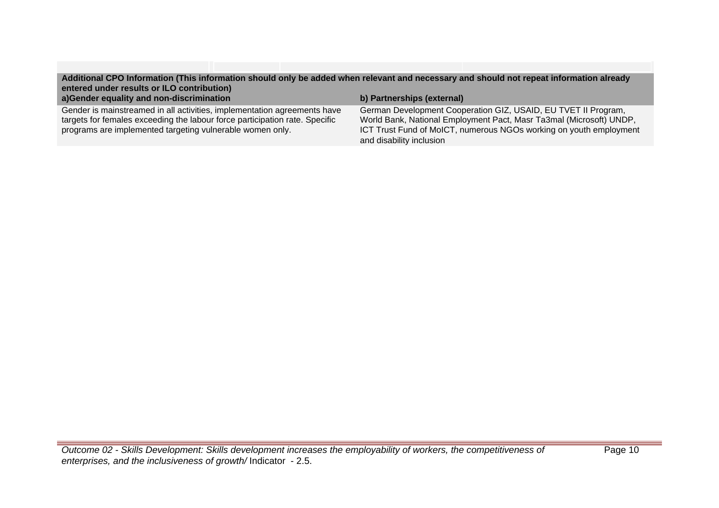|                                                                                                                                                                                                                                | Additional CPO Information (This information should only be added when relevant and necessary and should not repeat information already |
|--------------------------------------------------------------------------------------------------------------------------------------------------------------------------------------------------------------------------------|-----------------------------------------------------------------------------------------------------------------------------------------|
| entered under results or ILO contribution)                                                                                                                                                                                     |                                                                                                                                         |
| and the contract of the contract of the contract of the contract of the contract of the contract of the contract of the contract of the contract of the contract of the contract of the contract of the contract of the contra | $\mathbf{L}$ <b>N</b> $\mathbf{R}$ and $\mathbf{L}$ is a set of $\mathbf{L}$ and $\mathbf{L}$ and $\mathbf{R}$ is a set of $\mathbf{R}$ |

| a) Gender equality and non-discrimination                                   | b) Partnerships (external)                                          |
|-----------------------------------------------------------------------------|---------------------------------------------------------------------|
| Gender is mainstreamed in all activities, implementation agreements have    | German Development Cooperation GIZ, USAID, EU TVET II Program,      |
| targets for females exceeding the labour force participation rate. Specific | World Bank, National Employment Pact, Masr Ta3mal (Microsoft) UNDP, |
| programs are implemented targeting vulnerable women only.                   | ICT Trust Fund of MoICT, numerous NGOs working on youth employment  |
|                                                                             | and disability inclusion                                            |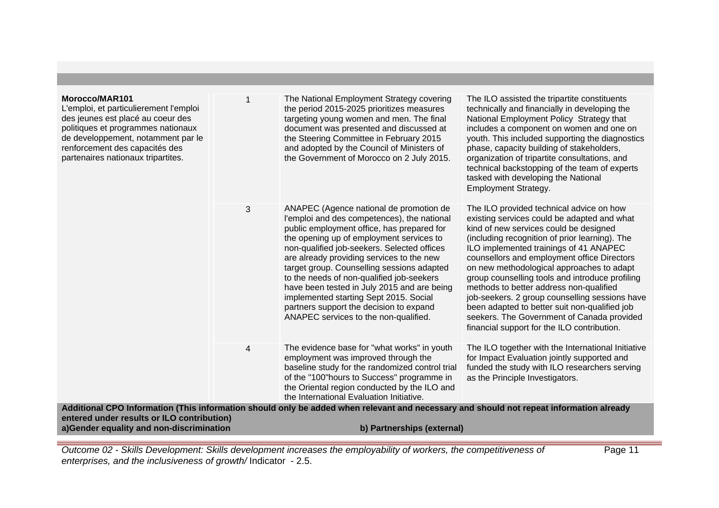| Morocco/MAR101<br>L'emploi, et particulierement l'emploi<br>des jeunes est placé au coeur des<br>politiques et programmes nationaux<br>de developpement, notamment par le<br>renforcement des capacités des<br>partenaires nationaux tripartites. |   | The National Employment Strategy covering<br>the period 2015-2025 prioritizes measures<br>targeting young women and men. The final<br>document was presented and discussed at<br>the Steering Committee in February 2015<br>and adopted by the Council of Ministers of<br>the Government of Morocco on 2 July 2015.                                                                                                                                                                                                                                  | The ILO assisted the tripartite constituents<br>technically and financially in developing the<br>National Employment Policy Strategy that<br>includes a component on women and one on<br>youth. This included supporting the diagnostics<br>phase, capacity building of stakeholders,<br>organization of tripartite consultations, and<br>technical backstopping of the team of experts<br>tasked with developing the National<br>Employment Strategy.                                                                                                                                                                  |
|---------------------------------------------------------------------------------------------------------------------------------------------------------------------------------------------------------------------------------------------------|---|------------------------------------------------------------------------------------------------------------------------------------------------------------------------------------------------------------------------------------------------------------------------------------------------------------------------------------------------------------------------------------------------------------------------------------------------------------------------------------------------------------------------------------------------------|-------------------------------------------------------------------------------------------------------------------------------------------------------------------------------------------------------------------------------------------------------------------------------------------------------------------------------------------------------------------------------------------------------------------------------------------------------------------------------------------------------------------------------------------------------------------------------------------------------------------------|
|                                                                                                                                                                                                                                                   | 3 | ANAPEC (Agence national de promotion de<br>l'emploi and des competences), the national<br>public employment office, has prepared for<br>the opening up of employment services to<br>non-qualified job-seekers. Selected offices<br>are already providing services to the new<br>target group. Counselling sessions adapted<br>to the needs of non-qualified job-seekers<br>have been tested in July 2015 and are being<br>implemented starting Sept 2015. Social<br>partners support the decision to expand<br>ANAPEC services to the non-qualified. | The ILO provided technical advice on how<br>existing services could be adapted and what<br>kind of new services could be designed<br>(including recognition of prior learning). The<br>ILO implemented trainings of 41 ANAPEC<br>counsellors and employment office Directors<br>on new methodological approaches to adapt<br>group counselling tools and introduce profiling<br>methods to better address non-qualified<br>job-seekers. 2 group counselling sessions have<br>been adapted to better suit non-qualified job<br>seekers. The Government of Canada provided<br>financial support for the ILO contribution. |
|                                                                                                                                                                                                                                                   | 4 | The evidence base for "what works" in youth<br>employment was improved through the<br>baseline study for the randomized control trial<br>of the "100"hours to Success" programme in<br>the Oriental region conducted by the ILO and<br>the International Evaluation Initiative.                                                                                                                                                                                                                                                                      | The ILO together with the International Initiative<br>for Impact Evaluation jointly supported and<br>funded the study with ILO researchers serving<br>as the Principle Investigators.                                                                                                                                                                                                                                                                                                                                                                                                                                   |
| entered under results or ILO contribution)                                                                                                                                                                                                        |   | Additional CPO Information (This information should only be added when relevant and necessary and should not repeat information already                                                                                                                                                                                                                                                                                                                                                                                                              |                                                                                                                                                                                                                                                                                                                                                                                                                                                                                                                                                                                                                         |
| a)Gender equality and non-discrimination                                                                                                                                                                                                          |   | b) Partnerships (external)                                                                                                                                                                                                                                                                                                                                                                                                                                                                                                                           |                                                                                                                                                                                                                                                                                                                                                                                                                                                                                                                                                                                                                         |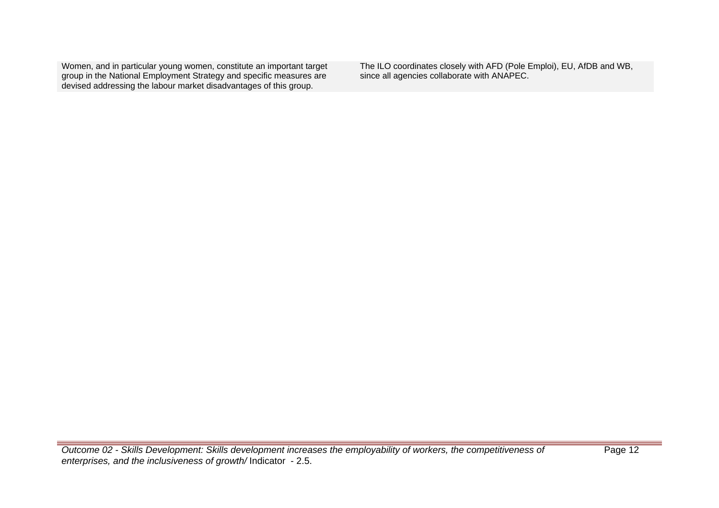Women, and in particular young women, constitute an important target group in the National Employment Strategy and specific measures are devised addressing the labour market disadvantages of this group.

The ILO coordinates closely with AFD (Pole Emploi), EU, AfDB and WB, since all agencies collaborate with ANAPEC.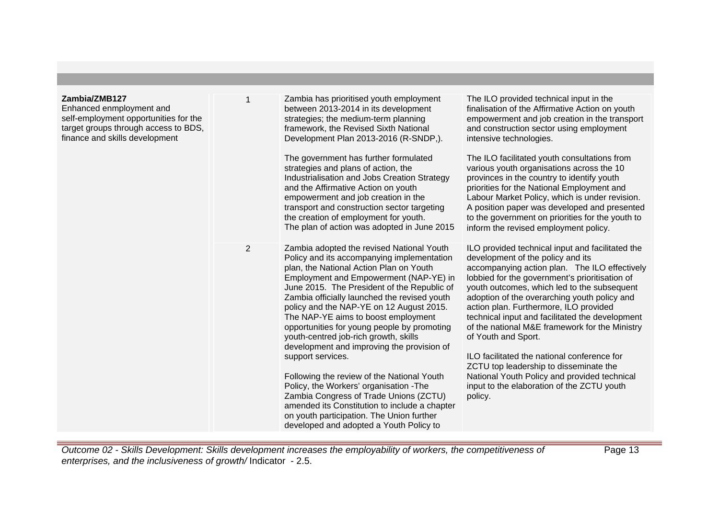| Zambia/ZMB127<br>Enhanced enmployment and<br>self-employment opportunities for the<br>target groups through access to BDS,<br>finance and skills development | 1              | Zambia has prioritised youth employment<br>between 2013-2014 in its development<br>strategies; the medium-term planning<br>framework, the Revised Sixth National<br>Development Plan 2013-2016 (R-SNDP,).<br>The government has further formulated<br>strategies and plans of action, the<br>Industrialisation and Jobs Creation Strategy<br>and the Affirmative Action on youth<br>empowerment and job creation in the<br>transport and construction sector targeting<br>the creation of employment for youth.<br>The plan of action was adopted in June 2015                                                                                                                                                                                                                                       | The ILO provided technical input in the<br>finalisation of the Affirmative Action on youth<br>empowerment and job creation in the transport<br>and construction sector using employment<br>intensive technologies.<br>The ILO facilitated youth consultations from<br>various youth organisations across the 10<br>provinces in the country to identify youth<br>priorities for the National Employment and<br>Labour Market Policy, which is under revision.<br>A position paper was developed and presented<br>to the government on priorities for the youth to<br>inform the revised employment policy.                                                      |
|--------------------------------------------------------------------------------------------------------------------------------------------------------------|----------------|------------------------------------------------------------------------------------------------------------------------------------------------------------------------------------------------------------------------------------------------------------------------------------------------------------------------------------------------------------------------------------------------------------------------------------------------------------------------------------------------------------------------------------------------------------------------------------------------------------------------------------------------------------------------------------------------------------------------------------------------------------------------------------------------------|-----------------------------------------------------------------------------------------------------------------------------------------------------------------------------------------------------------------------------------------------------------------------------------------------------------------------------------------------------------------------------------------------------------------------------------------------------------------------------------------------------------------------------------------------------------------------------------------------------------------------------------------------------------------|
|                                                                                                                                                              | $\overline{2}$ | Zambia adopted the revised National Youth<br>Policy and its accompanying implementation<br>plan, the National Action Plan on Youth<br>Employment and Empowerment (NAP-YE) in<br>June 2015. The President of the Republic of<br>Zambia officially launched the revised youth<br>policy and the NAP-YE on 12 August 2015.<br>The NAP-YE aims to boost employment<br>opportunities for young people by promoting<br>youth-centred job-rich growth, skills<br>development and improving the provision of<br>support services.<br>Following the review of the National Youth<br>Policy, the Workers' organisation -The<br>Zambia Congress of Trade Unions (ZCTU)<br>amended its Constitution to include a chapter<br>on youth participation. The Union further<br>developed and adopted a Youth Policy to | ILO provided technical input and facilitated the<br>development of the policy and its<br>accompanying action plan. The ILO effectively<br>lobbied for the government's prioritisation of<br>youth outcomes, which led to the subsequent<br>adoption of the overarching youth policy and<br>action plan. Furthermore, ILO provided<br>technical input and facilitated the development<br>of the national M&E framework for the Ministry<br>of Youth and Sport.<br>ILO facilitated the national conference for<br>ZCTU top leadership to disseminate the<br>National Youth Policy and provided technical<br>input to the elaboration of the ZCTU youth<br>policy. |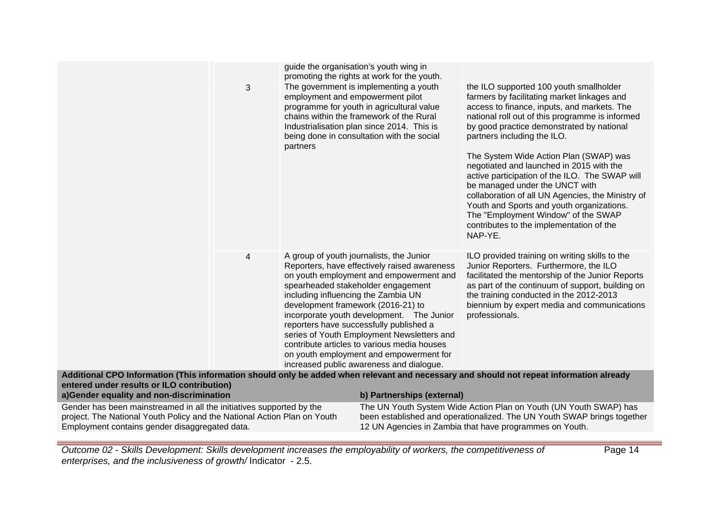|                                                                                                                            |   | guide the organisation's youth wing in                                                                                                                      | promoting the rights at work for the youth.                                                                                                                                                                                                                                                                                                                         |                                                                                                                                                                                                                                                                                                                                                                                                                                                                                                                                                                                                                                                |
|----------------------------------------------------------------------------------------------------------------------------|---|-------------------------------------------------------------------------------------------------------------------------------------------------------------|---------------------------------------------------------------------------------------------------------------------------------------------------------------------------------------------------------------------------------------------------------------------------------------------------------------------------------------------------------------------|------------------------------------------------------------------------------------------------------------------------------------------------------------------------------------------------------------------------------------------------------------------------------------------------------------------------------------------------------------------------------------------------------------------------------------------------------------------------------------------------------------------------------------------------------------------------------------------------------------------------------------------------|
|                                                                                                                            | 3 | employment and empowerment pilot<br>partners                                                                                                                | The government is implementing a youth<br>programme for youth in agricultural value<br>chains within the framework of the Rural<br>Industrialisation plan since 2014. This is<br>being done in consultation with the social                                                                                                                                         | the ILO supported 100 youth smallholder<br>farmers by facilitating market linkages and<br>access to finance, inputs, and markets. The<br>national roll out of this programme is informed<br>by good practice demonstrated by national<br>partners including the ILO.<br>The System Wide Action Plan (SWAP) was<br>negotiated and launched in 2015 with the<br>active participation of the ILO. The SWAP will<br>be managed under the UNCT with<br>collaboration of all UN Agencies, the Ministry of<br>Youth and Sports and youth organizations.<br>The "Employment Window" of the SWAP<br>contributes to the implementation of the<br>NAP-YE. |
|                                                                                                                            | 4 | A group of youth journalists, the Junior<br>spearheaded stakeholder engagement<br>including influencing the Zambia UN<br>development framework (2016-21) to | Reporters, have effectively raised awareness<br>on youth employment and empowerment and<br>incorporate youth development. The Junior<br>reporters have successfully published a<br>series of Youth Employment Newsletters and<br>contribute articles to various media houses<br>on youth employment and empowerment for<br>increased public awareness and dialogue. | ILO provided training on writing skills to the<br>Junior Reporters. Furthermore, the ILO<br>facilitated the mentorship of the Junior Reports<br>as part of the continuum of support, building on<br>the training conducted in the 2012-2013<br>biennium by expert media and communications<br>professionals.                                                                                                                                                                                                                                                                                                                                   |
| entered under results or ILO contribution)<br>a)Gender equality and non-discrimination                                     |   |                                                                                                                                                             | b) Partnerships (external)                                                                                                                                                                                                                                                                                                                                          | Additional CPO Information (This information should only be added when relevant and necessary and should not repeat information already                                                                                                                                                                                                                                                                                                                                                                                                                                                                                                        |
| Gender has been mainstreamed in all the initiatives supported by the                                                       |   |                                                                                                                                                             |                                                                                                                                                                                                                                                                                                                                                                     | The UN Youth System Wide Action Plan on Youth (UN Youth SWAP) has                                                                                                                                                                                                                                                                                                                                                                                                                                                                                                                                                                              |
| project. The National Youth Policy and the National Action Plan on Youth<br>Employment contains gender disaggregated data. |   |                                                                                                                                                             |                                                                                                                                                                                                                                                                                                                                                                     | been established and operationalized. The UN Youth SWAP brings together<br>12 UN Agencies in Zambia that have programmes on Youth.                                                                                                                                                                                                                                                                                                                                                                                                                                                                                                             |
|                                                                                                                            |   |                                                                                                                                                             |                                                                                                                                                                                                                                                                                                                                                                     |                                                                                                                                                                                                                                                                                                                                                                                                                                                                                                                                                                                                                                                |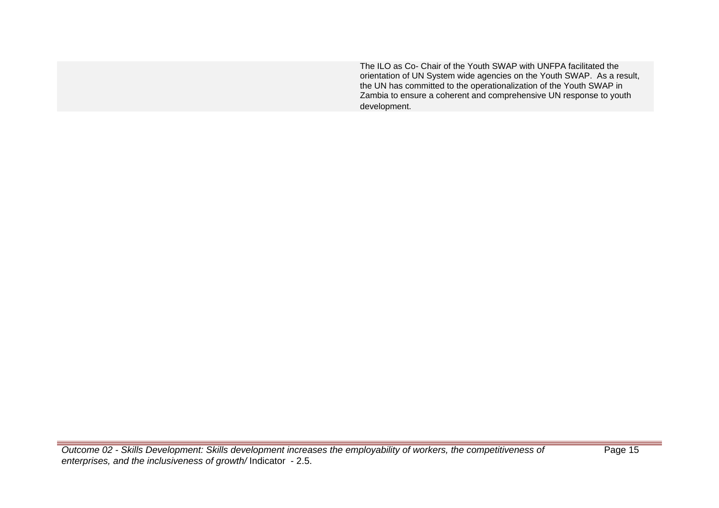The ILO as Co- Chair of the Youth SWAP with UNFPA facilitated the orientation of UN System wide agencies on the Youth SWAP. As a result, the UN has committed to the operationalization of the Youth SWAP in Zambia to ensure a coherent and comprehensive UN response to youth development.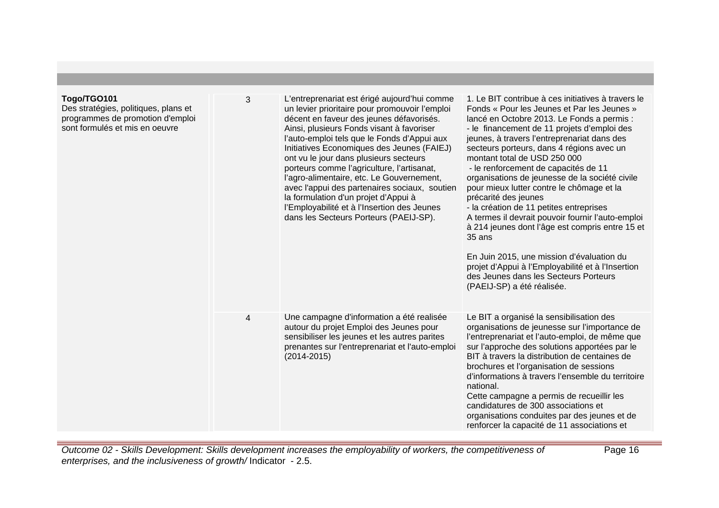| Togo/TGO101<br>Des stratégies, politiques, plans et<br>programmes de promotion d'emploi<br>sont formulés et mis en oeuvre | 3 | L'entreprenariat est érigé aujourd'hui comme<br>un levier prioritaire pour promouvoir l'emploi<br>décent en faveur des jeunes défavorisés.<br>Ainsi, plusieurs Fonds visant à favoriser<br>l'auto-emploi tels que le Fonds d'Appui aux<br>Initiatives Economiques des Jeunes (FAIEJ)<br>ont vu le jour dans plusieurs secteurs<br>porteurs comme l'agriculture, l'artisanat,<br>l'agro-alimentaire, etc. Le Gouvernement,<br>avec l'appui des partenaires sociaux, soutien<br>la formulation d'un projet d'Appui à<br>l'Employabilité et à l'Insertion des Jeunes<br>dans les Secteurs Porteurs (PAEIJ-SP). | 1. Le BIT contribue à ces initiatives à travers le<br>Fonds « Pour les Jeunes et Par les Jeunes »<br>lancé en Octobre 2013. Le Fonds a permis :<br>- le financement de 11 projets d'emploi des<br>jeunes, à travers l'entreprenariat dans des<br>secteurs porteurs, dans 4 régions avec un<br>montant total de USD 250 000<br>- le renforcement de capacités de 11<br>organisations de jeunesse de la société civile<br>pour mieux lutter contre le chômage et la<br>précarité des jeunes<br>- la création de 11 petites entreprises<br>A termes il devrait pouvoir fournir l'auto-emploi<br>à 214 jeunes dont l'âge est compris entre 15 et<br>35 ans<br>En Juin 2015, une mission d'évaluation du<br>projet d'Appui à l'Employabilité et à l'Insertion<br>des Jeunes dans les Secteurs Porteurs<br>(PAEIJ-SP) a été réalisée. |
|---------------------------------------------------------------------------------------------------------------------------|---|-------------------------------------------------------------------------------------------------------------------------------------------------------------------------------------------------------------------------------------------------------------------------------------------------------------------------------------------------------------------------------------------------------------------------------------------------------------------------------------------------------------------------------------------------------------------------------------------------------------|---------------------------------------------------------------------------------------------------------------------------------------------------------------------------------------------------------------------------------------------------------------------------------------------------------------------------------------------------------------------------------------------------------------------------------------------------------------------------------------------------------------------------------------------------------------------------------------------------------------------------------------------------------------------------------------------------------------------------------------------------------------------------------------------------------------------------------|
|                                                                                                                           | 4 | Une campagne d'information a été realisée<br>autour du projet Emploi des Jeunes pour<br>sensibiliser les jeunes et les autres parites<br>prenantes sur l'entreprenariat et l'auto-emploi<br>$(2014 - 2015)$                                                                                                                                                                                                                                                                                                                                                                                                 | Le BIT a organisé la sensibilisation des<br>organisations de jeunesse sur l'importance de<br>l'entreprenariat et l'auto-emploi, de même que<br>sur l'approche des solutions apportées par le<br>BIT à travers la distribution de centaines de<br>brochures et l'organisation de sessions<br>d'informations à travers l'ensemble du territoire<br>national.<br>Cette campagne a permis de recueillir les<br>candidatures de 300 associations et<br>organisations conduites par des jeunes et de<br>renforcer la capacité de 11 associations et                                                                                                                                                                                                                                                                                   |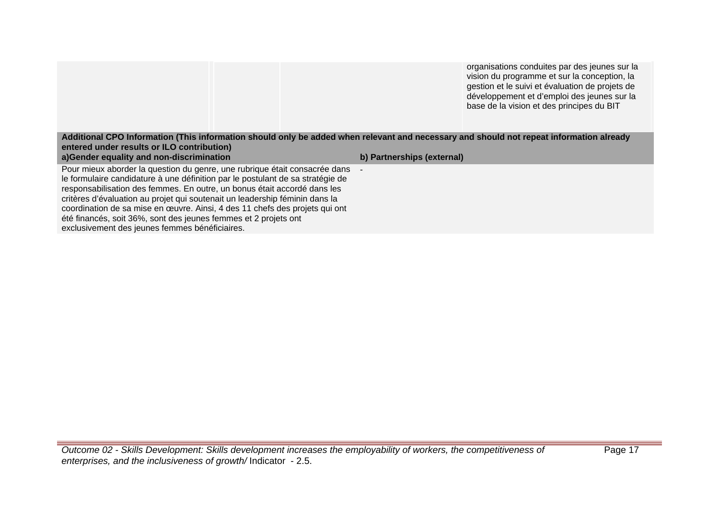organisations conduites par des jeunes sur la vision du programme et sur la conception, la gestion et le suivi et évaluation de projets de développement et d'emploi des jeunes sur la base de la vision et des principes du BIT

# **Additional CPO Information (This information should only be added when relevant and necessary and should not repeat information already entered under results or ILO contribution)**

| a)Gender equality and non-discrimination                                                                                                                                                                                                                                                                                                                                                                                                                                                                                    | b) Partnerships (external) |
|-----------------------------------------------------------------------------------------------------------------------------------------------------------------------------------------------------------------------------------------------------------------------------------------------------------------------------------------------------------------------------------------------------------------------------------------------------------------------------------------------------------------------------|----------------------------|
| Pour mieux aborder la question du genre, une rubrique était consacrée dans<br>le formulaire candidature à une définition par le postulant de sa stratégie de<br>responsabilisation des femmes. En outre, un bonus était accordé dans les<br>critères d'évaluation au projet qui soutenait un leadership féminin dans la<br>coordination de sa mise en œuvre. Ainsi, 4 des 11 chefs des projets qui ont<br>été financés, soit 36%, sont des jeunes femmes et 2 projets ont<br>exclusivement des jeunes femmes bénéficiaires. |                            |
|                                                                                                                                                                                                                                                                                                                                                                                                                                                                                                                             |                            |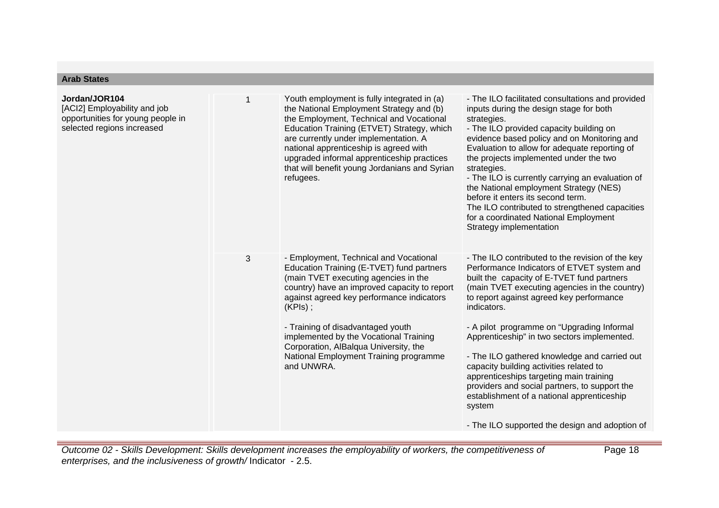| Jordan/JOR104<br>[ACl2] Employability and job<br>opportunities for young people in<br>selected regions increased |   | Youth employment is fully integrated in (a)<br>the National Employment Strategy and (b)<br>the Employment, Technical and Vocational<br>Education Training (ETVET) Strategy, which<br>are currently under implementation. A<br>national apprenticeship is agreed with<br>upgraded informal apprenticeship practices<br>that will benefit young Jordanians and Syrian<br>refugees.                                       | - The ILO facilitated consultations and provided<br>inputs during the design stage for both<br>strategies.<br>- The ILO provided capacity building on<br>evidence based policy and on Monitoring and<br>Evaluation to allow for adequate reporting of<br>the projects implemented under the two<br>strategies.<br>- The ILO is currently carrying an evaluation of<br>the National employment Strategy (NES)<br>before it enters its second term.<br>The ILO contributed to strengthened capacities<br>for a coordinated National Employment<br>Strategy implementation                                                                                |
|------------------------------------------------------------------------------------------------------------------|---|------------------------------------------------------------------------------------------------------------------------------------------------------------------------------------------------------------------------------------------------------------------------------------------------------------------------------------------------------------------------------------------------------------------------|--------------------------------------------------------------------------------------------------------------------------------------------------------------------------------------------------------------------------------------------------------------------------------------------------------------------------------------------------------------------------------------------------------------------------------------------------------------------------------------------------------------------------------------------------------------------------------------------------------------------------------------------------------|
|                                                                                                                  | 3 | - Employment, Technical and Vocational<br>Education Training (E-TVET) fund partners<br>(main TVET executing agencies in the<br>country) have an improved capacity to report<br>against agreed key performance indicators<br>$(KPIs)$ ;<br>- Training of disadvantaged youth<br>implemented by the Vocational Training<br>Corporation, AlBalqua University, the<br>National Employment Training programme<br>and UNWRA. | - The ILO contributed to the revision of the key<br>Performance Indicators of ETVET system and<br>built the capacity of E-TVET fund partners<br>(main TVET executing agencies in the country)<br>to report against agreed key performance<br>indicators.<br>- A pilot programme on "Upgrading Informal<br>Apprenticeship" in two sectors implemented.<br>- The ILO gathered knowledge and carried out<br>capacity building activities related to<br>apprenticeships targeting main training<br>providers and social partners, to support the<br>establishment of a national apprenticeship<br>system<br>- The ILO supported the design and adoption of |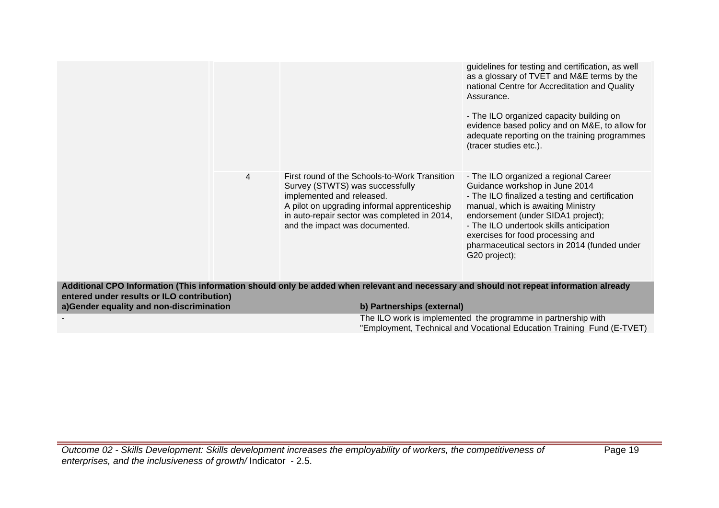| entered under results or ILO contribution) |                         | Additional CPO Information (This information should only be added when relevant and necessary and should not repeat information already                                                                                                         | exercises for food processing and<br>pharmaceutical sectors in 2014 (funded under<br>G20 project);                                                                                                                                                                                                                                      |
|--------------------------------------------|-------------------------|-------------------------------------------------------------------------------------------------------------------------------------------------------------------------------------------------------------------------------------------------|-----------------------------------------------------------------------------------------------------------------------------------------------------------------------------------------------------------------------------------------------------------------------------------------------------------------------------------------|
|                                            | $\overline{\mathbf{4}}$ | First round of the Schools-to-Work Transition<br>Survey (STWTS) was successfully<br>implemented and released.<br>A pilot on upgrading informal apprenticeship<br>in auto-repair sector was completed in 2014,<br>and the impact was documented. | - The ILO organized a regional Career<br>Guidance workshop in June 2014<br>- The ILO finalized a testing and certification<br>manual, which is awaiting Ministry<br>endorsement (under SIDA1 project);<br>- The ILO undertook skills anticipation                                                                                       |
|                                            |                         |                                                                                                                                                                                                                                                 | guidelines for testing and certification, as well<br>as a glossary of TVET and M&E terms by the<br>national Centre for Accreditation and Quality<br>Assurance.<br>- The ILO organized capacity building on<br>evidence based policy and on M&E, to allow for<br>adequate reporting on the training programmes<br>(tracer studies etc.). |

- The ILO work is implemented the programme in partnership with "Employment, Technical and Vocational Education Training Fund (E-TVET)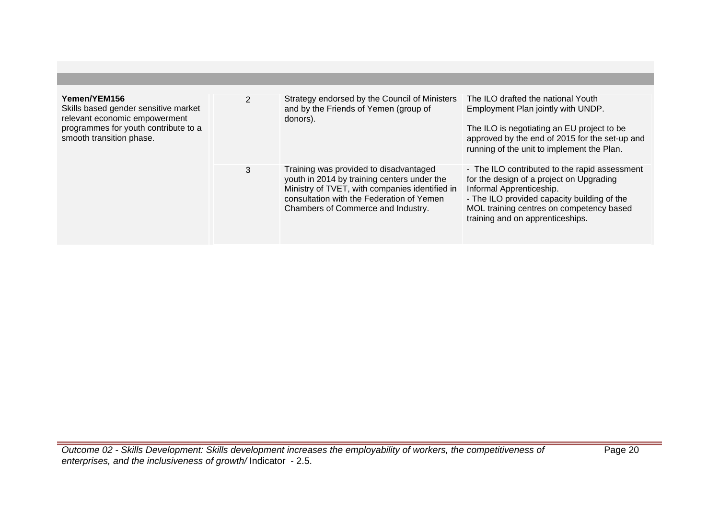| Yemen/YEM156<br>Skills based gender sensitive market<br>relevant economic empowerment<br>programmes for youth contribute to a<br>smooth transition phase. | $\mathcal{P}$ | Strategy endorsed by the Council of Ministers<br>and by the Friends of Yemen (group of<br>donors).                                                                                                                         | The ILO drafted the national Youth<br>Employment Plan jointly with UNDP.                                                                                                                                                                             |
|-----------------------------------------------------------------------------------------------------------------------------------------------------------|---------------|----------------------------------------------------------------------------------------------------------------------------------------------------------------------------------------------------------------------------|------------------------------------------------------------------------------------------------------------------------------------------------------------------------------------------------------------------------------------------------------|
|                                                                                                                                                           |               |                                                                                                                                                                                                                            | The ILO is negotiating an EU project to be<br>approved by the end of 2015 for the set-up and<br>running of the unit to implement the Plan.                                                                                                           |
|                                                                                                                                                           | 3             | Training was provided to disadvantaged<br>youth in 2014 by training centers under the<br>Ministry of TVET, with companies identified in<br>consultation with the Federation of Yemen<br>Chambers of Commerce and Industry. | - The ILO contributed to the rapid assessment<br>for the design of a project on Upgrading<br>Informal Apprenticeship.<br>- The ILO provided capacity building of the<br>MOL training centres on competency based<br>training and on apprenticeships. |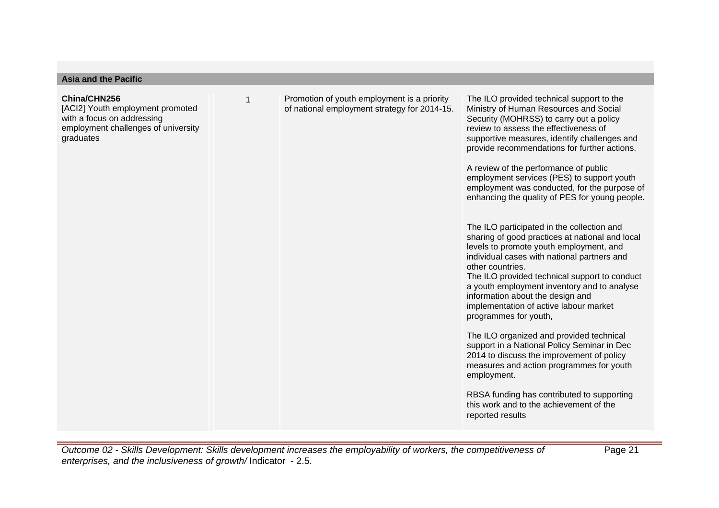| <b>Asia and the Pacific</b>                                                                                                        |  |                                                                                             |                                                                                                                                                                                                                                                                                                                                                                                                                                                                                                                                                                                                                                                                                                                                                                                                                                                                                                                                                                                                                                                                                                                                                                                                        |
|------------------------------------------------------------------------------------------------------------------------------------|--|---------------------------------------------------------------------------------------------|--------------------------------------------------------------------------------------------------------------------------------------------------------------------------------------------------------------------------------------------------------------------------------------------------------------------------------------------------------------------------------------------------------------------------------------------------------------------------------------------------------------------------------------------------------------------------------------------------------------------------------------------------------------------------------------------------------------------------------------------------------------------------------------------------------------------------------------------------------------------------------------------------------------------------------------------------------------------------------------------------------------------------------------------------------------------------------------------------------------------------------------------------------------------------------------------------------|
| China/CHN256<br>[ACI2] Youth employment promoted<br>with a focus on addressing<br>employment challenges of university<br>graduates |  | Promotion of youth employment is a priority<br>of national employment strategy for 2014-15. | The ILO provided technical support to the<br>Ministry of Human Resources and Social<br>Security (MOHRSS) to carry out a policy<br>review to assess the effectiveness of<br>supportive measures, identify challenges and<br>provide recommendations for further actions.<br>A review of the performance of public<br>employment services (PES) to support youth<br>employment was conducted, for the purpose of<br>enhancing the quality of PES for young people.<br>The ILO participated in the collection and<br>sharing of good practices at national and local<br>levels to promote youth employment, and<br>individual cases with national partners and<br>other countries.<br>The ILO provided technical support to conduct<br>a youth employment inventory and to analyse<br>information about the design and<br>implementation of active labour market<br>programmes for youth,<br>The ILO organized and provided technical<br>support in a National Policy Seminar in Dec<br>2014 to discuss the improvement of policy<br>measures and action programmes for youth<br>employment.<br>RBSA funding has contributed to supporting<br>this work and to the achievement of the<br>reported results |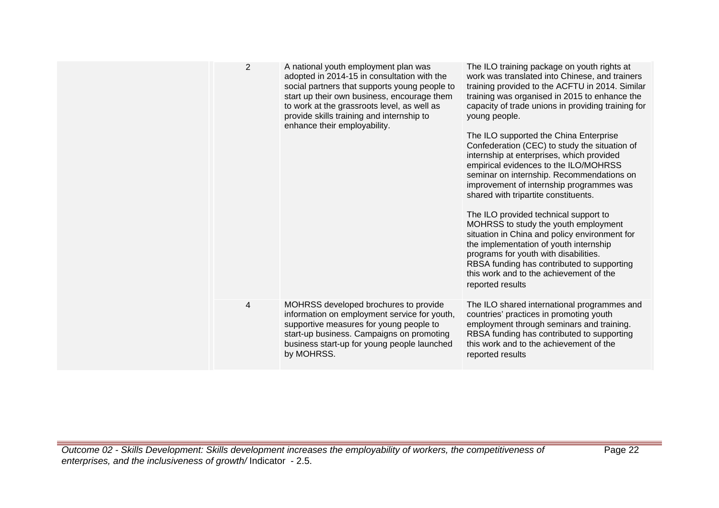| $\overline{2}$ | A national youth employment plan was<br>adopted in 2014-15 in consultation with the<br>social partners that supports young people to<br>start up their own business, encourage them<br>to work at the grassroots level, as well as<br>provide skills training and internship to<br>enhance their employability. | The ILO training package on youth rights at<br>work was translated into Chinese, and trainers<br>training provided to the ACFTU in 2014. Similar<br>training was organised in 2015 to enhance the<br>capacity of trade unions in providing training for<br>young people.<br>The ILO supported the China Enterprise<br>Confederation (CEC) to study the situation of<br>internship at enterprises, which provided<br>empirical evidences to the ILO/MOHRSS<br>seminar on internship. Recommendations on<br>improvement of internship programmes was<br>shared with tripartite constituents.<br>The ILO provided technical support to<br>MOHRSS to study the youth employment<br>situation in China and policy environment for<br>the implementation of youth internship<br>programs for youth with disabilities.<br>RBSA funding has contributed to supporting<br>this work and to the achievement of the<br>reported results |
|----------------|-----------------------------------------------------------------------------------------------------------------------------------------------------------------------------------------------------------------------------------------------------------------------------------------------------------------|------------------------------------------------------------------------------------------------------------------------------------------------------------------------------------------------------------------------------------------------------------------------------------------------------------------------------------------------------------------------------------------------------------------------------------------------------------------------------------------------------------------------------------------------------------------------------------------------------------------------------------------------------------------------------------------------------------------------------------------------------------------------------------------------------------------------------------------------------------------------------------------------------------------------------|
| $\overline{4}$ | MOHRSS developed brochures to provide<br>information on employment service for youth,<br>supportive measures for young people to<br>start-up business. Campaigns on promoting<br>business start-up for young people launched<br>by MOHRSS.                                                                      | The ILO shared international programmes and<br>countries' practices in promoting youth<br>employment through seminars and training.<br>RBSA funding has contributed to supporting<br>this work and to the achievement of the<br>reported results                                                                                                                                                                                                                                                                                                                                                                                                                                                                                                                                                                                                                                                                             |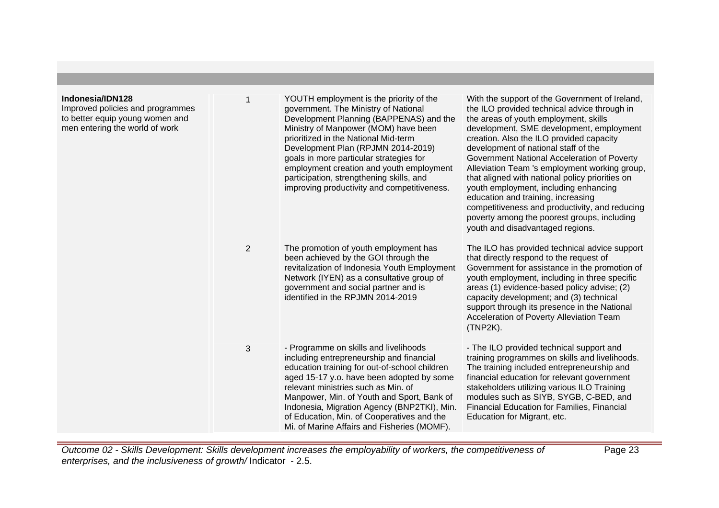| Indonesia/IDN128<br>Improved policies and programmes<br>to better equip young women and<br>men entering the world of work | 1              | YOUTH employment is the priority of the<br>government. The Ministry of National<br>Development Planning (BAPPENAS) and the<br>Ministry of Manpower (MOM) have been<br>prioritized in the National Mid-term<br>Development Plan (RPJMN 2014-2019)<br>goals in more particular strategies for<br>employment creation and youth employment<br>participation, strengthening skills, and<br>improving productivity and competitiveness. | With the support of the Government of Ireland,<br>the ILO provided technical advice through in<br>the areas of youth employment, skills<br>development, SME development, employment<br>creation. Also the ILO provided capacity<br>development of national staff of the<br>Government National Acceleration of Poverty<br>Alleviation Team 's employment working group,<br>that aligned with national policy priorities on<br>youth employment, including enhancing<br>education and training, increasing<br>competitiveness and productivity, and reducing<br>poverty among the poorest groups, including<br>youth and disadvantaged regions. |
|---------------------------------------------------------------------------------------------------------------------------|----------------|------------------------------------------------------------------------------------------------------------------------------------------------------------------------------------------------------------------------------------------------------------------------------------------------------------------------------------------------------------------------------------------------------------------------------------|------------------------------------------------------------------------------------------------------------------------------------------------------------------------------------------------------------------------------------------------------------------------------------------------------------------------------------------------------------------------------------------------------------------------------------------------------------------------------------------------------------------------------------------------------------------------------------------------------------------------------------------------|
|                                                                                                                           | $\overline{2}$ | The promotion of youth employment has<br>been achieved by the GOI through the<br>revitalization of Indonesia Youth Employment<br>Network (IYEN) as a consultative group of<br>government and social partner and is<br>identified in the RPJMN 2014-2019                                                                                                                                                                            | The ILO has provided technical advice support<br>that directly respond to the request of<br>Government for assistance in the promotion of<br>youth employment, including in three specific<br>areas (1) evidence-based policy advise; (2)<br>capacity development; and (3) technical<br>support through its presence in the National<br>Acceleration of Poverty Alleviation Team<br>(TNP2K).                                                                                                                                                                                                                                                   |
|                                                                                                                           | 3              | - Programme on skills and livelihoods<br>including entrepreneurship and financial<br>education training for out-of-school children<br>aged 15-17 y.o. have been adopted by some<br>relevant ministries such as Min. of<br>Manpower, Min. of Youth and Sport, Bank of<br>Indonesia, Migration Agency (BNP2TKI), Min.<br>of Education, Min. of Cooperatives and the<br>Mi. of Marine Affairs and Fisheries (MOMF).                   | - The ILO provided technical support and<br>training programmes on skills and livelihoods.<br>The training included entrepreneurship and<br>financial education for relevant government<br>stakeholders utilizing various ILO Training<br>modules such as SIYB, SYGB, C-BED, and<br>Financial Education for Families, Financial<br>Education for Migrant, etc.                                                                                                                                                                                                                                                                                 |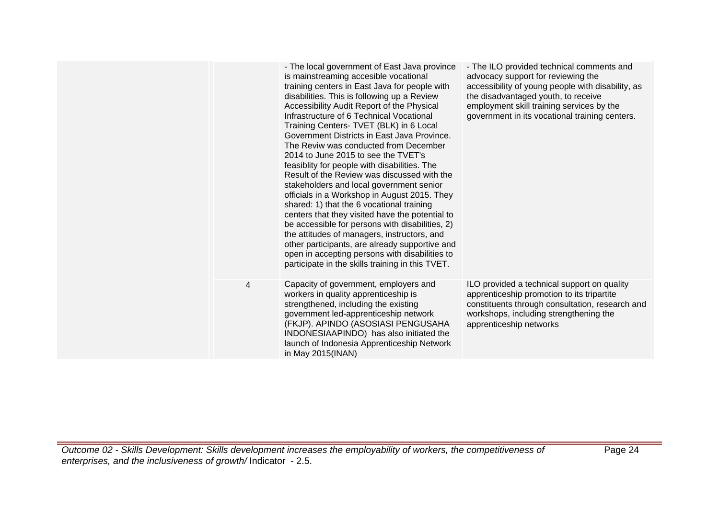|  |   | - The local government of East Java province<br>is mainstreaming accesible vocational<br>training centers in East Java for people with<br>disabilities. This is following up a Review<br>Accessibility Audit Report of the Physical<br>Infrastructure of 6 Technical Vocational<br>Training Centers- TVET (BLK) in 6 Local<br>Government Districts in East Java Province.<br>The Reviw was conducted from December<br>2014 to June 2015 to see the TVET's<br>feasiblity for people with disabilities. The<br>Result of the Review was discussed with the<br>stakeholders and local government senior<br>officials in a Workshop in August 2015. They<br>shared: 1) that the 6 vocational training<br>centers that they visited have the potential to<br>be accessible for persons with disabilities, 2)<br>the attitudes of managers, instructors, and<br>other participants, are already supportive and<br>open in accepting persons with disabilities to<br>participate in the skills training in this TVET. | - The ILO provided technical comments and<br>advocacy support for reviewing the<br>accessibility of young people with disability, as<br>the disadvantaged youth, to receive<br>employment skill training services by the<br>government in its vocational training centers. |
|--|---|----------------------------------------------------------------------------------------------------------------------------------------------------------------------------------------------------------------------------------------------------------------------------------------------------------------------------------------------------------------------------------------------------------------------------------------------------------------------------------------------------------------------------------------------------------------------------------------------------------------------------------------------------------------------------------------------------------------------------------------------------------------------------------------------------------------------------------------------------------------------------------------------------------------------------------------------------------------------------------------------------------------|----------------------------------------------------------------------------------------------------------------------------------------------------------------------------------------------------------------------------------------------------------------------------|
|  | 4 | Capacity of government, employers and<br>workers in quality apprenticeship is<br>strengthened, including the existing<br>government led-apprenticeship network<br>(FKJP). APINDO (ASOSIASI PENGUSAHA<br>INDONESIAAPINDO) has also initiated the<br>launch of Indonesia Apprenticeship Network<br>in May 2015(INAN)                                                                                                                                                                                                                                                                                                                                                                                                                                                                                                                                                                                                                                                                                             | ILO provided a technical support on quality<br>apprenticeship promotion to its tripartite<br>constituents through consultation, research and<br>workshops, including strengthening the<br>apprenticeship networks                                                          |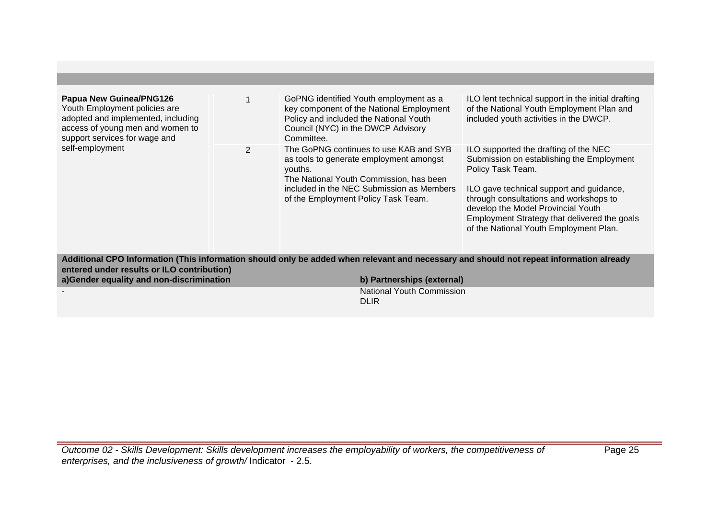| <b>Papua New Guinea/PNG126</b><br>Youth Employment policies are<br>adopted and implemented, including<br>access of young men and women to<br>support services for wage and<br>self-employment |                | GoPNG identified Youth employment as a<br>key component of the National Employment<br>Policy and included the National Youth<br>Council (NYC) in the DWCP Advisory<br>Committee.                                            | ILO lent technical support in the initial drafting<br>of the National Youth Employment Plan and<br>included youth activities in the DWCP.                                                                                                                                                                                     |  |
|-----------------------------------------------------------------------------------------------------------------------------------------------------------------------------------------------|----------------|-----------------------------------------------------------------------------------------------------------------------------------------------------------------------------------------------------------------------------|-------------------------------------------------------------------------------------------------------------------------------------------------------------------------------------------------------------------------------------------------------------------------------------------------------------------------------|--|
|                                                                                                                                                                                               | $\overline{2}$ | The GoPNG continues to use KAB and SYB<br>as tools to generate employment amongst<br>youths.<br>The National Youth Commission, has been<br>included in the NEC Submission as Members<br>of the Employment Policy Task Team. | ILO supported the drafting of the NEC<br>Submission on establishing the Employment<br>Policy Task Team.<br>ILO gave technical support and guidance,<br>through consultations and workshops to<br>develop the Model Provincial Youth<br>Employment Strategy that delivered the goals<br>of the National Youth Employment Plan. |  |
| Additional CPO Information (This information should only be added when relevant and necessary and should not repeat information already<br>entered under results or ILO contribution)         |                |                                                                                                                                                                                                                             |                                                                                                                                                                                                                                                                                                                               |  |
| a)Gender equality and non-discrimination                                                                                                                                                      |                | b) Partnerships (external)                                                                                                                                                                                                  |                                                                                                                                                                                                                                                                                                                               |  |
|                                                                                                                                                                                               |                | National Youth Commission<br><b>DLIR</b>                                                                                                                                                                                    |                                                                                                                                                                                                                                                                                                                               |  |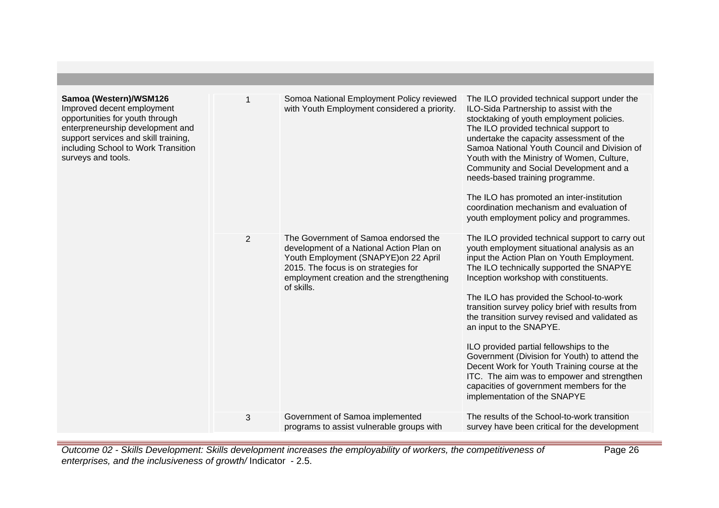| Samoa (Western)/WSM126<br>Improved decent employment<br>opportunities for youth through<br>enterpreneurship development and<br>support services and skill training,<br>including School to Work Transition<br>surveys and tools. |                | Somoa National Employment Policy reviewed<br>with Youth Employment considered a priority.                                                                                                                                    | The ILO provided technical support under the<br>ILO-Sida Partnership to assist with the<br>stocktaking of youth employment policies.<br>The ILO provided technical support to<br>undertake the capacity assessment of the<br>Samoa National Youth Council and Division of<br>Youth with the Ministry of Women, Culture,<br>Community and Social Development and a<br>needs-based training programme.<br>The ILO has promoted an inter-institution<br>coordination mechanism and evaluation of<br>youth employment policy and programmes.                                                                                                                                            |
|----------------------------------------------------------------------------------------------------------------------------------------------------------------------------------------------------------------------------------|----------------|------------------------------------------------------------------------------------------------------------------------------------------------------------------------------------------------------------------------------|-------------------------------------------------------------------------------------------------------------------------------------------------------------------------------------------------------------------------------------------------------------------------------------------------------------------------------------------------------------------------------------------------------------------------------------------------------------------------------------------------------------------------------------------------------------------------------------------------------------------------------------------------------------------------------------|
|                                                                                                                                                                                                                                  | $\overline{2}$ | The Government of Samoa endorsed the<br>development of a National Action Plan on<br>Youth Employment (SNAPYE) on 22 April<br>2015. The focus is on strategies for<br>employment creation and the strengthening<br>of skills. | The ILO provided technical support to carry out<br>youth employment situational analysis as an<br>input the Action Plan on Youth Employment.<br>The ILO technically supported the SNAPYE<br>Inception workshop with constituents.<br>The ILO has provided the School-to-work<br>transition survey policy brief with results from<br>the transition survey revised and validated as<br>an input to the SNAPYE.<br>ILO provided partial fellowships to the<br>Government (Division for Youth) to attend the<br>Decent Work for Youth Training course at the<br>ITC. The aim was to empower and strengthen<br>capacities of government members for the<br>implementation of the SNAPYE |
|                                                                                                                                                                                                                                  | 3              | Government of Samoa implemented<br>programs to assist vulnerable groups with                                                                                                                                                 | The results of the School-to-work transition<br>survey have been critical for the development                                                                                                                                                                                                                                                                                                                                                                                                                                                                                                                                                                                       |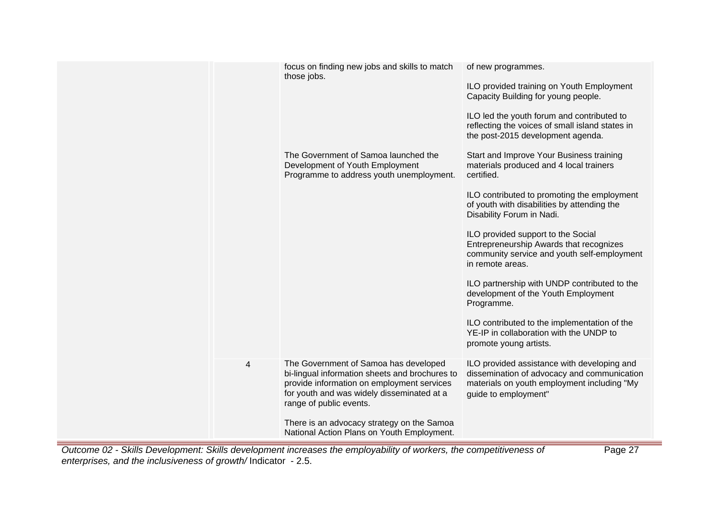|                         | focus on finding new jobs and skills to match<br>those jobs.                                                                                                                                                   | of new programmes.<br>ILO provided training on Youth Employment<br>Capacity Building for young people.<br>ILO led the youth forum and contributed to<br>reflecting the voices of small island states in<br>the post-2015 development agenda. |
|-------------------------|----------------------------------------------------------------------------------------------------------------------------------------------------------------------------------------------------------------|----------------------------------------------------------------------------------------------------------------------------------------------------------------------------------------------------------------------------------------------|
|                         | The Government of Samoa launched the<br>Development of Youth Employment<br>Programme to address youth unemployment.                                                                                            | Start and Improve Your Business training<br>materials produced and 4 local trainers<br>certified.                                                                                                                                            |
|                         |                                                                                                                                                                                                                | ILO contributed to promoting the employment<br>of youth with disabilities by attending the<br>Disability Forum in Nadi.                                                                                                                      |
|                         |                                                                                                                                                                                                                | ILO provided support to the Social<br>Entrepreneurship Awards that recognizes<br>community service and youth self-employment<br>in remote areas.                                                                                             |
|                         |                                                                                                                                                                                                                | ILO partnership with UNDP contributed to the<br>development of the Youth Employment<br>Programme.                                                                                                                                            |
|                         |                                                                                                                                                                                                                | ILO contributed to the implementation of the<br>YE-IP in collaboration with the UNDP to<br>promote young artists.                                                                                                                            |
| $\overline{\mathbf{4}}$ | The Government of Samoa has developed<br>bi-lingual information sheets and brochures to<br>provide information on employment services<br>for youth and was widely disseminated at a<br>range of public events. | ILO provided assistance with developing and<br>dissemination of advocacy and communication<br>materials on youth employment including "My<br>guide to employment"                                                                            |
|                         | There is an advocacy strategy on the Samoa<br>National Action Plans on Youth Employment.                                                                                                                       |                                                                                                                                                                                                                                              |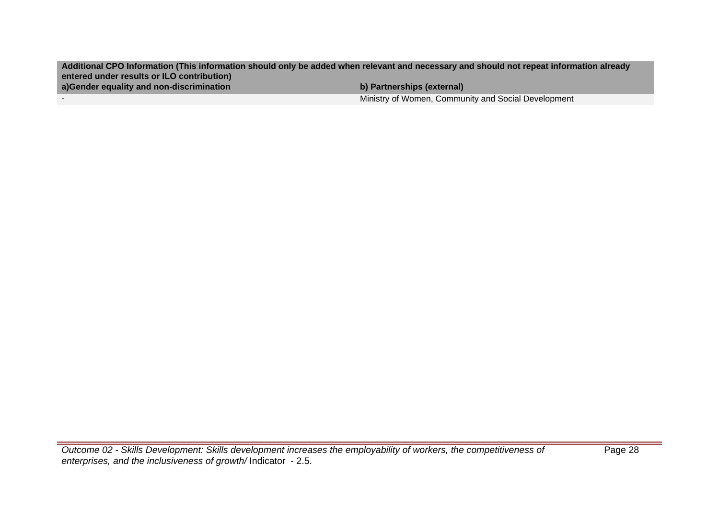**Additional CPO Information (This information should only be added when relevant and necessary and should not repeat information already entered under results or ILO contribution) a)Gender equality and non-discrimination b) Partnerships (external)**

- Ministry of Women, Community and Social Development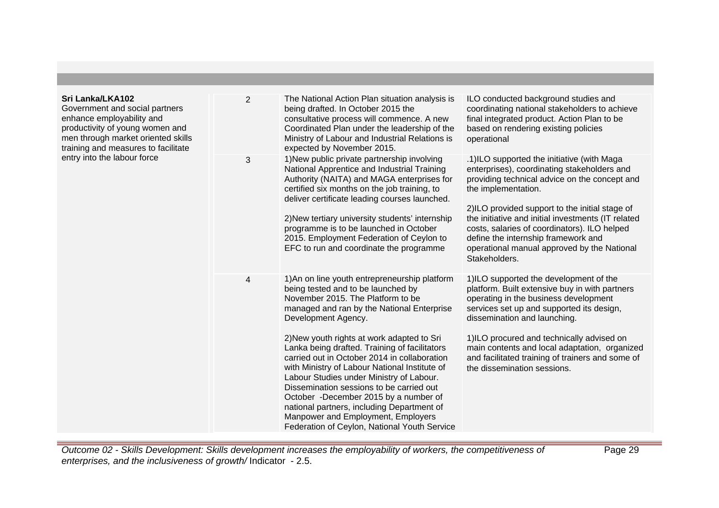| Sri Lanka/LKA102<br>Government and social partners<br>enhance employability and<br>productivity of young women and<br>men through market oriented skills<br>training and measures to facilitate<br>entry into the labour force | $\overline{2}$ | The National Action Plan situation analysis is<br>being drafted. In October 2015 the<br>consultative process will commence. A new<br>Coordinated Plan under the leadership of the<br>Ministry of Labour and Industrial Relations is<br>expected by November 2015.                                                                                                                                                                                                                                                                                                                                                                                                  | ILO conducted background studies and<br>coordinating national stakeholders to achieve<br>final integrated product. Action Plan to be<br>based on rendering existing policies<br>operational                                                                                                                                                                                                                                        |
|--------------------------------------------------------------------------------------------------------------------------------------------------------------------------------------------------------------------------------|----------------|--------------------------------------------------------------------------------------------------------------------------------------------------------------------------------------------------------------------------------------------------------------------------------------------------------------------------------------------------------------------------------------------------------------------------------------------------------------------------------------------------------------------------------------------------------------------------------------------------------------------------------------------------------------------|------------------------------------------------------------------------------------------------------------------------------------------------------------------------------------------------------------------------------------------------------------------------------------------------------------------------------------------------------------------------------------------------------------------------------------|
|                                                                                                                                                                                                                                | 3              | 1) New public private partnership involving<br>National Apprentice and Industrial Training<br>Authority (NAITA) and MAGA enterprises for<br>certified six months on the job training, to<br>deliver certificate leading courses launched.<br>2) New tertiary university students' internship<br>programme is to be launched in October<br>2015. Employment Federation of Ceylon to<br>EFC to run and coordinate the programme                                                                                                                                                                                                                                      | .1) ILO supported the initiative (with Maga<br>enterprises), coordinating stakeholders and<br>providing technical advice on the concept and<br>the implementation.<br>2) ILO provided support to the initial stage of<br>the initiative and initial investments (IT related<br>costs, salaries of coordinators). ILO helped<br>define the internship framework and<br>operational manual approved by the National<br>Stakeholders. |
|                                                                                                                                                                                                                                | 4              | 1) An on line youth entrepreneurship platform<br>being tested and to be launched by<br>November 2015. The Platform to be<br>managed and ran by the National Enterprise<br>Development Agency.<br>2) New youth rights at work adapted to Sri<br>Lanka being drafted. Training of facilitators<br>carried out in October 2014 in collaboration<br>with Ministry of Labour National Institute of<br>Labour Studies under Ministry of Labour.<br>Dissemination sessions to be carried out<br>October -December 2015 by a number of<br>national partners, including Department of<br>Manpower and Employment, Employers<br>Federation of Ceylon, National Youth Service | 1) ILO supported the development of the<br>platform. Built extensive buy in with partners<br>operating in the business development<br>services set up and supported its design,<br>dissemination and launching.<br>1) ILO procured and technically advised on<br>main contents and local adaptation, organized<br>and facilitated training of trainers and some of<br>the dissemination sessions.                                  |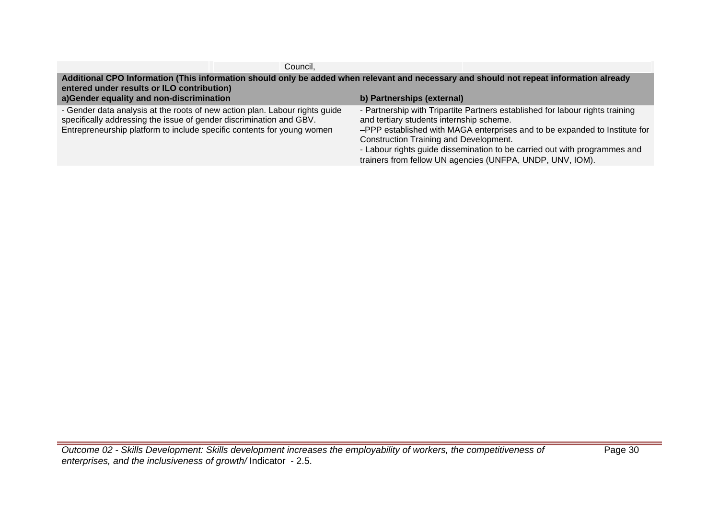|                                                                                                                                                                                                                              | Council. |                                                                                                                                                                                                                                                                                                                                                                                             |  |  |
|------------------------------------------------------------------------------------------------------------------------------------------------------------------------------------------------------------------------------|----------|---------------------------------------------------------------------------------------------------------------------------------------------------------------------------------------------------------------------------------------------------------------------------------------------------------------------------------------------------------------------------------------------|--|--|
| Additional CPO Information (This information should only be added when relevant and necessary and should not repeat information already                                                                                      |          |                                                                                                                                                                                                                                                                                                                                                                                             |  |  |
| entered under results or ILO contribution)                                                                                                                                                                                   |          |                                                                                                                                                                                                                                                                                                                                                                                             |  |  |
| a)Gender equality and non-discrimination                                                                                                                                                                                     |          | b) Partnerships (external)                                                                                                                                                                                                                                                                                                                                                                  |  |  |
| - Gender data analysis at the roots of new action plan. Labour rights guide<br>specifically addressing the issue of gender discrimination and GBV.<br>Entrepreneurship platform to include specific contents for young women |          | - Partnership with Tripartite Partners established for labour rights training<br>and tertiary students internship scheme.<br>-PPP established with MAGA enterprises and to be expanded to Institute for<br>Construction Training and Development.<br>- Labour rights guide dissemination to be carried out with programmes and<br>trainers from fellow UN agencies (UNFPA, UNDP, UNV, IOM). |  |  |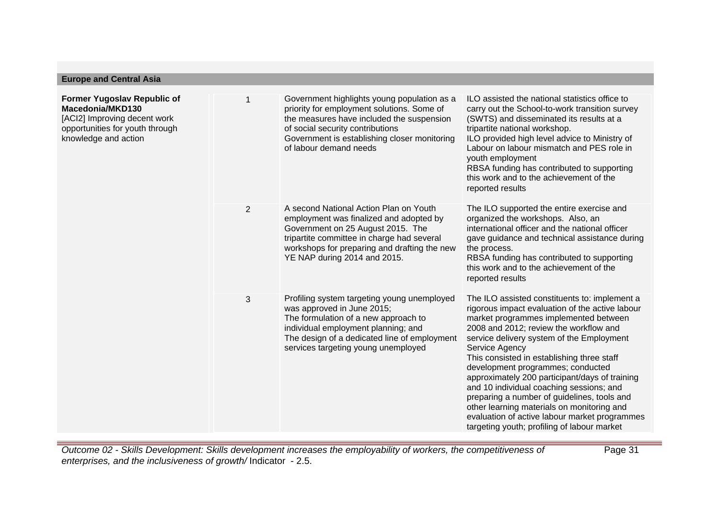| <b>Europe and Central Asia</b>                                                                                                                    |                |                                                                                                                                                                                                                                                      |                                                                                                                                                                                                                                                                                                                                                                                                                                                                                                                                                                                                                                  |
|---------------------------------------------------------------------------------------------------------------------------------------------------|----------------|------------------------------------------------------------------------------------------------------------------------------------------------------------------------------------------------------------------------------------------------------|----------------------------------------------------------------------------------------------------------------------------------------------------------------------------------------------------------------------------------------------------------------------------------------------------------------------------------------------------------------------------------------------------------------------------------------------------------------------------------------------------------------------------------------------------------------------------------------------------------------------------------|
| <b>Former Yugoslav Republic of</b><br>Macedonia/MKD130<br>[ACI2] Improving decent work<br>opportunities for youth through<br>knowledge and action |                | Government highlights young population as a<br>priority for employment solutions. Some of<br>the measures have included the suspension<br>of social security contributions<br>Government is establishing closer monitoring<br>of labour demand needs | ILO assisted the national statistics office to<br>carry out the School-to-work transition survey<br>(SWTS) and disseminated its results at a<br>tripartite national workshop.<br>ILO provided high level advice to Ministry of<br>Labour on labour mismatch and PES role in<br>youth employment<br>RBSA funding has contributed to supporting<br>this work and to the achievement of the<br>reported results                                                                                                                                                                                                                     |
|                                                                                                                                                   | $\overline{2}$ | A second National Action Plan on Youth<br>employment was finalized and adopted by<br>Government on 25 August 2015. The<br>tripartite committee in charge had several<br>workshops for preparing and drafting the new<br>YE NAP during 2014 and 2015. | The ILO supported the entire exercise and<br>organized the workshops. Also, an<br>international officer and the national officer<br>gave guidance and technical assistance during<br>the process.<br>RBSA funding has contributed to supporting<br>this work and to the achievement of the<br>reported results                                                                                                                                                                                                                                                                                                                   |
|                                                                                                                                                   | 3              | Profiling system targeting young unemployed<br>was approved in June 2015;<br>The formulation of a new approach to<br>individual employment planning; and<br>The design of a dedicated line of employment<br>services targeting young unemployed      | The ILO assisted constituents to: implement a<br>rigorous impact evaluation of the active labour<br>market programmes implemented between<br>2008 and 2012; review the workflow and<br>service delivery system of the Employment<br>Service Agency<br>This consisted in establishing three staff<br>development programmes; conducted<br>approximately 200 participant/days of training<br>and 10 individual coaching sessions; and<br>preparing a number of guidelines, tools and<br>other learning materials on monitoring and<br>evaluation of active labour market programmes<br>targeting youth; profiling of labour market |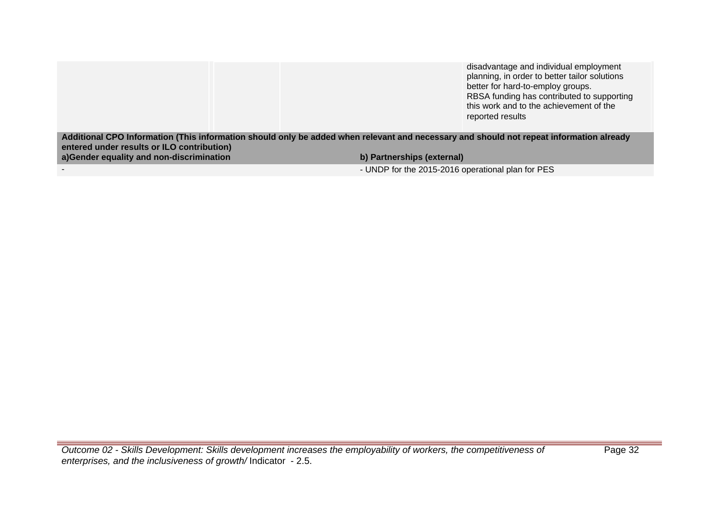|                                            | disadvantage and individual employment<br>planning, in order to better tailor solutions<br>better for hard-to-employ groups.<br>RBSA funding has contributed to supporting<br>this work and to the achievement of the<br>reported results |
|--------------------------------------------|-------------------------------------------------------------------------------------------------------------------------------------------------------------------------------------------------------------------------------------------|
|                                            | Additional CPO Information (This information should only be added when relevant and necessary and should not repeat information already                                                                                                   |
| entered under results or ILO contribution) |                                                                                                                                                                                                                                           |
| a)Gender equality and non-discrimination   | b) Partnerships (external)                                                                                                                                                                                                                |
|                                            | - UNDP for the 2015-2016 operational plan for PES                                                                                                                                                                                         |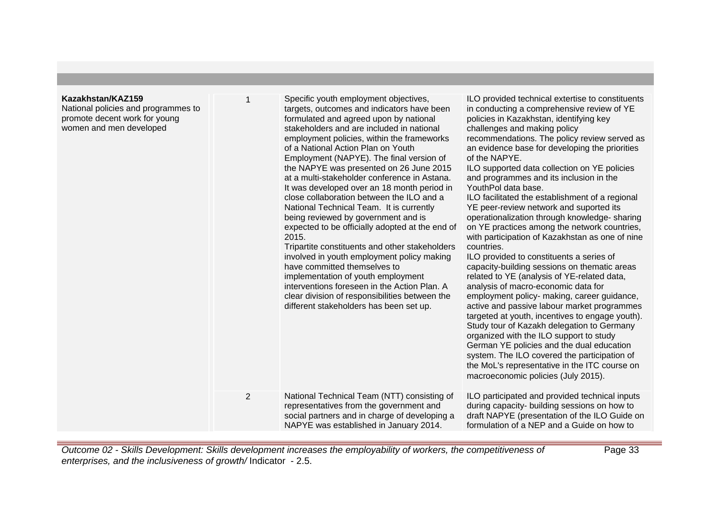## **Kazakhstan/KAZ159**

National policies and programmes to promote decent work for young women and men developed

| 1              | Specific youth employment objectives,<br>targets, outcomes and indicators have been<br>formulated and agreed upon by national<br>stakeholders and are included in national<br>employment policies, within the frameworks<br>of a National Action Plan on Youth<br>Employment (NAPYE). The final version of<br>the NAPYE was presented on 26 June 2015<br>at a multi-stakeholder conference in Astana.<br>It was developed over an 18 month period in<br>close collaboration between the ILO and a<br>National Technical Team. It is currently<br>being reviewed by government and is<br>expected to be officially adopted at the end of<br>2015.<br>Tripartite constituents and other stakeholders<br>involved in youth employment policy making<br>have committed themselves to<br>implementation of youth employment<br>interventions foreseen in the Action Plan. A<br>clear division of responsibilities between the<br>different stakeholders has been set up. | ILO provided technical extertise to constituents<br>in conducting a comprehensive review of YE<br>policies in Kazakhstan, identifying key<br>challenges and making policy<br>recommendations. The policy review served as<br>an evidence base for developing the priorities<br>of the NAPYE.<br>ILO supported data collection on YE policies<br>and programmes and its inclusion in the<br>YouthPol data base.<br>ILO facilitated the establishment of a regional<br>YE peer-review network and suported its<br>operationalization through knowledge-sharing<br>on YE practices among the network countries,<br>with participation of Kazakhstan as one of nine<br>countries.<br>ILO provided to constituents a series of<br>capacity-building sessions on thematic areas<br>related to YE (analysis of YE-related data,<br>analysis of macro-economic data for<br>employment policy- making, career guidance,<br>active and passive labour market programmes<br>targeted at youth, incentives to engage youth).<br>Study tour of Kazakh delegation to Germany<br>organized with the ILO support to study<br>German YE policies and the dual education<br>system. The ILO covered the participation of<br>the MoL's representative in the ITC course on<br>macroeconomic policies (July 2015). |
|----------------|---------------------------------------------------------------------------------------------------------------------------------------------------------------------------------------------------------------------------------------------------------------------------------------------------------------------------------------------------------------------------------------------------------------------------------------------------------------------------------------------------------------------------------------------------------------------------------------------------------------------------------------------------------------------------------------------------------------------------------------------------------------------------------------------------------------------------------------------------------------------------------------------------------------------------------------------------------------------|------------------------------------------------------------------------------------------------------------------------------------------------------------------------------------------------------------------------------------------------------------------------------------------------------------------------------------------------------------------------------------------------------------------------------------------------------------------------------------------------------------------------------------------------------------------------------------------------------------------------------------------------------------------------------------------------------------------------------------------------------------------------------------------------------------------------------------------------------------------------------------------------------------------------------------------------------------------------------------------------------------------------------------------------------------------------------------------------------------------------------------------------------------------------------------------------------------------------------------------------------------------------------------------------|
| $\overline{2}$ | National Technical Team (NTT) consisting of<br>representatives from the government and<br>social partners and in charge of developing a<br>NAPYE was established in January 2014.                                                                                                                                                                                                                                                                                                                                                                                                                                                                                                                                                                                                                                                                                                                                                                                   | ILO participated and provided technical inputs<br>during capacity- building sessions on how to<br>draft NAPYE (presentation of the ILO Guide on<br>formulation of a NEP and a Guide on how to                                                                                                                                                                                                                                                                                                                                                                                                                                                                                                                                                                                                                                                                                                                                                                                                                                                                                                                                                                                                                                                                                                  |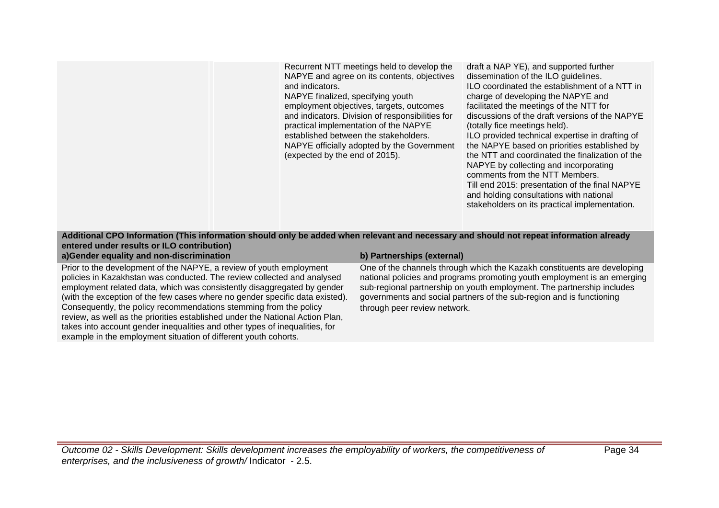Recurrent NTT meetings held to develop the NAPYE and agree on its contents, objectives and indicators.

NAPYE finalized, specifying youth employment objectives, targets, outcomes and indicators. Division of responsibilities for practical implementation of the NAPYE established between the stakeholders. NAPYE officially adopted by the Government (expected by the end of 2015).

draft a NAP YE), and supported further dissemination of the ILO guidelines. ILO coordinated the establishment of a NTT in charge of developing the NAPYE and facilitated the meetings of the NTT for discussions of the draft versions of the NAPYE (totally fice meetings held). ILO provided technical expertise in drafting of the NAPYE based on priorities established by the NTT and coordinated the finalization of the NAPYE by collecting and incorporating comments from the NTT Members. Till end 2015: presentation of the final NAPYE and holding consultations with national stakeholders on its practical implementation.

**Additional CPO Information (This information should only be added when relevant and necessary and should not repeat information already entered under results or ILO contribution)**

#### **a)Gender equality and non-discrimination b) Partnerships (external)**

Prior to the development of the NAPYE, a review of youth employment policies in Kazakhstan was conducted. The review collected and analysed employment related data, which was consistently disaggregated by gender (with the exception of the few cases where no gender specific data existed). Consequently, the policy recommendations stemming from the policy review, as well as the priorities established under the National Action Plan, takes into account gender inequalities and other types of inequalities, for example in the employment situation of different youth cohorts.

One of the channels through which the Kazakh constituents are developing national policies and programs promoting youth employment is an emerging sub-regional partnership on youth employment. The partnership includes governments and social partners of the sub-region and is functioning through peer review network.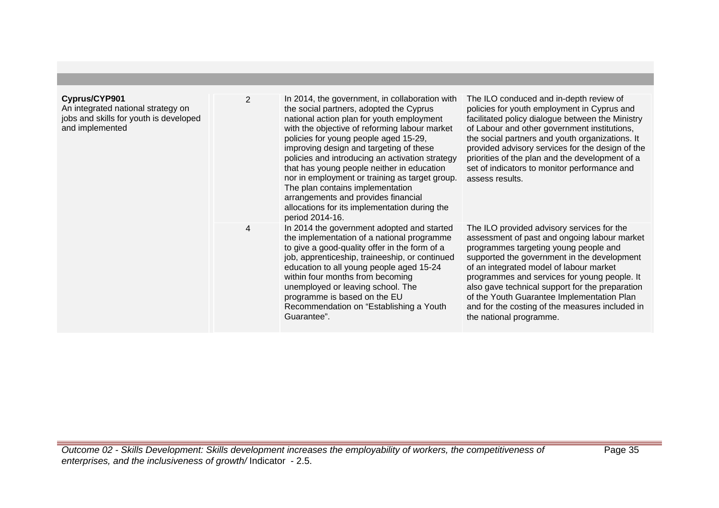### **Cyprus/CYP901**

An integrated national strategy on jobs and skills for youth is developed and implemented

| 2 | In 2014, the government, in collaboration with<br>the social partners, adopted the Cyprus<br>national action plan for youth employment<br>with the objective of reforming labour market<br>policies for young people aged 15-29,<br>improving design and targeting of these<br>policies and introducing an activation strategy<br>that has young people neither in education<br>nor in employment or training as target group.<br>The plan contains implementation<br>arrangements and provides financial<br>allocations for its implementation during the<br>period 2014-16. | The<br>polio<br>facil<br>of L<br>the :<br>prov<br>prio<br>set o<br>asse |
|---|-------------------------------------------------------------------------------------------------------------------------------------------------------------------------------------------------------------------------------------------------------------------------------------------------------------------------------------------------------------------------------------------------------------------------------------------------------------------------------------------------------------------------------------------------------------------------------|-------------------------------------------------------------------------|
| 4 | In 2014 the government adopted and started<br>the implementation of a national programme<br>to give a good-quality offer in the form of a<br>job, apprenticeship, traineeship, or continued<br>education to all young people aged 15-24                                                                                                                                                                                                                                                                                                                                       | The<br>asse<br>prog<br>sup<br>of a                                      |

within four months from becoming unemployed or leaving school. The programme is based on the EU

Recommendation on "Establishing a Youth

ILO conduced and in-depth review of cies for youth employment in Cyprus and litated policy dialogue between the Ministry abour and other government institutions, social partners and youth organizations. It vided advisory services for the design of the rities of the plan and the development of a of indicators to monitor performance and ess results.

ILO provided advisory services for the essment of past and ongoing labour market grammes targeting young people and ported the government in the development of an integrated model of labour market programmes and services for young people. It also gave technical support for the preparation of the Youth Guarantee Implementation Plan and for the costing of the measures included in the national programme.

Guarantee".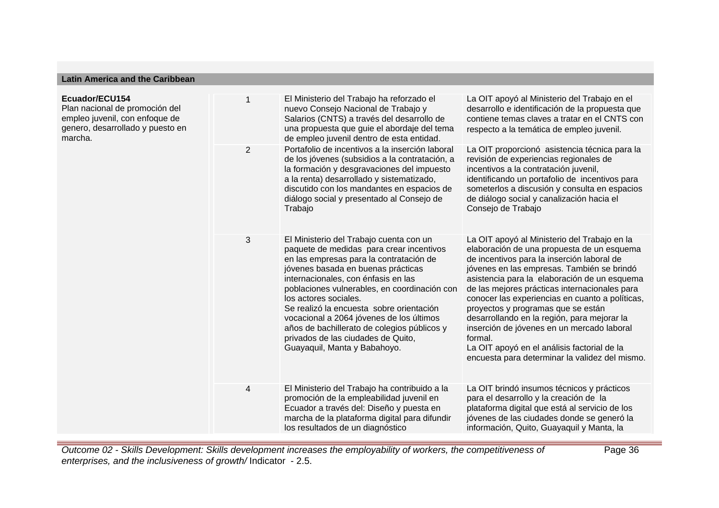# **Latin America and the Caribbean**

| Ecuador/ECU154<br>Plan nacional de promoción del<br>empleo juvenil, con enfoque de<br>genero, desarrollado y puesto en<br>marcha. | 1              | El Ministerio del Trabajo ha reforzado el<br>nuevo Consejo Nacional de Trabajo y<br>Salarios (CNTS) a través del desarrollo de<br>una propuesta que guie el abordaje del tema<br>de empleo juvenil dentro de esta entidad.                                                                                                                                                                                                                                                                        | La OIT apoyó al Ministerio del Trabajo en el<br>desarrollo e identificación de la propuesta que<br>contiene temas claves a tratar en el CNTS con<br>respecto a la temática de empleo juvenil.                                                                                                                                                                                                                                                                                                                                                                                             |
|-----------------------------------------------------------------------------------------------------------------------------------|----------------|---------------------------------------------------------------------------------------------------------------------------------------------------------------------------------------------------------------------------------------------------------------------------------------------------------------------------------------------------------------------------------------------------------------------------------------------------------------------------------------------------|-------------------------------------------------------------------------------------------------------------------------------------------------------------------------------------------------------------------------------------------------------------------------------------------------------------------------------------------------------------------------------------------------------------------------------------------------------------------------------------------------------------------------------------------------------------------------------------------|
|                                                                                                                                   | $\overline{2}$ | Portafolio de incentivos a la inserción laboral<br>de los jóvenes (subsidios a la contratación, a<br>la formación y desgravaciones del impuesto<br>a la renta) desarrollado y sistematizado,<br>discutido con los mandantes en espacios de<br>diálogo social y presentado al Consejo de<br>Trabajo                                                                                                                                                                                                | La OIT proporcionó asistencia técnica para la<br>revisión de experiencias regionales de<br>incentivos a la contratación juvenil,<br>identificando un portafolio de incentivos para<br>someterlos a discusión y consulta en espacios<br>de diálogo social y canalización hacia el<br>Consejo de Trabajo                                                                                                                                                                                                                                                                                    |
|                                                                                                                                   | 3              | El Ministerio del Trabajo cuenta con un<br>paquete de medidas para crear incentivos<br>en las empresas para la contratación de<br>jóvenes basada en buenas prácticas<br>internacionales, con énfasis en las<br>poblaciones vulnerables, en coordinación con<br>los actores sociales.<br>Se realizó la encuesta sobre orientación<br>vocacional a 2064 jóvenes de los últimos<br>años de bachillerato de colegios públicos y<br>privados de las ciudades de Quito,<br>Guayaquil, Manta y Babahoyo. | La OIT apoyó al Ministerio del Trabajo en la<br>elaboración de una propuesta de un esquema<br>de incentivos para la inserción laboral de<br>jóvenes en las empresas. También se brindó<br>asistencia para la elaboración de un esquema<br>de las mejores prácticas internacionales para<br>conocer las experiencias en cuanto a políticas,<br>proyectos y programas que se están<br>desarrollando en la región, para mejorar la<br>inserción de jóvenes en un mercado laboral<br>formal.<br>La OIT apoyó en el análisis factorial de la<br>encuesta para determinar la validez del mismo. |
|                                                                                                                                   | 4              | El Ministerio del Trabajo ha contribuido a la<br>promoción de la empleabilidad juvenil en<br>Ecuador a través del: Diseño y puesta en<br>marcha de la plataforma digital para difundir<br>los resultados de un diagnóstico                                                                                                                                                                                                                                                                        | La OIT brindó insumos técnicos y prácticos<br>para el desarrollo y la creación de la<br>plataforma digital que está al servicio de los<br>jóvenes de las ciudades donde se generó la<br>información, Quito, Guayaquil y Manta, la                                                                                                                                                                                                                                                                                                                                                         |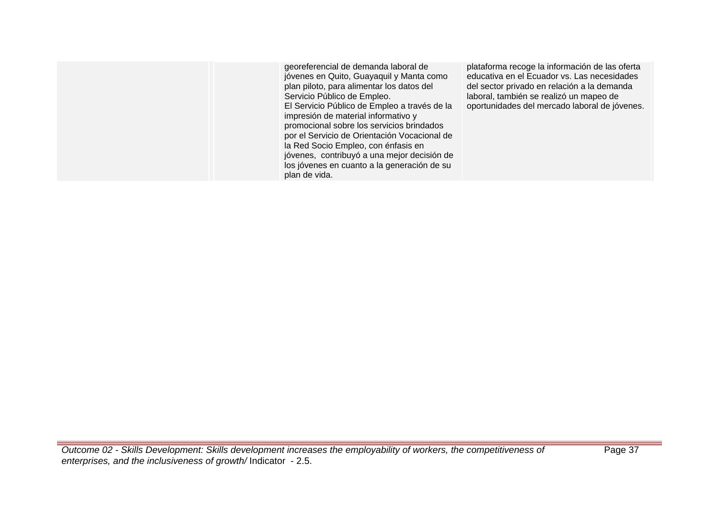| georeferencial de demanda laboral de<br>jóvenes en Quito, Guayaquil y Manta como<br>plan piloto, para alimentar los datos del<br>Servicio Público de Empleo.<br>El Servicio Público de Empleo a través de la<br>impresión de material informativo y<br>promocional sobre los servicios brindados<br>por el Servicio de Orientación Vocacional de<br>la Red Socio Empleo, con énfasis en<br>jóvenes, contribuyó a una mejor decisión de<br>los jóvenes en cuanto a la generación de su<br>plan de vida. | plataforma recoge la información de las oferta<br>educativa en el Ecuador vs. Las necesidades<br>del sector privado en relación a la demanda<br>laboral, también se realizó un mapeo de<br>oportunidades del mercado laboral de jóvenes. |
|--------------------------------------------------------------------------------------------------------------------------------------------------------------------------------------------------------------------------------------------------------------------------------------------------------------------------------------------------------------------------------------------------------------------------------------------------------------------------------------------------------|------------------------------------------------------------------------------------------------------------------------------------------------------------------------------------------------------------------------------------------|
|                                                                                                                                                                                                                                                                                                                                                                                                                                                                                                        |                                                                                                                                                                                                                                          |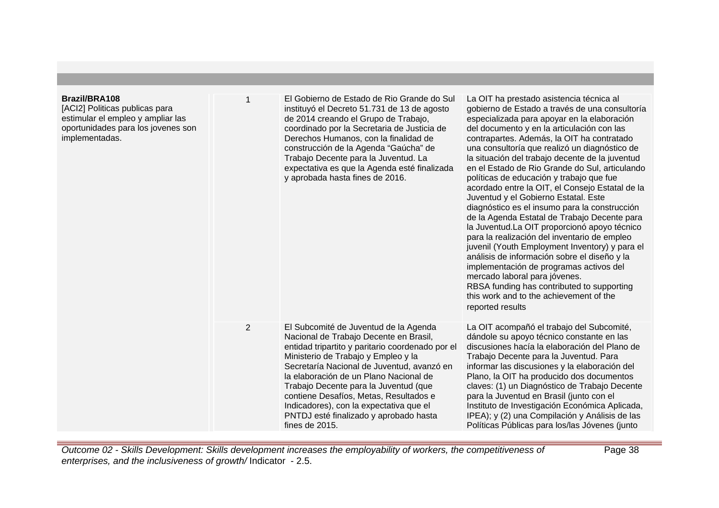| Brazil/BRA108<br>[ACI2] Politicas publicas para<br>estimular el empleo y ampliar las<br>oportunidades para los jovenes son<br>implementadas. |                | El Gobierno de Estado de Rio Grande do Sul<br>instituyó el Decreto 51.731 de 13 de agosto<br>de 2014 creando el Grupo de Trabajo,<br>coordinado por la Secretaria de Justicia de<br>Derechos Humanos, con la finalidad de<br>construcción de la Agenda "Gaúcha" de<br>Trabajo Decente para la Juventud. La<br>expectativa es que la Agenda esté finalizada<br>y aprobada hasta fines de 2016.                                                                | La OIT ha prestado asistencia técnica al<br>gobierno de Estado a través de una consultoría<br>especializada para apoyar en la elaboración<br>del documento y en la articulación con las<br>contrapartes. Además, la OIT ha contratado<br>una consultoría que realizó un diagnóstico de<br>la situación del trabajo decente de la juventud<br>en el Estado de Rio Grande do Sul, articulando<br>políticas de educación y trabajo que fue<br>acordado entre la OIT, el Consejo Estatal de la<br>Juventud y el Gobierno Estatal. Este<br>diagnóstico es el insumo para la construcción<br>de la Agenda Estatal de Trabajo Decente para<br>la Juventud. La OIT proporcionó apoyo técnico<br>para la realización del inventario de empleo<br>juvenil (Youth Employment Inventory) y para el<br>análisis de información sobre el diseño y la<br>implementación de programas activos del<br>mercado laboral para jóvenes.<br>RBSA funding has contributed to supporting<br>this work and to the achievement of the<br>reported results |
|----------------------------------------------------------------------------------------------------------------------------------------------|----------------|--------------------------------------------------------------------------------------------------------------------------------------------------------------------------------------------------------------------------------------------------------------------------------------------------------------------------------------------------------------------------------------------------------------------------------------------------------------|---------------------------------------------------------------------------------------------------------------------------------------------------------------------------------------------------------------------------------------------------------------------------------------------------------------------------------------------------------------------------------------------------------------------------------------------------------------------------------------------------------------------------------------------------------------------------------------------------------------------------------------------------------------------------------------------------------------------------------------------------------------------------------------------------------------------------------------------------------------------------------------------------------------------------------------------------------------------------------------------------------------------------------|
|                                                                                                                                              | $\overline{2}$ | El Subcomité de Juventud de la Agenda<br>Nacional de Trabajo Decente en Brasil,<br>entidad tripartito y paritario coordenado por el<br>Ministerio de Trabajo y Empleo y la<br>Secretaría Nacional de Juventud, avanzó en<br>la elaboración de un Plano Nacional de<br>Trabajo Decente para la Juventud (que<br>contiene Desafíos, Metas, Resultados e<br>Indicadores), con la expectativa que el<br>PNTDJ esté finalizado y aprobado hasta<br>fines de 2015. | La OIT acompañó el trabajo del Subcomité,<br>dándole su apoyo técnico constante en las<br>discusiones hacía la elaboración del Plano de<br>Trabajo Decente para la Juventud. Para<br>informar las discusiones y la elaboración del<br>Plano, la OIT ha producido dos documentos<br>claves: (1) un Diagnóstico de Trabajo Decente<br>para la Juventud en Brasil (junto con el<br>Instituto de Investigación Económica Aplicada,<br>IPEA); y (2) una Compilación y Análisis de las<br>Políticas Públicas para los/las Jóvenes (junto                                                                                                                                                                                                                                                                                                                                                                                                                                                                                              |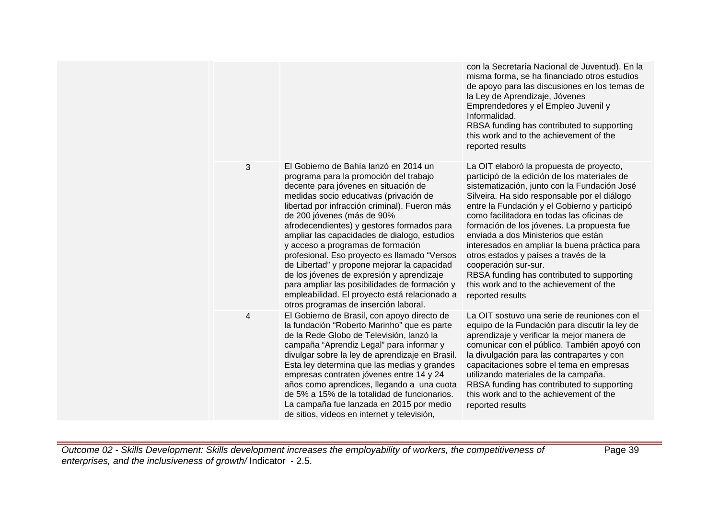|   |                                                                                                                                                                                                                                                                                                                                                                                                                                                                                                                                                                                                                                                                            | con la Secretaría Nacional de Juventud). En la<br>misma forma, se ha financiado otros estudios<br>de apoyo para las discusiones en los temas de<br>la Ley de Aprendizaje, Jóvenes<br>Emprendedores y el Empleo Juvenil y<br>Informalidad.<br>RBSA funding has contributed to supporting<br>this work and to the achievement of the<br>reported results                                                                                                                                                                                                                                                     |
|---|----------------------------------------------------------------------------------------------------------------------------------------------------------------------------------------------------------------------------------------------------------------------------------------------------------------------------------------------------------------------------------------------------------------------------------------------------------------------------------------------------------------------------------------------------------------------------------------------------------------------------------------------------------------------------|------------------------------------------------------------------------------------------------------------------------------------------------------------------------------------------------------------------------------------------------------------------------------------------------------------------------------------------------------------------------------------------------------------------------------------------------------------------------------------------------------------------------------------------------------------------------------------------------------------|
| 3 | El Gobierno de Bahía lanzó en 2014 un<br>programa para la promoción del trabajo<br>decente para jóvenes en situación de<br>medidas socio educativas (privación de<br>libertad por infracción criminal). Fueron más<br>de 200 jóvenes (más de 90%<br>afrodecendientes) y gestores formados para<br>ampliar las capacidades de dialogo, estudios<br>y acceso a programas de formación<br>profesional. Eso proyecto es llamado "Versos<br>de Libertad" y propone mejorar la capacidad<br>de los jóvenes de expresión y aprendizaje<br>para ampliar las posibilidades de formación y<br>empleabilidad. El proyecto está relacionado a<br>otros programas de inserción laboral. | La OIT elaboró la propuesta de proyecto,<br>participó de la edición de los materiales de<br>sistematización, junto con la Fundación José<br>Silveira. Ha sido responsable por el diálogo<br>entre la Fundación y el Gobierno y participó<br>como facilitadora en todas las oficinas de<br>formación de los jóvenes. La propuesta fue<br>enviada a dos Ministerios que están<br>interesados en ampliar la buena práctica para<br>otros estados y países a través de la<br>cooperación sur-sur.<br>RBSA funding has contributed to supporting<br>this work and to the achievement of the<br>reported results |
| 4 | El Gobierno de Brasil, con apoyo directo de<br>la fundación "Roberto Marinho" que es parte<br>de la Rede Globo de Televisión, lanzó la<br>campaña "Aprendiz Legal" para informar y<br>divulgar sobre la ley de aprendizaje en Brasil.<br>Esta ley determina que las medias y grandes<br>empresas contraten jóvenes entre 14 y 24<br>años como aprendices, llegando a una cuota<br>de 5% a 15% de la totalidad de funcionarios.<br>La campaña fue lanzada en 2015 por medio<br>de sitios, videos en internet y televisión,                                                                                                                                                  | La OIT sostuvo una serie de reuniones con el<br>equipo de la Fundación para discutir la ley de<br>aprendizaje y verificar la mejor manera de<br>comunicar con el público. También apoyó con<br>la divulgación para las contrapartes y con<br>capacitaciones sobre el tema en empresas<br>utilizando materiales de la campaña.<br>RBSA funding has contributed to supporting<br>this work and to the achievement of the<br>reported results                                                                                                                                                                 |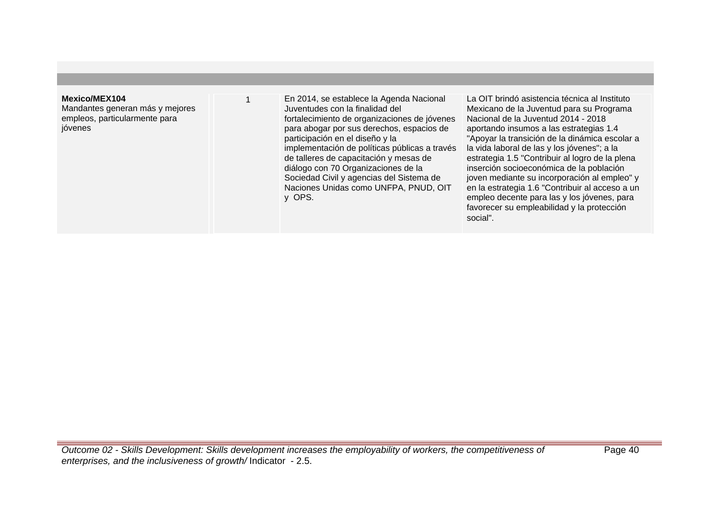#### **Mexico/MEX104**

Mandantes generan más y mejores empleos, particularmente para jóvenes

1 En 2014, se establece la Agenda Nacional Juventudes con la finalidad del fortalecimiento de organizaciones de jóvenes para abogar por sus derechos, espacios de participación en el diseño y la implementación de políticas públicas a través de talleres de capacitación y mesas de diálogo con 70 Organizaciones de la Sociedad Civil y agencias del Sistema de Naciones Unidas como UNFPA, PNUD, OIT y OPS.

La OIT brindó asistencia técnica al Instituto Mexicano de la Juventud para su Programa Nacional de la Juventud 2014 - 2018 aportando insumos a las estrategias 1.4 "Apoyar la transición de la dinámica escolar a la vida laboral de las y los jóvenes"; a la estrategia 1.5 "Contribuir al logro de la plena inserción socioeconómica de la población joven mediante su incorporación al empleo" y en la estrategia 1.6 "Contribuir al acceso a un empleo decente para las y los jóvenes, para favorecer su empleabilidad y la protección social".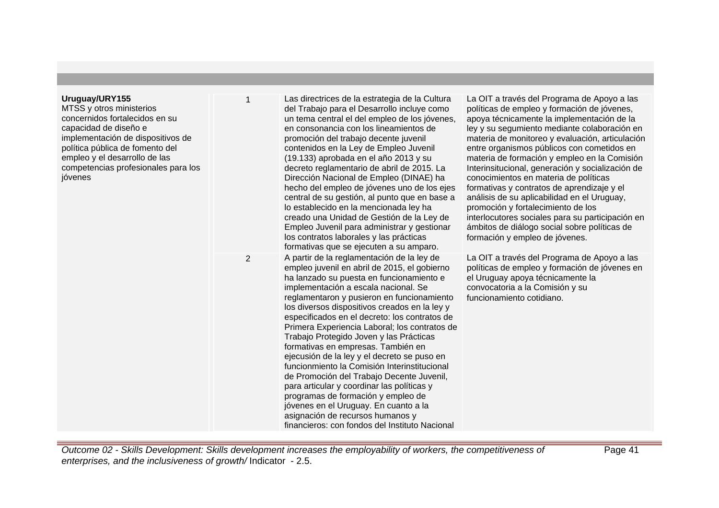#### **Uruguay/URY155**

MTSS y otros ministerios concernidos fortalecidos en su capacidad de diseño e implementación de dispositivos de política pública de fomento del empleo y el desarrollo de las competencias profesionales para los ióvenes

1 Las directrices de la estrategia de la Cultura del Trabajo para el Desarrollo incluye como un tema central el del empleo de los jóvenes, en consonancia con los lineamientos de promoción del trabajo decente juvenil contenidos en la Ley de Empleo Juvenil (19.133) aprobada en el año 2013 y su decreto reglamentario de abril de 2015. La Dirección Nacional de Empleo (DINAE) ha hecho del empleo de jóvenes uno de los ejes central de su gestión, al punto que en base a lo establecido en la mencionada ley ha creado una Unidad de Gestión de la Ley de Empleo Juvenil para administrar y gestionar los contratos laborales y las prácticas formativas que se ejecuten a su amparo. 2 A partir de la reglamentación de la ley de empleo juvenil en abril de 2015, el gobierno ha lanzado su puesta en funcionamiento e implementación a escala nacional. Se reglamentaron y pusieron en funcionamiento los diversos dispositivos creados en la ley y especificados en el decreto: los contratos de Primera Experiencia Laboral; los contratos de Trabajo Protegido Joven y las Prácticas formativas en empresas. También en ejecusión de la ley y el decreto se puso en funcionmiento la Comisión Interinstitucional de Promoción del Trabajo Decente Juvenil, para articular y coordinar las políticas y programas de formación y empleo de jóvenes en el Uruguay. En cuanto a la asignación de recursos humanos y financieros: con fondos del Instituto Nacional

La OIT a través del Programa de Apoyo a las políticas de empleo y formación de jóvenes, apoya técnicamente la implementación de la ley y su segumiento mediante colaboración en materia de monitoreo y evaluación, articulación entre organismos públicos con cometidos en materia de formación y empleo en la Comisión Interinsitucional, generación y socialización de conocimientos en materia de políticas formativas y contratos de aprendizaje y el análisis de su aplicabilidad en el Uruguay, promoción y fortalecimiento de los interlocutores sociales para su participación en ámbitos de diálogo social sobre políticas de formación y empleo de jóvenes.

La OIT a través del Programa de Apoyo a las políticas de empleo y formación de jóvenes en el Uruguay apoya técnicamente la convocatoria a la Comisión y su funcionamiento cotidiano.